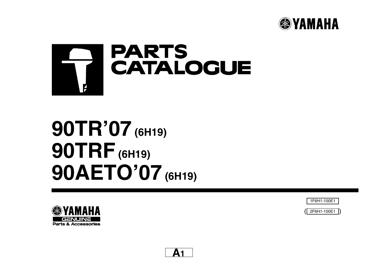



# **90TR'07 (6H19) 90TRF(6H19) 90AETO'07 (6H19)**





( ) 2F6H1-100E1

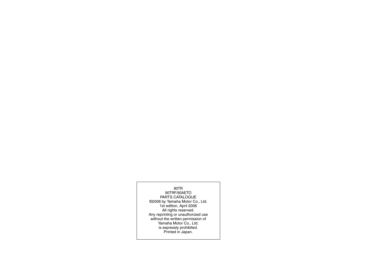90TR 90TRF/90AETO PARTS CATALOGUE ©2006 by Yamaha Motor Co., Ltd. 1st edition, April 2006 All rights reserved. Any reprinting or unauthorized use without the written permission of Yamaha Motor Co., Ltd. is expressly prohibited. Printed in Japan.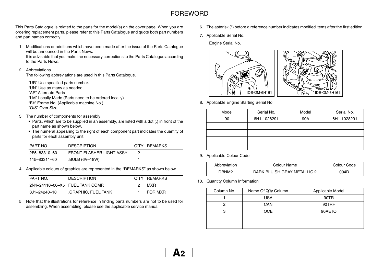## FOREWORD

This Parts Catalogue is related to the parts for the model(s) on the cover page. When you are ordering replacement parts, please refer to this Parts Catalogue and quote both part numbers and part names correctly.

1. Modifications or additions which have been made after the issue of the Parts Catalogue will be announced in the Parts News.

It is advisable that you make the necessary corrections to the Parts Catalogue according to the Parts News.

#### 2. Abbreviations

The following abbreviations are used in this Parts Catalogue.

"UR" Use specified parts number. "UN" Use as many as needed. "AP" Alternate Parts"LM" Locally Made (Parts need to be ordered locally) "F#" Frame No. (Applicable machine No.)

"O/S" Over Size

- 3. The number of components for assembly
	- Parts, which are to be supplied in an assembly, are listed with a dot (.) in front of the part name as shown below.
	- The numeral appearing to the right of each component part indicates the quantity of parts for each assembly unit.

| PART NO.     | <b>DESCRIPTION</b>       | Q'TY REMARKS |
|--------------|--------------------------|--------------|
| 2F5-83310-60 | FRONT FLASHER LIGHT ASSY |              |
| 115–83311–60 | .BULB (6V-18W)           |              |

4. Applicable colours of graphics are represented in the "REMARKS" as shown below.

| PART NO.                        | <b>DESCRIPTION</b> |    | Q'TY REMARKS |
|---------------------------------|--------------------|----|--------------|
| 2N4-24110-00-X5 FUEL TANK COMP. |                    | 2. | MXR.         |
| 3J1-24240-10                    | GRAPHIC, FUEL TANK |    | FOR MXR      |

5. Note that the illustrations for reference in finding parts numbers are not to be used for assembling. When assembling, please use the applicable service manual.

- 6. The asterisk (\*) before a reference number indicates modified items after the first edition.
- 7. Applicable Serial No.

Engine Serial No.



8. Applicable Engine Starting Serial No.

| Model | Serial No.  | Model | Serial No.  |
|-------|-------------|-------|-------------|
| 90    | 6H1-1028291 | 90A   | 6H1-1028291 |
|       |             |       |             |
|       |             |       |             |
|       |             |       |             |
|       |             |       |             |

9. Applicable Colour Code

| Abbreviation | Colour Name                 | Colour Code |
|--------------|-----------------------------|-------------|
| PNM? ה       | DARK BLUISH GRAY METALLIC 2 | 004D        |

10. Quantity Column Information

| Column No. | Name Of Q'ty Column | Applicable Model |
|------------|---------------------|------------------|
|            | <b>USA</b>          | 90TR             |
|            | <b>CAN</b>          | 90TRF            |
| З          | OCE                 | 90AETO           |
|            |                     |                  |
|            |                     |                  |

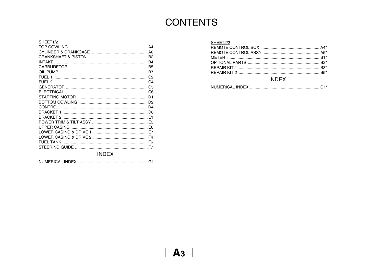# **CONTENTS**

#### SHEET1/2

| SHEET2/2                                     |  |
|----------------------------------------------|--|
|                                              |  |
|                                              |  |
|                                              |  |
|                                              |  |
|                                              |  |
|                                              |  |
| $\mathbf{R} \cup \mathbf{R} \cup \mathbf{R}$ |  |

#### **INDEX**

### **INDEX**

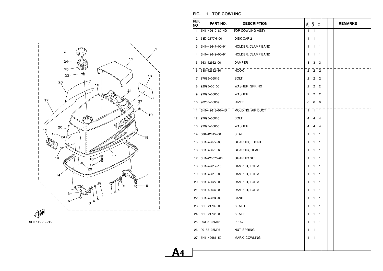



#### **FIG. 1 TOP COWLING**

| REF.<br>NO. | PART NO.        | <b>DESCRIPTION</b>                | USA          | <b>S</b>       | OCE            | <b>REMARKS</b> |
|-------------|-----------------|-----------------------------------|--------------|----------------|----------------|----------------|
| 1           | 6H1-42610-80-4D | TOP COWLING ASSY                  | 1            | 1              | 1              |                |
| 2           | 63D-2177H-00    | .DISK CAP 2                       | 1            | 1              | 1              |                |
| 3           | 6H1-42647-00-94 | .HOLDER, CLAMP BAND               | 1            | 1              | 1              |                |
| 4           | 6H1-42649-00-94 | .HOLDER, CLAMP BAND               | 1            | 1              | 1              |                |
| 5           | 663-42662-00    | .DAMPER                           | 3            | 3              | 3              |                |
| 6           | 688-42652-10    | .HOOK                             | 2            | $\overline{c}$ | $\overline{2}$ |                |
| 7           | 97095-06016     | .BOLT                             | 2            | 2              | 2              |                |
| 8           | 92995-06100     | .WASHER, SPRING                   | 2            | 2              | 2              |                |
| 9           | 92995-06600     | .WASHER                           | 2            | 2              | 2              |                |
| 10          | 90266-06009     | .RIVET                            | 6            | 6              | 6              |                |
| 11          |                 | 6H1-42613-01-4D MOLDING, AIR DUCT | 1            | 1              | 1              |                |
| 12          | 97095-06016     | .BOLT                             | 4            | 4              | 4              |                |
| 13          | 92995-06600     | .WASHER                           | 4            | 4              | 4              |                |
| 14          | 688-42615-00    | .SEAL                             | 1            | 1              | 1              |                |
| 15          | 6H1-42677-80    | .GRAPHIC, FRONT                   | 1            | 1              | 1              |                |
| 16          | 6H1-42678-60    | .GRAPHIC, REAR                    | $\mathbf{1}$ | $\mathbf{1}$   | $\mathbf{1}$   |                |
| 17          | 6H1-W0070-60    | <b>GRAPHIC SET</b>                | 1            | 1              | 1              |                |
| 18          | 6H1-42617-10    | .DAMPER, FORM                     | 1            | 1              | 1              |                |
| 19          | 6H1-42619-00    | .DAMPER, FORM                     | 1            | 1              | 1              |                |
| 20          | 6H1-42627-00    | .DAMPER, FORM                     | 1            | 1              | 1              |                |
| 21          | 6H1-42637-00    | .DAMPER, FORM                     | 1            | $\mathbf{1}$   | 1              |                |
| 22          | 6H1-42694-00    | .BAND                             | 1            | 1              | 1              |                |
| 23          | 6H3-21732-00    | .SEAL 1                           | 1            | 1              | 1              |                |
| 24          | 6H3-21735-00    | SEAL <sub>2</sub>                 | 1            | 1              | 1              |                |
| 25          | 90338-05M12     | .PLUG                             | 1            | 1              | 1              |                |
| 26          | 90183-05M06     | .NUT, SPRING                      | 1            | 1              | 1              |                |
| 27          | 6H1-42681-50    | .MARK, COWLING                    | 1            | 1              | 1              |                |
|             |                 |                                   |              |                |                |                |

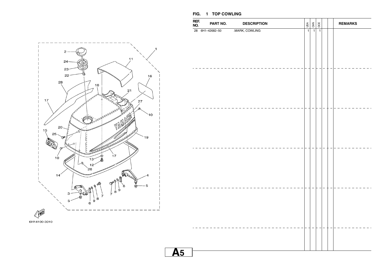

|           | REF.<br>NO. | PART NO.        | <b>DESCRIPTION</b> | <b>NSN</b>     | $rac{1}{\sqrt{2}}$ | OCE            |  | <b>REMARKS</b> |
|-----------|-------------|-----------------|--------------------|----------------|--------------------|----------------|--|----------------|
|           |             | 28 6H1-42682-50 | .MARK, COWLING     | $\overline{1}$ | $\overline{1}$     | $\overline{1}$ |  |                |
|           |             |                 |                    |                |                    |                |  |                |
|           |             |                 |                    |                |                    |                |  |                |
|           |             |                 |                    |                |                    |                |  |                |
|           |             |                 |                    |                |                    |                |  |                |
|           |             |                 |                    |                |                    |                |  |                |
|           |             |                 |                    |                |                    |                |  |                |
|           |             |                 |                    |                |                    |                |  |                |
| <u>A5</u> |             |                 |                    |                |                    |                |  |                |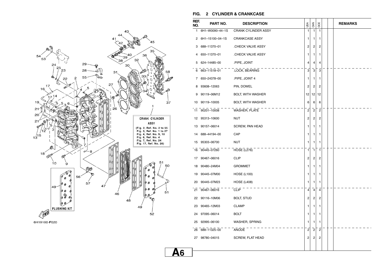

6H19100-F020

#### **FIG. 2 CYLINDER & CRANKCASE**

| REF.<br>NO. | PART NO.        | <b>DESCRIPTION</b>         | USA                     | <b>SAN</b>              | OCE            |  | <b>REMARKS</b> |
|-------------|-----------------|----------------------------|-------------------------|-------------------------|----------------|--|----------------|
| 1           | 6H1-W0090-44-1S | <b>CRANK CYLINDER ASSY</b> | 1                       | $\mathbf{1}$            | 1              |  |                |
| 2           | 6H1-15100-04-1S | <b>CRANKCASE ASSY</b>      | 1                       | 1                       | 1              |  |                |
| 3           | 688-11370-01    | CHECK VALVE ASSY           | 2                       | 2                       | 2              |  |                |
| 4           | 650-11370-01    | CHECK VALVE ASSY.          | 1                       | 1                       | 1              |  |                |
| 5           | 624-14485-00    | .PIPE, JOINT               | 4                       | 4                       | 4              |  |                |
| 6           | 663-11518-01    | .LOCK, BEARING             | 3                       | $\overline{\mathbf{3}}$ | 3              |  |                |
| 7           | 650-24378-00    | PIPE, JOINT 4              | 1                       | 1                       | 1              |  |                |
| 8           | 93608-12063     | PIN, DOWEL                 | 2                       | 2                       | 2              |  |                |
| 9           | 90119-06M12     | BOLT, WITH WASHER          | 12                      | 12                      | 12             |  |                |
| 10          | 90119-10005     | BOLT, WITH WASHER          | 6                       | 6                       | 6              |  |                |
| 11          | 90201-10008     | WASHER, PLATE              | 2                       | $\overline{2}$          | $\overline{c}$ |  |                |
| 12          | 95313-10600     | <b>NUT</b>                 | 2                       | 2                       | 2              |  |                |
| 13          | 90157-06014     | SCREW, PAN HEAD            | 1                       | 1                       | 1              |  |                |
| 14          | 688-44194-00    | CAP                        | 1                       | 1                       | 1              |  |                |
| 15          | 95303-06700     | <b>NUT</b>                 | 1                       | 1                       | 1              |  |                |
|             | 16 90445-07260  | HOSE (L276)                | 1                       | $\mathbf{1}$            | 1              |  |                |
| 17          | 90467-06016     | <b>CLIP</b>                | 2                       | 2                       | 2              |  |                |
| 18          | 90480-24M04     | <b>GROMMET</b>             | 1                       | 1                       | 1              |  |                |
| 19          | 90445-07M00     | <b>HOSE (L100)</b>         | 1                       | 1                       | 1              |  |                |
| 20          | 90445-07M23     | <b>HOSE (L408)</b>         | 1                       | 1                       | 1              |  |                |
|             | 21 90467-06016  | <b>CLIP</b>                | 4                       | $\overline{4}$          | 4              |  |                |
| 22          | 90116-10M06     | <b>BOLT, STUD</b>          | 2                       | 2                       | 2              |  |                |
| 23          | 90465-12M03     | <b>CLAMP</b>               | 1                       | 1                       | 1              |  |                |
| 24          | 97095-06014     | <b>BOLT</b>                | 1                       | 1                       | 1              |  |                |
| 25          | 92995-06100     | WASHER, SPRING             | 1                       | 1                       | 1              |  |                |
|             | 26 688-11325-00 | ANODE                      | $\overline{\mathbf{c}}$ | $\overline{c}$          | $\overline{c}$ |  |                |
|             | 27 98780-04015  | SCREW, FLAT HEAD           | 2                       | 2                       | 2              |  |                |
|             |                 |                            |                         |                         |                |  |                |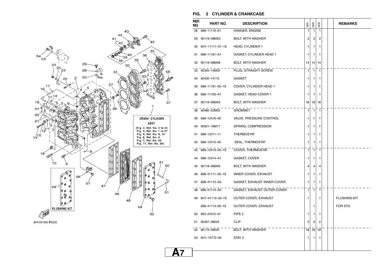

6H19100-F020

#### **FIG. 2 CYLINDER & CRANKCASE**

| REF.<br>NO. | PART NO.        | <b>DESCRIPTION</b>          | USA | CAN                     | OCE          |  | <b>REMARKS</b>      |
|-------------|-----------------|-----------------------------|-----|-------------------------|--------------|--|---------------------|
| 28          | 688-11119-01    | HANGER, ENGINE              | 1   | 1                       | $\mathbf{1}$ |  |                     |
| 29          | 90119-08MA3     | <b>BOLT, WITH WASHER</b>    | 2   | $\overline{\mathbf{c}}$ | 2            |  |                     |
| 30          | 6H1-11111-01-1S | HEAD, CYLINDER 1            | 1   | 1                       | 1            |  |                     |
| 31          | 688-11181-A1    | GASKET, CYLINDER HEAD 1     | 1   | 1                       | 1            |  |                     |
| 32          | 90119-08MA8     | <b>BOLT, WITH WASHER</b>    | 14  | 14                      | 14           |  |                     |
| 33          | 90340-14M00     | PLUG, STRAIGHT SCREW        | 1   | $\mathbf{1}$            | $\mathbf{1}$ |  |                     |
| 34          | 90430-14115     | GASKET                      | 1   | 1                       | 1            |  |                     |
| 35          | 688-11191-00-1S | COVER, CYLINDER HEAD 1      | 1   | 1                       | 1            |  |                     |
| 36          | 688-11193-A1    | GASKET, HEAD COVER 1        | 1   | 1                       | 1            |  |                     |
| 37          | 90119-06MA3     | <b>BOLT, WITH WASHER</b>    | 18  | 18                      | 18           |  |                     |
| 38          | 90480-20M05     | GROMMET                     | 1   | $\mathbf{1}$            | 1            |  |                     |
| 39          | 688-12416-00    | VALVE, PRESSURE CONTROL     | 1   | 1                       | 1            |  |                     |
| 40          | 90501-16M11     | SPRING, COMPRESSION         | 1   | 1                       | 1            |  |                     |
| 41          | 688-12411-11    | <b>THERMOSTAT</b>           | 1   | 1                       | 1            |  |                     |
| 42          | 688-12412-00    | .SEAL, THERMOSTAT           | 1   | 1                       | 1            |  |                     |
| 43          | 688-12413-00-1S | COVER, THERMOSTAT           | 1   | $\mathbf{1}$            | $\mathbf{1}$ |  |                     |
| 44          | 688-12414-A1    | GASKET, COVER               | 1   | 1                       | 1            |  |                     |
| 45          | 90119-06MA5     | BOLT, WITH WASHER           | 4   | 4                       | 4            |  |                     |
| 46          | 688-41111-00-1S | INNER COVER, EXHAUST        | 1   | 1                       | 1            |  |                     |
| 47          | 688-41112-A0    | GASKET, EXHAUST INNER COVER | 1   | 1                       | 1            |  |                     |
| 48          | 688-41114-A0    | GASKET, EXHAUST OUTER COVER | 1   | $\mathbf{1}$            | $\mathbf{1}$ |  |                     |
| 49          | 6H1-41113-00-1S | OUTER COVER, EXHAUST        | 1   |                         | 1            |  | <b>FLUSHING KIT</b> |
|             | 688-41113-00-1S | OUTER COVER, EXHAUST        |     | 1                       |              |  | FOR STD             |
| 50          | 663-24312-01    | PIPE <sub>2</sub>           | 1   | 1                       | 1            |  |                     |
| 51          | 90467-08004     | <b>CLIP</b>                 | 2   | 2                       | 2            |  |                     |
| 52          | 90119-08020     | BOLT, WITH WASHER           | 18  | 18                      | 18           |  |                     |
| 53          | 6H1-15772-00    | STAY 2                      | 1   | 1                       | 1            |  |                     |
|             |                 |                             |     |                         |              |  |                     |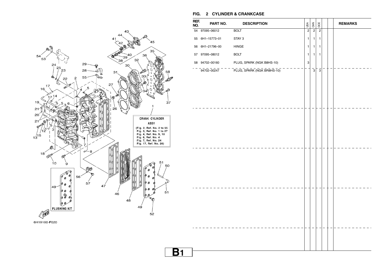

**B1**

| REF.<br>NO. | PART NO.       | <b>DESCRIPTION</b>                                                | $\frac{1}{2}$ | $\frac{5}{2}$  | OCE                     | <b>REMARKS</b> |
|-------------|----------------|-------------------------------------------------------------------|---------------|----------------|-------------------------|----------------|
|             | 54 97095-06012 | <b>BOLT</b>                                                       |               |                | $\overline{2}$          |                |
| 55          | 6H1-15773-01   | STAY 3                                                            | 1             | $\mathbf{1}$   | 1                       |                |
| 56          | 6H1-21796-00   | $\ensuremath{\mathsf{H}}\xspace\ensuremath{\mathsf{INGE}}\xspace$ | 1             | $\mathbf{1}$   | 1                       |                |
|             | 57 97095-08012 | <b>BOLT</b>                                                       | 1             | 1              | 1                       |                |
|             | 58 94702-00160 | PLUG, SPARK (NGK B8HS-10)                                         | 3             |                |                         |                |
|             | 94702-00247    | PLUG, SPARK (NGK BR8HS-10)                                        |               | $\overline{3}$ | $\overline{\mathbf{3}}$ |                |
|             |                |                                                                   |               |                |                         |                |
|             |                |                                                                   |               |                |                         |                |
|             |                |                                                                   |               |                |                         |                |
|             |                |                                                                   |               |                |                         |                |
|             |                |                                                                   |               |                |                         |                |
|             |                |                                                                   |               |                |                         |                |
|             |                |                                                                   |               |                |                         |                |
|             |                |                                                                   |               |                |                         |                |
|             |                |                                                                   |               |                |                         |                |
|             |                |                                                                   |               |                |                         |                |
|             |                |                                                                   |               |                |                         |                |
|             |                |                                                                   |               |                |                         |                |
|             |                |                                                                   |               |                |                         |                |
|             |                |                                                                   |               |                |                         |                |
|             |                |                                                                   |               |                |                         |                |
|             |                |                                                                   |               |                |                         |                |
|             |                |                                                                   |               |                |                         |                |
|             |                |                                                                   |               |                |                         |                |

**FIG. 2 CYLINDER & CRANKCASE**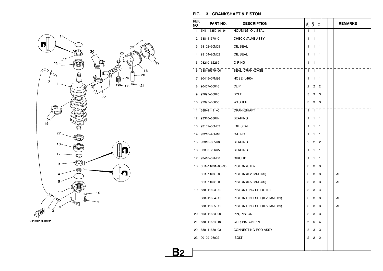

#### **FIG. 3 CRANKSHAFT & PISTON**

| REF.<br>NO. | PART NO.        | <b>DESCRIPTION</b>           | USA            | CAN            | OCE          |  | <b>REMARKS</b> |
|-------------|-----------------|------------------------------|----------------|----------------|--------------|--|----------------|
| 1.          | 6H1-15359-01-94 | HOUSING, OIL SEAL            | $\mathbf{1}$   | $\mathbf{1}$   | $\mathbf{1}$ |  |                |
| 2           | 688-11370-01    | CHECK VALVE ASSY             | 1              | 1              | 1            |  |                |
| 3           | 93102-30M05     | OIL SEAL                     | 1              | 1              | 1            |  |                |
| 4           | 93104-20M02     | OIL SEAL                     | 1              | 1              | 1            |  |                |
| 5           | 93210-62269     | O-RING                       | 1              | 1              | 1            |  |                |
| 6           | 688-15379-00    | SEAL, CRANKCASE              | $\mathbf{1}$   | $\overline{1}$ | $\mathbf{1}$ |  |                |
| 7           | 90445-07M86     | <b>HOSE (L460)</b>           | 1              | 1              | 1            |  |                |
| 8           | 90467-06016     | <b>CLIP</b>                  | 2              | 2              | 2            |  |                |
| 9           | 97095-06020     | <b>BOLT</b>                  | 3              | 3              | 3            |  |                |
| 10          | 92995-06600     | <b>WASHER</b>                | 3              | 3              | 3            |  |                |
| 11          | 688-11411-01    | CRANKSHAFT                   | $\mathbf{1}$   | $\overline{1}$ | $\mathbf{1}$ |  |                |
| 12          | 93310-636U4     | <b>BEARING</b>               | 1              | 1              | 1            |  |                |
| 13          | 93102-36M02     | .OIL SEAL                    | 1              | 1              | 1            |  |                |
| 14          | 93210-46M16     | O-RING                       | 1              | 1              | 1            |  |                |
| 15          | 93310-835U8     | <b>BEARING</b>               | $\overline{c}$ | 2              | 2            |  |                |
| 16          | 93306-206U5     | <b>BEARING</b>               | 1              | $\overline{1}$ | $\mathbf{1}$ |  |                |
| 17          | 93410-32M00     | <b>CIRCLIP</b>               | 1              | 1              | 1            |  |                |
| 18          | 6H1-11631-03-95 | PISTON (STD)                 | 3              | 3              | 3            |  |                |
|             | 6H1-11635-03    | PISTON (0.25MM O/S)          | 3              | 3              | 3            |  | AP             |
|             | 6H1-11636-03    | PISTON (0.50MM O/S)          | 3              | 3              | 3            |  | AP             |
| 19          | 688-11603-A0    | PISTON RING SET (STD)        | $\overline{3}$ | 3              | 3            |  |                |
|             | 688-11604-A0    | PISTON RING SET (0.25MM O/S) | 3              | 3              | 3            |  | AP             |
|             | 688-11605-A0    | PISTON RING SET (0.50MM O/S) | 3              | 3              | 3            |  | AP             |
| 20          | 663-11633-00    | PIN, PISTON                  | 3              | 3              | 3            |  |                |
| 21          | 688-11634-10    | CLIP, PISTON PIN             | 6              | 6              | 6            |  |                |
| 22          | 688-11650-03    | CONNECTING ROD ASSY          | 3              | 3              | 3            |  |                |
| 23          | 90109-08022     | .BOLT                        | 2              | 2              | 2            |  |                |
|             |                 |                              |                |                |              |  |                |

**B2**

١¢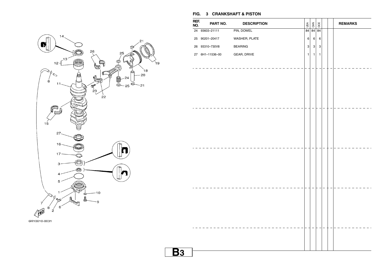

#### **FIG. 3 CRANKSHAFT & PISTON**

| REF.<br>NO. | PART NO.        | <b>DESCRIPTION</b> | USA          | CAN          | OCE        |  | <b>REMARKS</b> |
|-------------|-----------------|--------------------|--------------|--------------|------------|--|----------------|
|             | 24 93603-21111  | PIN, DOWEL         | 84           | 84           | 84         |  |                |
|             | 25 90201-20417  | WASHER, PLATE      | 6            | $\,6\,$      | 6          |  |                |
|             | 26 93310-730V8  | <b>BEARING</b>     | $\mathbf{3}$ | $\mathbf{3}$ | $\sqrt{3}$ |  |                |
|             | 27 6H1-11536-00 | GEAR, DRIVE        | $\mathbf{1}$ | $\mathbf{1}$ | 1          |  |                |
|             |                 |                    |              |              |            |  |                |
|             |                 |                    |              |              |            |  |                |
|             |                 |                    |              |              |            |  |                |
|             |                 |                    |              |              |            |  |                |
|             |                 |                    |              |              |            |  |                |
|             |                 |                    |              |              |            |  |                |
|             |                 |                    |              |              |            |  |                |
|             |                 |                    |              |              |            |  |                |
|             |                 |                    |              |              |            |  |                |
|             |                 |                    |              |              |            |  |                |
|             |                 |                    |              |              |            |  |                |
|             |                 |                    |              |              |            |  |                |
|             |                 |                    |              |              |            |  |                |
|             |                 |                    |              |              |            |  |                |
|             |                 |                    |              |              |            |  |                |
|             |                 |                    |              |              |            |  |                |
|             |                 |                    |              |              |            |  |                |
|             |                 |                    |              |              |            |  |                |
|             |                 |                    |              |              |            |  |                |
|             |                 |                    |              |              |            |  |                |
|             |                 |                    |              |              |            |  |                |
|             |                 |                    |              |              |            |  |                |
|             |                 |                    |              |              |            |  |                |
|             |                 |                    |              |              |            |  |                |
|             |                 |                    |              |              |            |  |                |

i c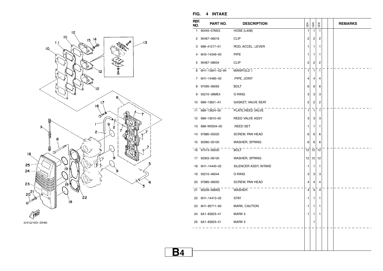

6H12100-2040

| REF.<br>NO. | PART NO.        | <b>DESCRIPTION</b>     | USA            | CAN            | OCE            |  | <b>REMARKS</b> |
|-------------|-----------------|------------------------|----------------|----------------|----------------|--|----------------|
| 1           | 90445-07M23     | <b>HOSE (L408)</b>     | 1              | $\mathbf{1}$   | 1              |  |                |
| 2           | 90467-06016     | <b>CLIP</b>            | 2              | 2              | 2              |  |                |
| 3           | 688-41217-01    | ROD, ACCEL. LEVER      | 1              | 1              | 1              |  |                |
| 4           | 6H3-14349-00    | <b>PIPE</b>            | 1              | 1              | 1              |  |                |
| 5           | 90467-08004     | <b>CLIP</b>            | 2              | 2              | $\overline{2}$ |  |                |
| 6           | 6H1-13641-02-94 | MANIFOLD 1             | $\mathbf{1}$   | 1              | $\mathbf{1}$   |  |                |
| 7           | 6H1-14485-00    | .PIPE, JOINT           | 4              | 4              | 4              |  |                |
| 8           | 97095-06095     | <b>BOLT</b>            | 6              | 6              | 6              |  |                |
| 9           | 93210-39ME4     | O-RING                 | 3              | 3              | 3              |  |                |
| 10          | 688-13621-A1    | GASKET, VALVE SEAT     | $\overline{c}$ | $\overline{c}$ | $\overline{2}$ |  |                |
| 11          | 688-13624-00    | PLATE, REED VALVE      | $\mathbf{1}$   | $\mathbf{1}$   | 1              |  |                |
| 12          | 688-13610-00    | <b>REED VALVE ASSY</b> | 3              | 3              | 3              |  |                |
| 13          | 688-W0004-00    | .REED SET              | 1              | 1              | 1              |  |                |
| 14          | 97880-05020     | SCREW, PAN HEAD        | 6              | 6              | 6              |  |                |
| 15          | 92990-05100     | WASHER, SPRING         | 6              | 6              | 6              |  |                |
| 16          | 97013-06030     | <b>BOLT</b>            | 12             | 12             | 12             |  |                |
| 17          | 92903-06100     | WASHER, SPRING         | 12             | 12             | 12             |  |                |
| 18          | 6H1-14440-02    | SILENCER ASSY, INTAKE  | 1              | 1              | 1              |  |                |
| 19          | 93210-46044     | O-RING                 | 3              | 3              | 3              |  |                |
| 20          | 97885-06050     | SCREW, PAN HEAD        | 4              | $\overline{4}$ | 4              |  |                |
| 21          | 90209-06M05     | WASHER                 | 4              | $\overline{4}$ | $\overline{4}$ |  |                |
| 22          | 6H1-14413-02    | <b>STAY</b>            | 1              | 1              | 1              |  |                |
| 23          | 6H1-85711-60    | MARK, CAUTION          | 1              | 1              | 1              |  |                |
| 24          | 6A1-83625-41    | MARK 5                 | 1              | 1              | 1              |  |                |
|             | 25 6A1-83625-51 | MARK 5                 |                | 1              |                |  |                |
|             |                 |                        |                |                |                |  |                |
|             |                 |                        |                |                |                |  |                |
|             |                 |                        |                |                |                |  |                |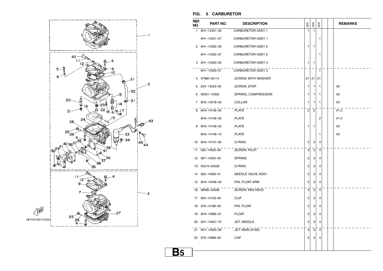

#### **FIG. 5 CARBURETOR**

| REF.<br>NO.  | PART NO.     | <b>DESCRIPTION</b>       | USA                     | CAN            | OCE          |  | <b>REMARKS</b> |
|--------------|--------------|--------------------------|-------------------------|----------------|--------------|--|----------------|
| $\mathbf{1}$ | 6H1-14301-30 | <b>CARBURETOR ASSY 1</b> | 1                       | 1              |              |  |                |
|              | 6H1-14301-07 | <b>CARBURETOR ASSY 1</b> |                         |                | 1            |  |                |
| 2            | 6H1-14302-30 | <b>CARBURETOR ASSY 2</b> | 1                       | 1              |              |  |                |
|              | 6H1-14302-07 | <b>CARBURETOR ASSY 2</b> |                         |                | 1            |  |                |
| 3            | 6H1-14303-30 | <b>CARBURETOR ASSY 3</b> | 1                       | 1              |              |  |                |
|              | 6H1-14303-07 | <b>CARBURETOR ASSY 3</b> |                         |                | $\mathbf{1}$ |  |                |
| 4            | 97980-04114  | .SCREW, WITH WASHER      | 21                      |                | $21$ 21      |  |                |
| 5            | 63V-14523-00 | .SCREW, STOP             | 1                       | 1              | 1            |  | #2             |
| 6            | 90501-10326  | .SPRING, COMPRESSION     | 1                       | 1              | 1            |  | #2             |
| 7            | 6H2-14578-00 | .COLLAR                  | 1                       | 1              | 1            |  | #3             |
| 8            | 6H4-14146-20 | .PLATE                   | $\overline{\mathbf{c}}$ | $\overline{c}$ |              |  | #1,3           |
|              | 6H4-14146-00 | .PLATE                   |                         |                | 2            |  | #1,3           |
| 9            | 6H3-14146-20 | .PLATE                   | 1                       | 1              |              |  | #2             |
|              | 6H3-14146-10 | .PLATE                   |                         |                | 1            |  | #2             |
| 10           | 6H4-14147-00 | .O-RING                  | 3                       | 3              | 3            |  |                |
| 11           | 692-14923-00 | .SCREW, PILOT            | 3                       | 3              | 3            |  |                |
| 12           | 697-14555-00 | .SPRING                  | 3                       | 3              | 3            |  |                |
| 13           | 93210-04228  | .O-RING                  | 3                       | 3              | 3            |  |                |
| 14           | 692-14590-01 | .NEEDLE VALVE ASSY       | 3                       | 3              | 3            |  |                |
| 15           | 6H4-14548-00 | .PIN, FLOAT ARM          | 3                       | 3              | 3            |  |                |
| 16           | 98580-04008  | .SCREW, PAN HEAD         | 3                       | 3              | 3            |  |                |
| 17           | 663-14159-00 | .CLIP                    | 3                       | 3              | 3            |  |                |
| 18           | 676-14186-00 | PIN, FLOAT               | 3                       | 3              | 3            |  |                |
| 19           | 6H4-14985-01 | .FLOAT                   | 3                       | 3              | 3            |  |                |
| 20           | 6H1-14947-75 | .JET, NEEDLE             | 3                       | 3              | 3            |  |                |
| 21           | 6H1-14943-39 | .JET, MAIN (#160)        | 3                       | 3              | 3            |  |                |
| 22           | 676-14966-00 | .CAP                     | 3                       | 3              | 3            |  |                |
|              |              |                          |                         |                |              |  |                |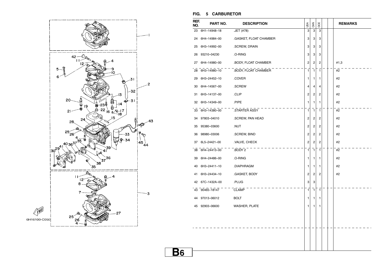

#### **FIG. 5 CARBURETOR**

| REF.<br>NO. | PART NO.     | <b>DESCRIPTION</b>         | USA                     | CAN            | <b>DCE</b>     |  | <b>REMARKS</b> |
|-------------|--------------|----------------------------|-------------------------|----------------|----------------|--|----------------|
| 23          | 6H1-14948-18 | .JET (#78)                 | 3                       | 3              | 3              |  |                |
| 24          | 6H4-14984-00 | .GASKET, FLOAT CHAMBER     | 3                       | 3              | 3              |  |                |
| 25          | 6H3-14992-00 | .SCREW, DRAIN              | 3                       | 3              | 3              |  |                |
| 26          | 93210-04230  | .O-RING                    | 3                       | 3              | 3              |  |                |
| 27          | 6H4-14980-00 | <b>BODY, FLOAT CHAMBER</b> | $\overline{c}$          | 2              | 2              |  | #1,3           |
| 28          | 6H3-14980-10 | .BODY, FLOAT CHAMBER       | $\mathbf{1}$            | $\overline{1}$ | $\mathbf{1}$   |  | #2             |
| 29          | 6H3-24452-10 | .COVER                     | 1                       | 1              | 1              |  | #2             |
| 30          | 6H4-14567-00 | .SCREW                     | 4                       | 4              | 4              |  | #2             |
| 31          | 6H3-14137-00 | .CLIP                      | $\overline{2}$          | 2              | 2              |  | #2             |
| 32          | 6H3-14349-00 | .PIPE                      | 1                       | 1              | 1              |  | #2             |
| 33          | 6H3-14380-00 | .STARTER ASSY              | $\mathbf{1}$            | $\overline{1}$ | $\mathbf{1}$   |  | #2             |
| 34          | 97803-04010  | .SCREW, PAN HEAD           | $\overline{c}$          | 2              | $\overline{c}$ |  | #2             |
| 35          | 95380-03600  | .NUT                       | $\overline{c}$          | 2              | 2              |  | #2             |
| 36          | 98980-03006  | .SCREW, BIND               | $\overline{\mathbf{c}}$ | 2              | 2              |  | #2             |
| 37          | 6L5-24421-00 | .VALVE, CHECK              | 2                       | 2              | 2              |  | #2             |
| 38          | 6H4-24413-00 | .BODY 2                    | $\mathbf{1}$            | $\mathbf{1}$   | 1              |  | #2             |
| 39          | 6H4-24486-00 | .O-RING                    | 1                       | 1              | 1              |  | #2             |
| 40          | 6H3-24411-10 | .DIAPHRAGM                 | 1                       | 1              | 1              |  | #2             |
| 41          | 6H3-24434-10 | .GASKET, BODY              | $\overline{\mathbf{c}}$ | 2              | 2              |  | #2             |
| 42          | 67C-1432A-00 | .PLUG                      | 3                       | 3              |                |  |                |
| 43          | 90465-18147  | <b>CLAMP</b>               | $\mathbf{1}$            | $\mathbf{1}$   | $\mathbf{1}$   |  |                |
| 44          | 97013-06012  | <b>BOLT</b>                | 1                       | 1              | 1              |  |                |
| 45          | 92903-06600  | <b>WASHER, PLATE</b>       | 1                       | 1              | 1              |  |                |
|             |              |                            |                         |                |                |  |                |
|             |              |                            |                         |                |                |  |                |
|             |              |                            |                         |                |                |  |                |
|             |              |                            |                         |                |                |  |                |
|             |              |                            |                         |                |                |  |                |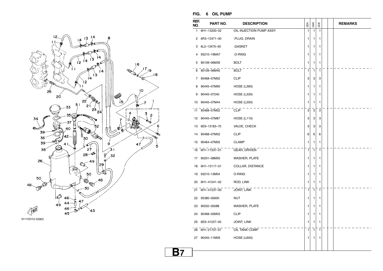

| 6H10010-0060 |  |
|--------------|--|
|--------------|--|

**FIG. 6 OIL PUMP** 

| REF.<br>NO. | PART NO.     | <b>DESCRIPTION</b>      | USA          | CAN          | OCE          |  | <b>REMARKS</b> |
|-------------|--------------|-------------------------|--------------|--------------|--------------|--|----------------|
| 1           | 6H1-13200-02 | OIL INJECTION PUMP ASSY | 1            | 1            | 1            |  |                |
| 2           | 6R3-13471-00 | .PLUG, DRAIN            | 1            | 1            | 1            |  |                |
| 3           | 6L2-13475-00 | .GASKET                 | 1            | 1            | 1            |  |                |
| 4           | 93210-19MA7  | .O-RING                 | 1            | 1            | 1            |  |                |
| 5           | 90109-06M39  | <b>BOLT</b>             | 1            | 1            | 1            |  |                |
| 6           | 90109-06M40  | <b>BOLT</b>             | 1            | $\mathbf{1}$ | 1            |  |                |
| 7           | 90468-07M02  | <b>CLIP</b>             | 3            | 3            | 3            |  |                |
| 8           | 90445-07M90  | <b>HOSE (L390)</b>      | 1            | 1            | 1            |  |                |
| 9           | 90445-07240  | <b>HOSE (L330)</b>      | 1            | 1            | 1            |  |                |
| 10          | 90445-07M44  | <b>HOSE (L250)</b>      | 1            | 1            | 1            |  |                |
| 11          | 90468-07M02  | <b>CLIP</b>             | 3            | 3            | 3            |  |                |
| 12          | 90445-07M87  | <b>HOSE (L110)</b>      | 3            | 3            | 3            |  |                |
| 13          | 6E9-13183-70 | VALVE, CHECK            | 3            | 3            | 3            |  |                |
| 14          | 90468-07M02  | <b>CLIP</b>             | 6            | 6            | 6            |  |                |
| 15          | 90464-07M05  | <b>CLAMP</b>            | 1            | 1            | 1            |  |                |
| 16          | 6H1-11537-01 | GEAR, DRIVEN            | $\mathbf{1}$ | $\mathbf{1}$ | $\mathbf{1}$ |  |                |
| 17          | 90201-08M93  | WASHER, PLATE           | 1            | 1            | 1            |  |                |
| 18          | 6H1-13117-01 | COLLAR, DISTANCE        | 1            | 1            | 1            |  |                |
| 19          | 93210-13M04  | O-RING                  | 1            | 1            | 1            |  |                |
| 20          | 6H1-41241-02 | ROD, LINK               | 1            | 1            | 1            |  |                |
| 21          | 6H1-41237-00 | <b>JOINT, LINK</b>      | 1            | 1            | 1            |  |                |
| 22          | 95380-05600  | NUT                     | 1            | 1            | 1            |  |                |
| 23          | 90202-05088  | <b>WASHER, PLATE</b>    | 1            | 1            | 1            |  |                |
| 24          | 90468-05M03  | <b>CLIP</b>             | 1            | 1            | 1            |  |                |
| 25          | 6E9-41237-00 | <b>JOINT, LINK</b>      | 1            | 1            | 1            |  |                |
| 26          | 6H1-21707-07 | OIL TANK COMP.          | 1            | 1            | 1            |  |                |
| 27          | 90445-11M09  | <b>HOSE (L600)</b>      | 1            | 1            | 1            |  |                |
|             |              |                         |              |              |              |  |                |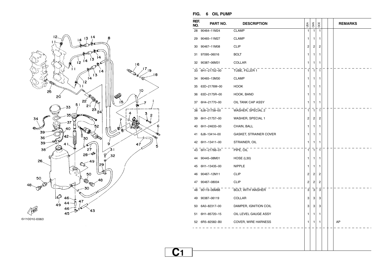

| 6H10010-0060 |  |
|--------------|--|
|--------------|--|

**FIG. 6 OIL PUMP** 

| REF.<br>NO. | PART NO.        | <b>DESCRIPTION</b>            | USA                     | CAN            | OCE          |  | <b>REMARKS</b> |
|-------------|-----------------|-------------------------------|-------------------------|----------------|--------------|--|----------------|
| 28          | 90464-11M24     | <b>CLAMP</b>                  | $\mathbf{1}$            | $\mathbf{1}$   | $\mathbf{1}$ |  |                |
| 29          | 90465-11M27     | <b>CLAMP</b>                  | 1                       | 1              | 1            |  |                |
| 30          | 90467-11M08     | <b>CLIP</b>                   | $\overline{\mathbf{c}}$ | 2              | 2            |  |                |
| 31          | 97095-06016     | <b>BOLT</b>                   | 1                       | 1              | 1            |  |                |
| 32          | 90387-06M31     | COLLAR                        | 1                       | 1              | 1            |  |                |
| 33          | 6H1-21752-00    | TUBE, FILLER 1                | $\mathbf{1}$            | $\overline{1}$ | $\mathbf{1}$ |  |                |
| 34          | 90465-13M30     | <b>CLAMP</b>                  | 1                       | 1              | 1            |  |                |
| 35          | 63D-2176M-00    | <b>HOOK</b>                   | 1                       | 1              | 1            |  |                |
| 36          | 63D-2175R-00    | HOOK, BAND                    | 1                       | 1              | 1            |  |                |
| 37          | 6H4-21770-00    | OIL TANK CAP ASSY             | 1                       | 1              | 1            |  |                |
| 38          | 6J8-21758-00    | WASHER, SPECIAL 2             | 1                       | $\mathbf{1}$   | 1            |  |                |
| 39          | 6H1-21757-00    | WASHER, SPECIAL 1             | 2                       | 2              | 2            |  |                |
| 40          | 6H1-24633-00    | CHAIN, BALL                   | 1                       | 1              | 1            |  |                |
| 41          | 6J8-13414-00    | <b>GASKET, STRAINER COVER</b> | 1                       | 1              | 1            |  |                |
| 42          | 6H1-13411-00    | STRAINER, OIL                 | 1                       | 1              | 1            |  |                |
| 43          | 6H1-21766-01    | PIPE, OIL                     | $\mathbf{1}$            | $\mathbf{1}$   | $\mathbf{1}$ |  |                |
| 44          | 90445-08M01     | HOSE (L30)                    | 1                       | 1              | 1            |  |                |
| 45          | 6H1-13435-00    | <b>NIPPLE</b>                 | 1                       | 1              | 1            |  |                |
| 46          | 90467-12M11     | <b>CLIP</b>                   | 2                       | $\overline{c}$ | 2            |  |                |
| 47          | 90467-08004     | <b>CLIP</b>                   | 2                       | $\overline{c}$ | 2            |  |                |
| 48          | 90119-06M88     | <b>BOLT, WITH WASHER</b>      | 3                       | 3              | 3            |  |                |
| 49          | 90387-06119     | COLLAR                        | 3                       | 3              | 3            |  |                |
| 50          | 6A0-82317-00    | DAMPER, IGNITION COIL         | 3                       | 3              | 3            |  |                |
| 51          | 6H1-85720-15    | OIL LEVEL GAUGE ASSY          | 1                       | 1              | 1            |  |                |
|             | 52 6R5-82582-B0 | COVER, WIRE HARNESS           | 1                       | 1              | 1            |  | AP             |
|             |                 |                               |                         |                |              |  |                |
|             |                 |                               |                         |                |              |  |                |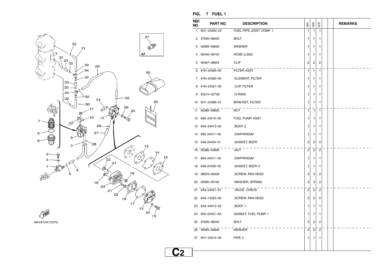

**FIG. 7 FUEL 1** 

| REF.<br>NO. | PART NO.        | <b>DESCRIPTION</b>      | USA                     | CAN                     | OCE                     |  | <b>REMARKS</b> |
|-------------|-----------------|-------------------------|-------------------------|-------------------------|-------------------------|--|----------------|
| 1           | 6G1-24304-02    | FUEL PIPE JOINT COMP. 1 | $\mathbf{1}$            | 1                       | 1                       |  |                |
| 2           | 97095-06020     | <b>BOLT</b>             | 1                       | 1                       | 1                       |  |                |
| З           | 92995-06600     | <b>WASHER</b>           | 1                       | 1                       | 1                       |  |                |
| 4           | 90445-09104     | <b>HOSE (L300)</b>      | 1                       | 1                       | 1                       |  |                |
| 5           | 90467-08004     | <b>CLIP</b>             | 2                       | 2                       | 2                       |  |                |
| 6           | 61N-24560-00    | <b>FILTER ASSY</b>      | $\mathbf{1}$            | $\mathbf{1}$            | $\mathbf{1}$            |  |                |
| 7           | 61N-24563-00    | .ELEMENT, FILTER        | 1                       | 1                       | 1                       |  |                |
| 8           | 61N-24521-00    | .CUP, FILTER            | 1                       | 1                       | 1                       |  |                |
| 9           | 93210-32738     | .O-RING                 | 1                       | 1                       | 1                       |  |                |
| 10          | 6H1-24566-01    | <b>BRACKET, FILTER</b>  | 1                       | 1                       | 1                       |  |                |
| 11          | 95380-08600     | <b>NUT</b>              | 1                       | $\mathbf{1}$            | $\mathbf{1}$            |  |                |
| 12          | 692-24410-00    | FUEL PUMP ASSY          | 1                       | 1                       | 1                       |  |                |
|             | 13 6A0-24413-00 | .BODY 2                 | 1                       | 1                       | 1                       |  |                |
| 14          | 692-24411-00    | .DIAPHRAGM              | 1                       | 1                       | 1                       |  |                |
| 15          | 648-24434-01    | .GASKET, BODY           | 2                       | 2                       | 2                       |  |                |
|             | 16 95380-03600  | .NUT                    | $\overline{c}$          | $\overline{c}$          | $\overline{c}$          |  |                |
|             | 17 663-24411-00 | .DIAPHRAGM              | 1                       | 1                       | 1                       |  |                |
|             | 18 648-24435-02 | .GASKET, BODY 2         | 1                       | 1                       | 1                       |  |                |
| 19          | 98503-05028     | .SCREW, PAN HEAD        | 3                       | 3                       | 3                       |  |                |
| 20          | 92990-05100     | .WASHER, SPRING         | 3                       | 3                       | 3                       |  |                |
|             | 21 6A0-24421-01 | VALVE, CHECK            | 2                       | $\overline{2}$          | $\overline{2}$          |  |                |
|             | 22 6A0-14325-00 | .SCREW, PAN HEAD        | 2                       | 2                       | 2                       |  |                |
|             | 23 6A0-24412-02 | BODY 1.                 | 1                       | 1                       | 1                       |  |                |
| 24          | 650-24431-A0    | GASKET, FUEL PUMP 1     | 1                       | 1                       | 1                       |  |                |
| 25          | 97095-06040     | <b>BOLT</b>             | 2                       | 2                       | 2                       |  |                |
|             | 26 92995-06600  | <b>WASHER</b>           | $\overline{\mathbf{c}}$ | $\overline{\mathbf{c}}$ | $\overline{\mathbf{c}}$ |  |                |
|             | 27 6H1-24314-00 | PIPE 4                  | 1                       | 1                       | 1                       |  |                |
|             |                 |                         |                         |                         |                         |  |                |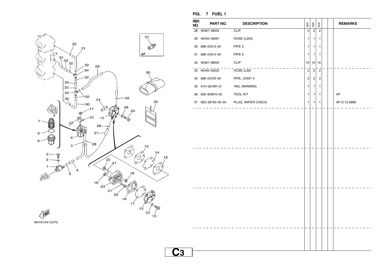

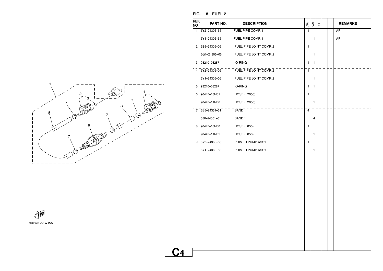![](_page_18_Figure_0.jpeg)

| REF.<br>NO. | PART NO.       | <b>DESCRIPTION</b>                     | USA          | CAN          | OCE |  | <b>REMARKS</b> |
|-------------|----------------|----------------------------------------|--------------|--------------|-----|--|----------------|
|             | 1 6Y2-24306-56 | FUEL PIPE COMP. 1                      | 1            |              |     |  | AP             |
|             | 6Y1-24306-55   | FUEL PIPE COMP. 1                      |              | $\mathbf{1}$ |     |  | AP             |
|             | 2 6E5-24305-06 | .FUEL PIPE JOINT COMP. 2               | 1            |              |     |  |                |
|             | 6G1-24305-05   | .FUEL PIPE JOINT COMP. 2               |              | 1            |     |  |                |
|             | 3 93210-08287  | $.0 - RING$                            | 1            | 1            |     |  |                |
|             | 4 6Y2-24305-06 | FUEL PIPE JOINT COMP. 2                | $\mathbf{1}$ |              |     |  |                |
|             | 6Y1-24305-06   | .FUEL PIPE JOINT COMP. 2               |              | 1            |     |  |                |
|             | 5 93210-08287  | O-RING                                 | 1            | 1            |     |  |                |
| 6           | 90445-13M01    | .HOSE (L2050)                          | 1            |              |     |  |                |
|             | 90445-11M06    | .HOSE (L2050)                          |              | 1            |     |  |                |
|             | 7 6E5-24351-51 | .BAND 1                                | 4            |              |     |  |                |
|             | 650-24351-51   | .BAND 1                                |              | 4            |     |  |                |
|             | 8 90445-13M00  | .HOSE (L850)                           | 1            |              |     |  |                |
|             | 90445-11M05    | .HOSE (L850)                           |              | 1            |     |  |                |
|             | 9 6Y2-24360-60 | .PRIMER PUMP ASSY                      | 1            |              |     |  |                |
|             |                | $-6Y1 - 24360 - 52$ - PRIMER PUMP ASSY |              | 1            |     |  |                |
|             |                |                                        |              |              |     |  |                |
|             |                |                                        |              |              |     |  |                |
|             |                |                                        |              |              |     |  |                |
|             |                |                                        |              |              |     |  |                |
|             |                |                                        |              |              |     |  |                |
|             |                |                                        |              |              |     |  |                |
|             |                |                                        |              |              |     |  |                |
|             |                |                                        |              |              |     |  |                |
|             |                |                                        |              |              |     |  |                |
|             |                |                                        |              |              |     |  |                |
|             |                |                                        |              |              |     |  |                |
|             |                |                                        |              |              |     |  |                |
|             |                |                                        |              |              |     |  |                |

![](_page_18_Picture_2.jpeg)

**FIG. 8 FUEL 2**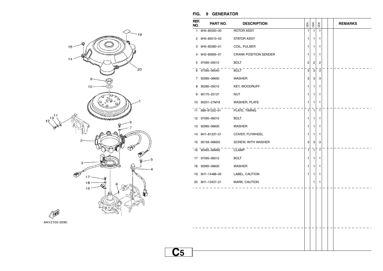![](_page_19_Figure_0.jpeg)

![](_page_19_Figure_1.jpeg)

#### **FIG. 9 GENERATOR**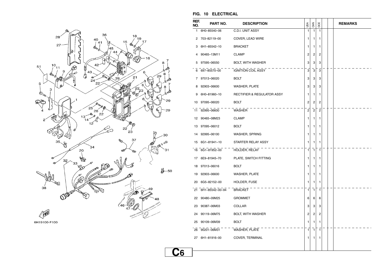![](_page_20_Figure_0.jpeg)

6H19100-F100

#### **FIG. 10 ELECTRICAL**

| REF.<br>NO. | PART NO.           | <b>DESCRIPTION</b>                    | USA          | CAN            | OCE            |  | <b>REMARKS</b> |
|-------------|--------------------|---------------------------------------|--------------|----------------|----------------|--|----------------|
| 1.          | 6H0-85540-06       | C.D.I. UNIT ASSY                      | 1            | $\mathbf{1}$   | $\mathbf{1}$   |  |                |
| 2           | 703-82119-00       | COVER, LEAD WIRE                      | 1            | 1              | 1              |  |                |
| 3           | 6H1-85542-10       | <b>BRACKET</b>                        | 1            | 1              | 1              |  |                |
| 4           | 90465-13M11        | <b>CLAMP</b>                          | 2            | 2              | 2              |  |                |
| 5           | 97595-06550        | BOLT, WITH WASHER                     | 3            | 3              | 3              |  |                |
|             | 6 697-85570-00     | <b>IGNITION COIL ASSY</b>             | 3            | 3              | 3              |  |                |
| 7           | 97013-06020        | <b>BOLT</b>                           | 3            | 3              | 3              |  |                |
| 8           | 92903-06600        | <b>WASHER, PLATE</b>                  | 3            | 3              | 3              |  |                |
| 9           | 6H0-81960-10       | <b>RECTIFIER &amp; REGULATOR ASSY</b> | 1            | 1              | 1              |  |                |
|             | 10 97095-06020     | <b>BOLT</b>                           | 2            | 2              | 2              |  |                |
| 11          | 92995-06600        | WASHER                                | $\mathbf{2}$ | $\overline{2}$ | $\overline{c}$ |  |                |
|             | 12 90465-08M23     | <b>CLAMP</b>                          | 1            | 1              | 1              |  |                |
|             | 13 97095-06012     | <b>BOLT</b>                           | 1            | 1              | 1              |  |                |
|             | 14 92995-06100     | WASHER, SPRING                        | 1            | 1              | 1              |  |                |
|             | 15 6G1-81941-10    | STARTER RELAY ASSY                    | 1            | 1              | 1              |  |                |
|             | 16 6G1-81952-00    | HOLDER, RELAY                         | $\mathbf{1}$ | $\mathbf{1}$   | $\mathbf{1}$   |  |                |
|             | 17 6E9-81945-70    | PLATE, SWITCH FITTING                 | 1            | 1              | 1              |  |                |
| 18          | 97013-06016        | <b>BOLT</b>                           | 1            | 1              | 1              |  |                |
| 19          | 92903-06600        | <b>WASHER, PLATE</b>                  | 1            | 1              | 1              |  |                |
|             | 20 6G5-82152-00    | HOLDER, FUSE                          | 1            | 1              | 1              |  |                |
|             | 21 6H1-85542-00-94 | <b>BRACKET</b>                        | $\mathbf{1}$ | $\mathbf{1}$   | $\mathbf{1}$   |  |                |
| 22          | 90480-09M25        | <b>GROMMET</b>                        | 6            | 6              | 6              |  |                |
|             | 23 90387-06M03     | <b>COLLAR</b>                         | 3            | 3              | 3              |  |                |
|             | 24 90119-06M75     | BOLT, WITH WASHER                     | 2            | 2              | 2              |  |                |
|             | 25 90109-06M39     | <b>BOLT</b>                           | 1            | 1              | 1              |  |                |
|             | 26 90201-06M31     | WASHER, PLATE                         | 1            | 1              | 1              |  |                |
|             | 27 6H1-81916-00    | COVER, TERMINAL                       | 1            | 1              | 1              |  |                |
|             |                    |                                       |              |                |                |  |                |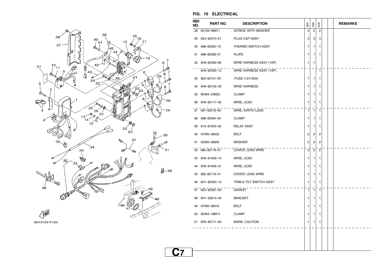![](_page_21_Figure_0.jpeg)

#### **FIG. 10 ELECTRICAL**

| REF.<br>NO. | PART NO.        | <b>DESCRIPTION</b>      | USA            | CAN            | OCE            |  | <b>REMARKS</b> |
|-------------|-----------------|-------------------------|----------------|----------------|----------------|--|----------------|
| 28          | 90159-06M11     | SCREW, WITH WASHER      | $\overline{2}$ | $\overline{2}$ | $\overline{2}$ |  |                |
| 29          | 6E3-82370-21    | PLUG CAP ASSY           | 3              | 3              | 3              |  |                |
| 30          | 688-82560-10    | THERMO SWITCH ASSY      | 1              | 1              | 1              |  |                |
| 31          | 688-82588-01    | <b>PLATE</b>            | 1              | 1              | 1              |  |                |
|             | 32 6H0-82590-80 | WIRE HARNESS ASSY (10P) | 1              | 1              |                |  |                |
|             | 6H0-82590-12    | WIRE HARNESS ASSY (10P) |                |                | $\mathbf{1}$   |  |                |
|             | 33 663-82151-00 | .FUSE (12V-20A)         | 1              | 1              | 1              |  |                |
| 34          | 6H0-82105-02    | <b>WIRE HARNESS</b>     | 1              | 1              | 1              |  |                |
| 35          | 90464-23M22     | <b>CLAMP</b>            | 1              | 1              | 1              |  |                |
|             | 36 6H0-82117-00 | WIRE, LEAD              | 1              | 1              | 1              |  |                |
|             | 37 697-82519-00 | WIRE, EARTH LEAD        | $\mathbf{1}$   | 1              | $\mathbf{1}$   |  |                |
|             | 38 688-82594-00 | <b>CLAMP</b>            | 1              | 1              | 1              |  |                |
| 39          | 61A-81950-00    | <b>RELAY ASSY</b>       | 1              | 1              | 1              |  |                |
| 40          | 97095-06025     | <b>BOLT</b>             | $\overline{c}$ | 2              | 2              |  |                |
| 41          | 92995-06600     | WASHER                  | $\overline{c}$ | 2              | 2              |  |                |
|             | 42 682-82119-01 | COVER, LEAD WIRE        | $\overline{2}$ | $^{-2}$        | $\overline{c}$ |  |                |
| 43          | 6H0-81949-10    | WIRE, LEAD              | 1              | 1              | 1              |  |                |
| 44          | 6H0-81949-01    | WIRE, LEAD              | 1              | 1              | 1              |  |                |
| 45          | 682-82119-01    | COVER, LEAD WIRE        | 1              | 1.             | 1              |  |                |
|             | 46 6H1-82563-10 | TRIM & TILT SWITCH ASSY | 1              | 1              | 1              |  |                |
|             | 47 6E5-82587-00 | GASKET                  | 1              | $\mathbf{1}$   | $\mathbf{1}$   |  |                |
| 48          | 6H1-83614-00    | <b>BRACKET</b>          | 1              | 1              | 1              |  |                |
| 49          | 97095-06016     | <b>BOLT</b>             | 1              | 1              | 1              |  |                |
| 50          | 90464-18M14     | <b>CLAMP</b>            | 1              | 1              | 1              |  |                |
|             | 51 6R5-85711-60 | MARK, CAUTION           | 1              | 1              | 1              |  |                |
|             |                 |                         |                |                |                |  |                |
|             |                 |                         |                |                |                |  |                |
|             |                 |                         |                |                |                |  |                |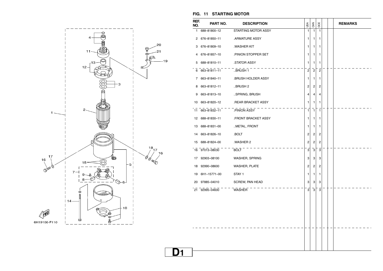![](_page_22_Figure_0.jpeg)

#### **FIG. 11 STARTING MOTOR**

| REF.<br>NO.  | PART NO.        | <b>DESCRIPTION</b>        | ₫              | 64N            | OCE            |  | <b>REMARKS</b> |
|--------------|-----------------|---------------------------|----------------|----------------|----------------|--|----------------|
| $\mathbf{1}$ | 688-81800-12    | STARTING MOTOR ASSY       | 1              | $\mathbf{1}$   | 1              |  |                |
| 2            | 676-81850-11    | .ARMATURE ASSY            | 1              | 1              | 1              |  |                |
| 3            | 676-81809-10    | .WASHER KIT               | 1              | 1              | 1              |  |                |
| 4            | 676-81857-10    | PINION STOPPER SET        | 1              | 1              | 1              |  |                |
|              | 5 688-81810-11  | .STATOR ASSY              | 1              | 1              | 1              |  |                |
|              | 6 663-81811-11  | BRUSH 1                   | $\overline{2}$ | $\sqrt{2}$     | $\sqrt{2}$     |  |                |
|              | 7 663-81840-11  | <b>.BRUSH HOLDER ASSY</b> | 1              | 1.             | 1              |  |                |
| 8            | 663-81812-11    | BRUSH 2                   | 2              | 2              | 2              |  |                |
| 9            | 663-81813-10    | SPRING, BRUSH             | 4              | 4              | 4              |  |                |
|              | 10 663-81820-12 | .REAR BRACKET ASSY        | 1              | 1              | 1              |  |                |
|              | 11 663-81832-11 | .PINION ASSY              | $\mathbf{1}$   | $\mathbf{1}$   | $\mathbf{1}$   |  |                |
|              | 12 688-81830-11 | <b>FRONT BRACKET ASSY</b> | 1              | 1              | 1              |  |                |
|              | 13 688-81831-00 | METAL, FRONT              | 1              | 1              | 1              |  |                |
|              | 14 663-81826-10 | .BOLT                     | 2              | 2              | 2              |  |                |
|              | 15 688-81824-00 | .WASHER 2                 | 2              | $\overline{c}$ | $\overline{c}$ |  |                |
|              | 16 97013-08030  | <b>BOLT</b>               | 3              | 3              | 3              |  |                |
| 17           | 92903-08100     | WASHER, SPRING            | 3              | 3              | 3              |  |                |
|              | 18 92990-08600  | <b>WASHER, PLATE</b>      | 2              | 2              | 2              |  |                |
|              | 19 6H1-15771-00 | STAY <sub>1</sub>         | 1              | 1              | 1              |  |                |
|              | 20 97885-04010  | SCREW, PAN HEAD           | 3              | 3              | 3              |  |                |
|              | 21 92995-04600  | WASHER                    | 3              | 3              | 3              |  |                |
|              |                 |                           |                |                |                |  |                |
|              |                 |                           |                |                |                |  |                |
|              |                 |                           |                |                |                |  |                |
|              |                 |                           |                |                |                |  |                |
|              |                 |                           |                |                |                |  |                |
|              |                 |                           |                |                |                |  |                |
|              |                 |                           |                |                |                |  |                |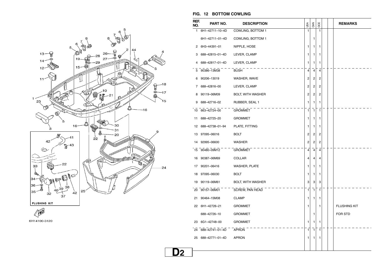![](_page_23_Figure_0.jpeg)

![](_page_23_Figure_1.jpeg)

#### **FIG. 12 BOTTOM COWLING**

| REF.<br>NO. | PART NO.        | <b>DESCRIPTION</b>       | USA                     | CAN            | OCE            |  | <b>REMARKS</b>      |
|-------------|-----------------|--------------------------|-------------------------|----------------|----------------|--|---------------------|
| 1.          | 6H1-42711-10-4D | COWLING, BOTTOM 1        | $\mathbf{1}$            |                | 1              |  |                     |
|             | 6H1-42711-01-4D | COWLING, BOTTOM 1        |                         | 1              |                |  |                     |
| 2           | 6H3-44391-01    | NIPPLE, HOSE             | 1                       | 1              | 1              |  |                     |
| 3           | 688-42815-01-4D | LEVER, CLAMP             | 1                       | 1              | 1              |  |                     |
| 4           | 688-42817-01-4D | LEVER, CLAMP             | 1                       | 1              | 1              |  |                     |
| 5           | 90386-13M38     | <b>BUSH</b>              | 4                       | $\overline{4}$ | $\overline{4}$ |  |                     |
| 6           | 90206-13019     | WASHER, WAVE             | 2                       | 2              | 2              |  |                     |
| 7           | 688-42816-00    | LEVER, CLAMP             | 2                       | 2              | $\overline{c}$ |  |                     |
| 8           | 90119-06M09     | <b>BOLT, WITH WASHER</b> | $\overline{\mathbf{c}}$ | 2              | 2              |  |                     |
| 9           | 688-42716-02    | RUBBER, SEAL 1           | 1                       | 1              | 1              |  |                     |
|             | 10 663-42724-00 | <b>GROMMET</b>           | $\mathbf{1}$            | $\overline{1}$ | $\mathbf{1}$   |  |                     |
| 11          | 688-42725-20    | <b>GROMMET</b>           | 1                       | 1              | 1              |  |                     |
| 12          | 688-42738-01-94 | PLATE, FITTING           | 1                       | 1              | 1              |  |                     |
| 13          | 97095-06016     | <b>BOLT</b>              | 2                       | 2              | 2              |  |                     |
| 14          | 92995-06600     | <b>WASHER</b>            | $\overline{c}$          | 2              | 2              |  |                     |
| 15          | 90480-09M12     | <b>GROMMET</b>           | $\overline{4}$          | $\overline{4}$ | $\overline{4}$ |  |                     |
| 16          | 90387-06M69     | COLLAR                   | 4                       | 4              | 4              |  |                     |
| 17          | 90201-06416     | <b>WASHER, PLATE</b>     | 1                       | 1              | 1              |  |                     |
| 18          | 97095-06030     | <b>BOLT</b>              | 1                       | 1              | 1              |  |                     |
| 19          | 90119-06M61     | <b>BOLT, WITH WASHER</b> | 3                       | 3              | 3              |  |                     |
| 20          | 90157-06M01     | SCREW, PAN HEAD          | $\mathbf{1}$            | $\overline{1}$ | 1              |  |                     |
| 21          | 90464-15M08     | <b>CLAMP</b>             | 1                       | 1              | 1              |  |                     |
| 22          | 6H1-42726-21    | <b>GROMMET</b>           | 1                       |                | 1              |  | <b>FLUSHING KIT</b> |
|             | 688-42726-10    | <b>GROMMET</b>           |                         | 1              |                |  | FOR STD             |
| 23          | 6G1-42748-00    | <b>GROMMET</b>           | 1                       | 1              | 1              |  |                     |
| 24          | 688-42741-01-4D | <b>APRON</b>             | 1                       | $\mathbf{1}$   | 1              |  |                     |
| 25          | 688-42771-01-4D | <b>APRON</b>             | 1                       | 1              | 1              |  |                     |
|             |                 |                          |                         |                |                |  |                     |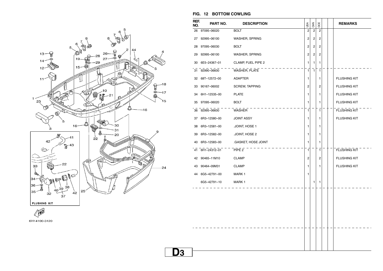![](_page_24_Figure_0.jpeg)

6H14100-3120

## **FIG. 12 BOTTOM COWLING**

| 26 97095-06020<br>92995-06100<br>97095-06030<br>92995-06100<br>6E5-24367-01<br>92990-06600<br>32 68T-12572-00<br>90167-06002<br>6H1-12535-00<br>97095-06020<br>36 92995-06600<br>6R3-12580-00<br>6R3-12581-00<br>6R3-12582-00<br>6R3-12583-00 | <b>BOLT</b><br>WASHER, SPRING<br><b>BOLT</b><br>WASHER, SPRING<br>CLAMP, FUEL PIPE 2<br>WASHER, PLATE<br><b>ADAPTER</b><br>SCREW, TAPPING<br><b>PLATE</b><br><b>BOLT</b><br>WASHER<br><b>JOINT ASSY</b><br>JOINT, HOSE 1<br>JOINT, HOSE 2 | υsΑ<br>$\overline{c}$<br>2<br>2<br>2<br>1<br>1<br>1<br>2<br>1<br>1<br>$\mathbf{1}$<br>1<br>1<br>1 | CAN<br>$\boldsymbol{2}$<br>$\overline{c}$<br>$\overline{c}$<br>$\overline{c}$<br>$\mathbf{1}$<br>7 | OCE<br>$\overline{2}$<br>2<br>2<br>2<br>1<br>$\mathbf{1}$<br>1<br>2<br>1<br>1<br>$\mathbf{1}$<br>1<br>1 |  | <b>FLUSHING KIT</b><br><b>FLUSHING KIT</b><br><b>FLUSHING KIT</b><br><b>FLUSHING KIT</b><br><b>FLUSHING KIT</b><br><b>FLUSHING KIT</b> |
|-----------------------------------------------------------------------------------------------------------------------------------------------------------------------------------------------------------------------------------------------|-------------------------------------------------------------------------------------------------------------------------------------------------------------------------------------------------------------------------------------------|---------------------------------------------------------------------------------------------------|----------------------------------------------------------------------------------------------------|---------------------------------------------------------------------------------------------------------|--|----------------------------------------------------------------------------------------------------------------------------------------|
|                                                                                                                                                                                                                                               |                                                                                                                                                                                                                                           |                                                                                                   |                                                                                                    |                                                                                                         |  |                                                                                                                                        |
|                                                                                                                                                                                                                                               |                                                                                                                                                                                                                                           |                                                                                                   |                                                                                                    |                                                                                                         |  |                                                                                                                                        |
|                                                                                                                                                                                                                                               |                                                                                                                                                                                                                                           |                                                                                                   |                                                                                                    |                                                                                                         |  |                                                                                                                                        |
|                                                                                                                                                                                                                                               |                                                                                                                                                                                                                                           |                                                                                                   |                                                                                                    |                                                                                                         |  |                                                                                                                                        |
|                                                                                                                                                                                                                                               |                                                                                                                                                                                                                                           |                                                                                                   |                                                                                                    |                                                                                                         |  |                                                                                                                                        |
|                                                                                                                                                                                                                                               |                                                                                                                                                                                                                                           |                                                                                                   |                                                                                                    |                                                                                                         |  |                                                                                                                                        |
|                                                                                                                                                                                                                                               |                                                                                                                                                                                                                                           |                                                                                                   |                                                                                                    |                                                                                                         |  |                                                                                                                                        |
|                                                                                                                                                                                                                                               |                                                                                                                                                                                                                                           |                                                                                                   |                                                                                                    |                                                                                                         |  |                                                                                                                                        |
|                                                                                                                                                                                                                                               |                                                                                                                                                                                                                                           |                                                                                                   |                                                                                                    |                                                                                                         |  |                                                                                                                                        |
|                                                                                                                                                                                                                                               |                                                                                                                                                                                                                                           |                                                                                                   |                                                                                                    |                                                                                                         |  |                                                                                                                                        |
|                                                                                                                                                                                                                                               |                                                                                                                                                                                                                                           |                                                                                                   |                                                                                                    |                                                                                                         |  |                                                                                                                                        |
|                                                                                                                                                                                                                                               |                                                                                                                                                                                                                                           |                                                                                                   |                                                                                                    |                                                                                                         |  |                                                                                                                                        |
|                                                                                                                                                                                                                                               |                                                                                                                                                                                                                                           |                                                                                                   |                                                                                                    |                                                                                                         |  |                                                                                                                                        |
|                                                                                                                                                                                                                                               |                                                                                                                                                                                                                                           |                                                                                                   |                                                                                                    | 1                                                                                                       |  |                                                                                                                                        |
|                                                                                                                                                                                                                                               | .GASKET, HOSE JOINT                                                                                                                                                                                                                       | 1                                                                                                 |                                                                                                    | 1                                                                                                       |  |                                                                                                                                        |
| 41 6H1-24312-01                                                                                                                                                                                                                               | PIPE <sub>2</sub>                                                                                                                                                                                                                         | $\mathbf{1}$                                                                                      |                                                                                                    | $\mathbf{1}$                                                                                            |  | <b>FLUSHING KIT</b>                                                                                                                    |
| 90465-11M10                                                                                                                                                                                                                                   | <b>CLAMP</b>                                                                                                                                                                                                                              | 2                                                                                                 |                                                                                                    | 2                                                                                                       |  | <b>FLUSHING KIT</b>                                                                                                                    |
| 90464-09M31                                                                                                                                                                                                                                   | <b>CLAMP</b>                                                                                                                                                                                                                              | 1.                                                                                                |                                                                                                    | 1                                                                                                       |  | <b>FLUSHING KIT</b>                                                                                                                    |
| 6G5-42791-00                                                                                                                                                                                                                                  | MARK 1                                                                                                                                                                                                                                    | 1                                                                                                 |                                                                                                    |                                                                                                         |  |                                                                                                                                        |
| 6G5-42791-10                                                                                                                                                                                                                                  | MARK 1                                                                                                                                                                                                                                    |                                                                                                   | 1                                                                                                  | 1                                                                                                       |  |                                                                                                                                        |
|                                                                                                                                                                                                                                               |                                                                                                                                                                                                                                           |                                                                                                   |                                                                                                    |                                                                                                         |  |                                                                                                                                        |
|                                                                                                                                                                                                                                               |                                                                                                                                                                                                                                           |                                                                                                   |                                                                                                    |                                                                                                         |  |                                                                                                                                        |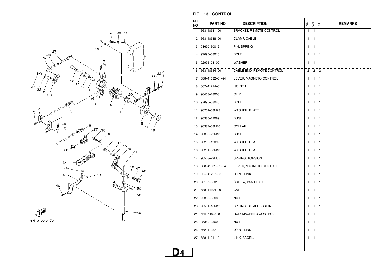![](_page_25_Figure_0.jpeg)

| REF.<br>NO. | PART NO.        | <b>DESCRIPTION</b>             | USA          | CAN                     | OCE            |  | <b>REMARKS</b> |
|-------------|-----------------|--------------------------------|--------------|-------------------------|----------------|--|----------------|
| 1           | 663-48531-00    | <b>BRACKET, REMOTE CONTROL</b> | $\mathbf{1}$ | 1                       | 1              |  |                |
| 2           | 663-48538-00    | CLAMP, CABLE 1                 | 1            | 1                       | 1              |  |                |
| 3           | 91690-30012     | PIN, SPRING                    | 1            | 1                       | 1              |  |                |
| 4           | 97095-08016     | <b>BOLT</b>                    | 1            | 1                       | 1              |  |                |
| 5           | 92995-08100     | WASHER                         | 1            | 1                       | 1              |  |                |
| 6           | 663-48344-00    | CABLE END, REMOTE CONTROL      | 2            | $\overline{\mathbf{c}}$ | $\overline{c}$ |  |                |
| 7           | 688-41632-01-94 | LEVER, MAGNETO CONTROL         | 1            | 1                       | 1              |  |                |
| 8           | 662-41214-01    | .JOINT 1                       | 1            | 1                       | 1              |  |                |
| 9           | 90468-18008     | <b>CLIP</b>                    | 1            | 1                       | 1              |  |                |
|             | 10 97095-08045  | <b>BOLT</b>                    | 1            | 1                       | 1              |  |                |
| 11          | 90201-08M23     | WASHER, PLATE                  | 1            | 1                       | 1              |  |                |
| 12          | 90386-12089     | <b>BUSH</b>                    | 1            | 1                       | 1              |  |                |
| 13          | 90387-08M16     | COLLAR                         | 1            | 1                       | 1              |  |                |
| 14          | 90386-22M13     | <b>BUSH</b>                    | 1            | 1                       | 1              |  |                |
| 15          | 90202-12092     | <b>WASHER, PLATE</b>           | 1            | 1                       | 1              |  |                |
|             | 16 90201-08M13  | WASHER, PLATE                  | 1            | 1                       | 1              |  |                |
| 17          | 90508-29M05     | SPRING, TORSION                | 1            | 1                       | 1              |  |                |
| 18          | 688-41631-01-94 | LEVER, MAGNETO CONTROL         | 1            | 1                       | 1              |  |                |
| 19          | 6F5-41237-00    | JOINT, LINK                    | 1            | 1                       | 1              |  |                |
| 20          | 90157-06013     | SCREW, PAN HEAD                | 1            | 1                       | 1              |  |                |
|             | 21 688-44194-00 | CAP                            | 1            | $\mathbf{1}$            | 1              |  |                |
| 22          | 95303-06600     | NUT                            | 1            | 1                       | 1              |  |                |
| 23          | 90501-16M12     | SPRING, COMPRESSION            | 1            | 1                       | 1              |  |                |
| 24          | 6H1-41636-00    | ROD, MAGNETO CONTROL           | 1            | 1                       | 1              |  |                |
| 25          | 95380-05600     | NUT                            | 1            | 1                       | 1              |  |                |
|             | 26 662-41237-01 | JOINT, LINK                    | 1            | 1                       | 1              |  |                |
|             | 27 688-41211-01 | LINK, ACCEL.                   | 1            | 1                       | 1              |  |                |
|             |                 |                                |              |                         |                |  |                |

#### **FIG. 13 CONTROL**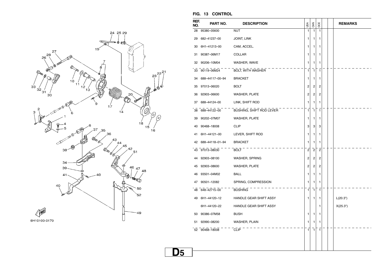![](_page_26_Figure_0.jpeg)

| REF.<br>NO. | PART NO.        | <b>DESCRIPTION</b>              | USA                     | CAN            | OCE                     |  | <b>REMARKS</b> |
|-------------|-----------------|---------------------------------|-------------------------|----------------|-------------------------|--|----------------|
| 28          | 95380-05600     | <b>NUT</b>                      | 1                       | $\mathbf{1}$   | $\mathbf{1}$            |  |                |
| 29          | 682-41237-00    | <b>JOINT, LINK</b>              | 1                       | 1              | 1                       |  |                |
| 30          | 6H1-41213-00    | CAM, ACCEL.                     | 1                       | 1              | 1                       |  |                |
| 31          | 90387-06M17     | COLLAR                          | 1                       | 1              | 1                       |  |                |
| 32          | 90206-10M04     | WASHER, WAVE                    | 1                       | 1              | 1                       |  |                |
| 33          | 90119-06M24     | <b>BOLT, WITH WASHER</b>        | 1                       | $\mathbf{1}$   | $\overline{1}$          |  |                |
| 34          | 688-44117-00-94 | <b>BRACKET</b>                  | 1                       | 1              | 1                       |  |                |
| 35          | 97013-06020     | <b>BOLT</b>                     | 2                       | 2              | 2                       |  |                |
| 36          | 92903-06600     | <b>WASHER, PLATE</b>            | 2                       | 2              | 2                       |  |                |
| 37          | 688-44124-00    | LINK, SHIFT ROD                 | 1                       | 1              | 1                       |  |                |
| 38          | 688-44122-00    | <b>BUSHING, SHIFT ROD LEVER</b> | 1                       | 1              | $\mathbf{1}$            |  |                |
| 39          | 90202-07M07     | WASHER, PLATE                   | 1                       | 1              | 1                       |  |                |
| 40          | 90468-18008     | <b>CLIP</b>                     | 3                       | 3              | 3                       |  |                |
| 41          | 6H1-44121-00    | LEVER, SHIFT ROD                | 1                       | 1              | 1                       |  |                |
| 42          | 688-44118-01-94 | <b>BRACKET</b>                  | 1                       | 1              | 1                       |  |                |
| 43          | 97013-08030     | <b>BOLT</b>                     | $\overline{\mathbf{c}}$ | $\overline{2}$ | $\mathbf 2$             |  |                |
| 44          | 92903-08100     | WASHER, SPRING                  | 2                       | 2              | $\overline{2}$          |  |                |
| 45          | 92903-08600     | WASHER, PLATE                   | 2                       | 2              | $\overline{\mathbf{c}}$ |  |                |
| 46          | 93501-04M02     | <b>BALL</b>                     | 1                       | 1              | 1                       |  |                |
| 47          | 90501-12082     | SPRING, COMPRESSION             | 1                       | 1              | 1                       |  |                |
| 48          | 648-42715-00    | <b>BUSHING</b>                  | 1                       | 1              | $\mathbf{1}$            |  |                |
| 49          | 6H1-44120-12    | HANDLE GEAR SHIFT ASSY          | 1                       | 1              | 1                       |  | L(20.3")       |
|             | 6H1-44120-22    | HANDLE GEAR SHIFT ASSY          |                         |                | 1                       |  | X(25.3")       |
| 50          | 90386-07M58     | <b>BUSH</b>                     | 1                       | 1              | 1                       |  |                |
| 51          | 92990-08200     | WASHER, PLAIN                   | 1                       | 1              | 1                       |  |                |
|             | 52 90468-18008  | <b>CLIP</b>                     | 1                       | 1              | 1                       |  |                |
|             |                 |                                 |                         |                |                         |  |                |
|             |                 |                                 |                         |                |                         |  |                |

#### **FIG. 13 CONTROL**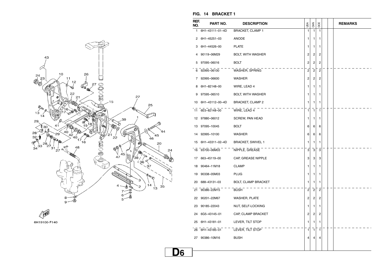![](_page_27_Figure_0.jpeg)

![](_page_27_Figure_1.jpeg)

#### **FIG. 14 BRACKET 1**

| REF.<br>NO. | PART NO.        | <b>DESCRIPTION</b>         | USA            | CAN              | OCE            |  | <b>REMARKS</b> |
|-------------|-----------------|----------------------------|----------------|------------------|----------------|--|----------------|
| 1           | 6H1-43111-01-4D | <b>BRACKET, CLAMP 1</b>    | 1              | 1                | 1              |  |                |
| 2           | 6H1-45251-03    | ANODE                      | 1              | 1                | 1              |  |                |
| 3           | 6H1-44526-00    | <b>PLATE</b>               | 1              | 1                | 1              |  |                |
| 4           | 90119-06M29     | BOLT, WITH WASHER          | 2              | 2                | 2              |  |                |
| 5           | 97095-06016     | <b>BOLT</b>                | 2              | 2                | 2              |  |                |
|             | 6 92995-06100   | WASHER, SPRING             | $\overline{c}$ | $\overline{c}$   | $\overline{c}$ |  |                |
| 7           | 92995-06600     | <b>WASHER</b>              | 2              | 2                | 2              |  |                |
| 8           | 6H1-82148-00    | WIRE, LEAD 4               | 1              | 1                | 1              |  |                |
| 9           | 97595-06510     | BOLT, WITH WASHER          | 1              | 1                | 1              |  |                |
| 10          | 6H1-43112-00-4D | <b>BRACKET, CLAMP 2</b>    | 1              | 1                | 1              |  |                |
|             | 11 6E5-82148-00 | WIRE, LEAD 4               | 1              | $\mathbf{1}$     | $\mathbf{1}$   |  |                |
| 12          | 97880-06012     | SCREW, PAN HEAD            | 1              | 1                | 1              |  |                |
| 13          | 97095-10045     | BOLT                       | 6              | 6                | 6              |  |                |
|             | 14 92995-10100  | <b>WASHER</b>              | 6              | 6                | 6              |  |                |
| 15          | 6H1-43311-02-4D | <b>BRACKET, SWIVEL 1</b>   | 1              | 1                | 1              |  |                |
|             | 16 93700-06M03  | NIPPLE, GREASE             | 3              | 3                | 3              |  |                |
|             | 17 663-45119-00 | CAP, GREASE NIPPLE         | 3              | 3                | 3              |  |                |
| 18          | 90464-11M18     | <b>CLAMP</b>               | 1              | 1                | 1              |  |                |
| 19          | 90338-05M03     | <b>PLUG</b>                | 1              | 1                | 1              |  |                |
|             | 20 688-43131-03 | <b>BOLT, CLAMP BRACKET</b> | 1              | 1                | 1              |  |                |
|             | 21 90386-22M15  | <b>BUSH</b>                | 2              | $\boldsymbol{2}$ | $\overline{c}$ |  |                |
|             | 22 90201-22M67  | <b>WASHER, PLATE</b>       | 2              | 2                | 2              |  |                |
|             | 23 90185-22043  | NUT, SELF-LOCKING          | 1              | 1                | 1              |  |                |
| 24          | 6G5-43145-01    | CAP, CLAMP BRACKET         | 2              | 2                | 2              |  |                |
| 25          | 6H1-43181-01    | LEVER, TILT STOP           | 1              | 1                | 1              |  |                |
|             | 26 6H1-43185-01 | LEVER, TILT STOP           | 1              | 1                | $\mathbf{1}$   |  |                |
|             | 27 90386-10M16  | <b>BUSH</b>                | 4              | 4                | 4              |  |                |
|             |                 |                            |                |                  |                |  |                |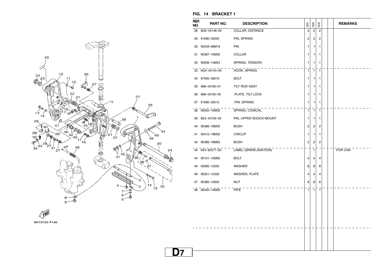![](_page_28_Figure_0.jpeg)

6H19100-F140

| REF.<br>NO. | PART NO.       | <b>DESCRIPTION</b>      | USA            | <b>GAN</b>              | OCE                     |  | <b>REMARKS</b> |
|-------------|----------------|-------------------------|----------------|-------------------------|-------------------------|--|----------------|
| 28          | 6G5-43148-00   | COLLAR, DISTANCE        | $\overline{2}$ | $\overline{2}$          | $\overline{2}$          |  |                |
| 29          | 91690-30020    | PIN, SPRING             | 2              | $\overline{\mathbf{c}}$ | $\overline{\mathbf{c}}$ |  |                |
| 30          | 90249-06M19    | PIN                     | 1              | 1                       | 1                       |  |                |
| 31          | 90387-10M02    | COLLAR                  | 1              | 1                       | 1                       |  |                |
| 32          | 90506-14M24    | SPRING, TENSION         | 1              | 1                       | 1                       |  |                |
| 33          | 6G5-43144-00   | HOOK, SPRING            | 1              | $\mathbf{1}$            | $\mathbf{1}$            |  |                |
| 34          | 97095-06010    | <b>BOLT</b>             | 1              | 1                       | 1                       |  |                |
| 35          | 688-43160-01   | TILT ROD ASSY           | 1              | 1                       | 1                       |  |                |
| 36          | 688-43165-00   | .PLATE, TILT LOCK       | 1              | 1                       | 1                       |  |                |
| 37          | 91690-30012    | .PIN, SPRING            | 1              | 1                       | 1                       |  |                |
| 38          | 90502-16M02    | SPRING, CONICAL         | 1              | $\mathbf{1}$            | 1                       |  |                |
| 39          | 6E5-43126-02   | PIN, UPPER SHOCK MOUNT  | 1              | 1                       | 1                       |  |                |
| 40          | 90386-18M35    | <b>BUSH</b>             | 2              | 2                       | 2                       |  |                |
| 41          | 93410-18M02    | <b>CIRCLIP</b>          | 1              | 1                       | 1                       |  |                |
| 42          | 90386-18M63    | <b>BUSH</b>             | $\overline{c}$ | 2                       | $\overline{c}$          |  |                |
| 43          | 63V-82377-50   | LABEL (SPARK, IGNITION) |                | $\mathbf{1}$            |                         |  | FOR CAN        |
| 44          | 90101-12M65    | <b>BOLT</b>             | 4              | 4                       | 4                       |  |                |
| 45          | 92995-12200    | <b>WASHER</b>           | 8              | 8                       | 8                       |  |                |
| 46          | 90201-12426    | WASHER, PLATE           | 4              | 4                       | 4                       |  |                |
| 47          | 95380-12600    | NUT                     | 8              | 8                       | 8                       |  |                |
|             | 48 90440-14M00 | PIPE                    | $\mathbf{1}$   | $\mathbf{1}$            | $\mathbf{1}$            |  |                |
|             |                |                         |                |                         |                         |  |                |
|             |                |                         |                |                         |                         |  |                |
|             |                |                         |                |                         |                         |  |                |
|             |                |                         |                |                         |                         |  |                |
|             |                |                         |                |                         |                         |  |                |
|             |                |                         |                |                         |                         |  |                |
|             |                |                         |                |                         |                         |  |                |

#### **FIG. 14 BRACKET 1**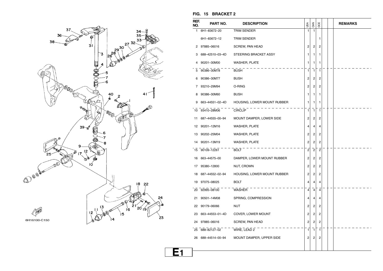![](_page_29_Figure_0.jpeg)

|  | FIG. 15 BRACKET 2 |  |
|--|-------------------|--|
|  |                   |  |

| REF.<br>NO. | PART NO.               | <b>DESCRIPTION</b>          | USA            | CAN            | OCE            | <b>REMARKS</b> |
|-------------|------------------------|-----------------------------|----------------|----------------|----------------|----------------|
|             | 1 6H1-83672-20         | TRIM SENDER                 | 1              | $\mathbf{1}$   |                |                |
|             | 6H1-83672-12           | TRIM SENDER                 |                |                | 1              |                |
|             | 2 97885-06016          | SCREW, PAN HEAD             | $\overline{c}$ | 2              | 2              |                |
|             | 3 688-42510-03-4D      | STEERING BRACKET ASSY       | 1.             | 1              | 1              |                |
|             | 4 90201-30M00          | WASHER, PLATE               | 1              | 1              | 1              |                |
|             | 5 90386-30M78          | <b>BUSH</b>                 | 1              | $\mathbf{1}$   | 1              |                |
|             | 6 90386-30M77          | <b>BUSH</b>                 | 2              | 2              | 2              |                |
|             | 7 93210-29M94          | O-RING                      | 2              | $\overline{c}$ | 2              |                |
|             | 8 90386-30M60          | <b>BUSH</b>                 | 1.             | 1.             | 1              |                |
|             | 9 663-44551-02-4D      | HOUSING, LOWER MOUNT RUBBER | 1.             | 1              | 1              |                |
|             | 10 93410-28M06 CIRCLIP |                             | $\mathbf{1}$   | $\mathbf{1}$   | $\mathbf{1}$   |                |
|             | 11 687-44555-00-94     | MOUNT DAMPER, LOWER SIDE    | 2              | 2              | 2              |                |
|             | 12 90201-12M16         | <b>WASHER, PLATE</b>        | 4              | 4              | 4              |                |
|             | 13 90202-25M04         | WASHER, PLATE               | 2              | $\overline{c}$ | 2              |                |
|             | 14 90201-13M19         | WASHER, PLATE               | 2              | 2              | 2              |                |
|             | 15 90109-12261         | <b>BOLT</b>                 | $\overline{c}$ | $\overline{c}$ | $\mathbf 2$    |                |
|             | 16 663-44575-00        | DAMPER, LOWER MOUNT RUBBER  | 2              | 2              | 2              |                |
|             | 17 95380-12800         | NUT, CROWN                  | 2              | 2              | 2              |                |
|             | 18 687-44552-02-94     | HOUSING, LOWER MOUNT RUBBER | 2              | 2              | 2              |                |
|             | 19 97075-08025         | <b>BOLT</b>                 | 4              | 4              | 4              |                |
|             | 20 92995-08100         | WASHER                      | $\overline{4}$ | 4              | $\overline{4}$ |                |
|             | 21 90501-14M08         | SPRING, COMPRESSION         | 4              | 4              | 4              |                |
|             | 22 90179-06066         | NUT                         | 2              | 2              | 2              |                |
|             | 23 663-44553-01-4D     | COVER, LOWER MOUNT          | 2              | 2              | 2              |                |
|             | 24 97885-06016         | SCREW, PAN HEAD             | $\overline{2}$ | $\overline{2}$ | $\overline{2}$ |                |
|             | 25 688-82127-02        | WIRE, LEAD 2                | 1              | $\overline{1}$ | $\mathbf{1}$   |                |
|             | 26 688-44514-00-94     | MOUNT DAMPER, UPPER SIDE    | 2              | 2              | 2              |                |
|             |                        |                             |                |                |                |                |
|             |                        |                             |                |                |                |                |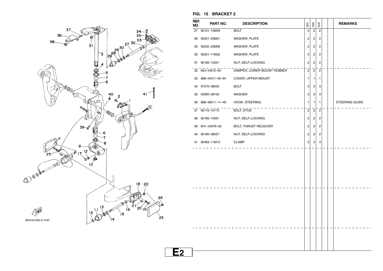![](_page_30_Figure_0.jpeg)

| REF.<br>NO. | PART NO.           | <b>DESCRIPTION</b>           | USA                     | CAN                     | OCE                     | <b>REMARKS</b> |
|-------------|--------------------|------------------------------|-------------------------|-------------------------|-------------------------|----------------|
|             | 27 90101-10M49     | <b>BOLT</b>                  | $\overline{2}$          | $\overline{c}$          | $\overline{c}$          |                |
| 28          | 90201-20M21        | WASHER, PLATE                | $\overline{\mathbf{c}}$ | $\overline{c}$          | 2                       |                |
| 29          | 90202-20M06        | WASHER, PLATE                | $\overline{\mathbf{c}}$ | $\overline{c}$          | 2                       |                |
|             | 30 90201-11M22     | WASHER, PLATE                | $\overline{\mathbf{c}}$ | 2                       | 2                       |                |
|             | 31 90185-10051     | NUT, SELF-LOCKING            | $\overline{\mathbf{c}}$ | $\overline{\mathbf{c}}$ | 2                       |                |
|             | 32 663-44575-00    | DAMPER, LOWER MOUNT RUBBER   | $\overline{2}$          | $\overline{2}$          | $\overline{2}$          |                |
|             | 33 688-44511-00-94 | COVER, UPPER MOUNT           | 1                       | 1                       | 1                       |                |
|             | 34 97075-08035     | <b>BOLT</b>                  | 3                       | 3                       | 3                       |                |
|             | 35 92995-08100     | <b>WASHER</b>                | 3                       | 3                       | 3                       |                |
|             | 36 688-48511-11-4D | HOOK, STEERING               | 1                       | 1                       | 1                       | STEERING GUIDE |
|             | 37 90116-10175     | BOLT, STUD                   | $\mathbf 2$             | $\overline{c}$          | $\overline{c}$          |                |
|             | 38 90185-10051     | NUT, SELF-LOCKING            | $\overline{\mathbf{c}}$ | $\overline{c}$          | 2                       |                |
| 39          | 6H1-43376-00       | <b>BOLT, THRUST RECEIVER</b> | $\overline{\mathbf{c}}$ | $\overline{c}$          | 2                       |                |
|             | 40 90185-08057     | NUT, SELF-LOCKING            | $\mathbf 2$             | $\sqrt{2}$              | $\overline{\mathbf{c}}$ |                |
|             | 41 90465-11M10     | <b>CLAMP</b>                 | 3                       | 3                       | 3                       |                |
|             |                    |                              |                         |                         |                         |                |
|             |                    |                              |                         |                         |                         |                |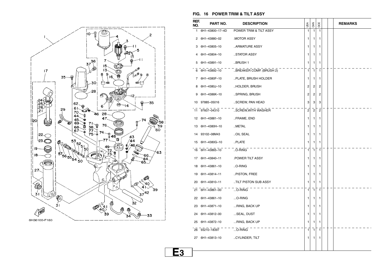![](_page_31_Figure_0.jpeg)

#### **FIG. 16 POWER TRIM & TILT ASSY**

| REF.<br>NO. | PART NO.                        | <b>DESCRIPTION</b>      | USA            | CAN            | <b>BOCE</b>    |  | <b>REMARKS</b> |
|-------------|---------------------------------|-------------------------|----------------|----------------|----------------|--|----------------|
| 1           | 6H1-43800-17-4D                 | POWER TRIM & TILT ASSY  | 1              | 1              | 1              |  |                |
| 2           | 6H1-43880-02                    | <b>MOTOR ASSY</b>       | 1              | 1              | 1              |  |                |
| 3           | 6H1-43805-10                    | ARMATURE ASSY           | 1              | 1              | 1              |  |                |
| 4           | 6H1-43804-10                    | STATOR ASSY             | 1              | 1              | 1              |  |                |
| 5           | 6H1-43891-10                    | BRUSH 1                 | 1              | 1              | 1              |  |                |
| 6           | 6H1-43892-10                    | BREAKER COMP. (BRUSH 2) | $\mathbf{1}$   | 7              | $\mathbf{1}$   |  |                |
| 7           | 6H1-4380F-10                    | PLATE, BRUSH HOLDER     | 1              | 1              | 1              |  |                |
| 8           | 6H1-4380J-10                    | HOLDER, BRUSH           | 2              | 2              | 2              |  |                |
| 9           | 6H1-4386K-10                    | SPRING, BRUSH           | 2              | 2              | 2              |  |                |
| 10          | 97885-05016                     | SCREW, PAN HEAD         | 3              | 3              | 3              |  |                |
| 11          | 97607-04310                     | SCREW, WITH WASHER      | $\overline{c}$ | $\overline{c}$ | $\overline{c}$ |  |                |
| 12          | 6H1-43881-10                    | FRAME, END              | 1              | 1              | 1              |  |                |
| 13          | 6H1-4380H-10                    | METAL                   | 1              | 1              | 1              |  |                |
| 14          | 93102-08M43                     | OIL SEAL                | 1              | 1              | 1              |  |                |
| 15          | 6H1-4380G-10                    | PLATE                   | 1              | 1              | 1              |  |                |
| 16          | 6H1-43865-10                    | O-RING                  | 1              | $\mathbf{1}$   | 1              |  |                |
| 17          | 6H1-43840-11                    | POWER TILT ASSY         | 1              | 1              | 1              |  |                |
| 18          | 6H1-43861-10                    | O-RING                  | 1              | 1              | 1              |  |                |
| 19          | 6H1-43814-11                    | PISTON, FREE            | 1              | 1              | 1              |  |                |
| 20          | 6H1-43810-11                    | TILT PISTON SUB ASSY    | 1              | 1              | 1              |  |                |
|             | 21 6H1-43861-00                 | $$ O-RING               | 1              | $\mathbf{1}$   | 1              |  |                |
| 22          | 6H1-43861-10                    | O-RING                  | 1              | 1              | 1              |  |                |
| 23          | 6H1-43871-10                    | RING, BACK UP           | 1              | 1              | 1              |  |                |
| 24          | 6H1-43812-00                    | SEAL, DUST              | 1              | 1              | 1              |  |                |
| 25          | 6H1-43872-10                    | RING, BACK UP           | 1              | 1              | 1              |  |                |
|             | 26 93210-18397                  | O-RING                  | 1              | $\mathbf{1}$   | 1              |  |                |
|             | 27 6H1-43813-10 .CYLINDER, TILT |                         | 1              | 1              | 1              |  |                |
|             |                                 |                         |                |                |                |  |                |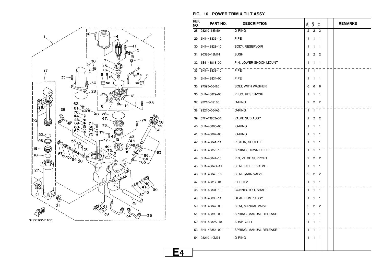![](_page_32_Figure_0.jpeg)

#### **FIG. 16 POWER TRIM & TILT ASSY**

| REF.<br>NO. | PART NO.        | <b>DESCRIPTION</b>      | USA            | CAN          | <b>DCE</b>   |  | <b>REMARKS</b> |
|-------------|-----------------|-------------------------|----------------|--------------|--------------|--|----------------|
| 28          | 93210-68N50     | .O-RING                 | $\overline{2}$ | 2            | 2            |  |                |
| 29          | 6H1-43835-10    | .PIPE                   | 1              | 1            | 1            |  |                |
| 30          | 6H1-43828-10    | .BODY, RESERVOIR        | 1              | 1            | 1            |  |                |
| 31          | 90386-18M14     | BUSH.                   | 2              | 2            | 2            |  |                |
| 32          | 6E5-43818-00    | .PIN, LOWER SHOCK MOUNT | 1              | 1            | 1            |  |                |
|             | 33 6H1-43833-10 | .PIPE                   | 1              | 1            | $\mathbf{1}$ |  |                |
| 34          | 6H1-43834-00    | .PIPE                   | 1              | 1            | 1            |  |                |
| 35          | 97595-06420     | .BOLT, WITH WASHER      | 6              | 6            | 6            |  |                |
| 36          | 6H1-43829-00    | .PLUG, RESERVOIR        | 1              | 1            | 1            |  |                |
| 37          | 93210-09165     | .O-RING                 | 2              | 2            | 2            |  |                |
| 38          | 93210-064A5     | .O-RING                 | 1              | $\mathbf{1}$ | 1            |  |                |
| 39          | 67F-43802-00    | VALVE SUB ASSY          | 2              | 2            | 2            |  |                |
| 40          | 6H1-43866-00    | O-RING                  | 1              | 1            | 1            |  |                |
| 41          | 6H1-43867-00    | O-RING                  | 1              | 1            | 1            |  |                |
| 42          | 6H1-43841-11    | .PISTON, SHUTTLE        | 1              | 1            | 1            |  |                |
|             | 43 6H1-43856-10 | .SPRING, DOWN RELIEF    | 1              | $\mathbf{1}$ | 1            |  |                |
| 44          | 6H1-43844-10    | .PIN, VALVE SUPPORT     | 2              | 2            | 2            |  |                |
| 45          | 6H1-4384G-11    | .SEAL, RELIEF VALVE     | 1              | 1            | 1            |  |                |
| 46          | 6H1-4384F-10    | .SEAL, MAIN VALVE       | 2              | 2            | 2            |  |                |
| 47          | 6H1-43817-01    | FILTER 2                | 1              | 1            | 1            |  |                |
|             | 48 6H1-43831-10 | .CONNECTOR, SHAFT       | 1              | $\mathbf{1}$ | $\mathbf{1}$ |  |                |
| 49          | 6H1-43830-11    | GEAR PUMP ASSY.         | 1              | 1            | 1            |  |                |
| 50          | 6H1-43847-00    | .SEAT, MANUAL VALVE     | 2              | 2            | 2            |  |                |
| 51          | 6H1-43899-00    | .SPRING, MANUAL RELEASE | 1              | 1            | 1            |  |                |
| 52          | 6H1-4382A-10    | ADAPTOR 1.              | 1              | 1            | 1            |  |                |
|             | 53 6H1-43854-00 | .SPRING, MANUAL RELEASE | 1              | 1            | 1            |  |                |
|             | 54 93210-10M74  | .O-RING                 | 1              | 1            | 1            |  |                |
|             |                 |                         |                |              |              |  |                |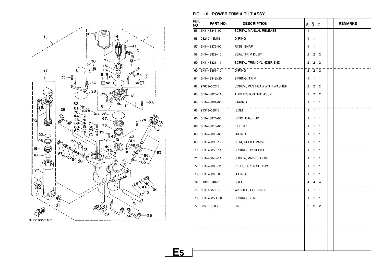![](_page_33_Figure_0.jpeg)

#### **FIG. 16 POWER TRIM & TILT ASSY**

| REF.<br>NO. | PART NO.        | <b>DESCRIPTION</b>           | USA            | CAN                     | OCE            |  | <b>REMARKS</b> |
|-------------|-----------------|------------------------------|----------------|-------------------------|----------------|--|----------------|
| 55          | 6H1-43845-00    | .SCREW, MANUAL RELEASE       | 1              | $\mathbf{1}$            | $\mathbf{1}$   |  |                |
| 56          | 93210-18M75     | .O-RING                      | 1              | 1                       | 1              |  |                |
| 57          | 6H1-43875-00    | .RING, SNAP                  | 1              | 1                       | 1              |  |                |
| 58          | 6H1-43822-10    | .SEAL, TRIM DUST             | 2              | $\overline{\mathbf{c}}$ | 2              |  |                |
| 59          | 6H1-43821-11    | .SCREW, TRIM CYLINDER END    | 2              | $\overline{c}$          | $\overline{c}$ |  |                |
| 60          | 6H1-43861-10    | .O-RING                      | $\overline{2}$ | $\overline{2}$          | $\overline{2}$ |  |                |
| 61          | 6H1-4384E-20    | .SPRING, TRIM                | 1              | 1                       | 1              |  |                |
| 62          | 97602-05210     | .SCREW, PAN HEAD WITH WASHER | 2              | 2                       | $\overline{c}$ |  |                |
| 63          | 6H1-43820-11    | .TRIM PISTON SUB ASSY        | $\overline{c}$ | $\overline{c}$          | 2              |  |                |
| 64          | 6H1-43864-00    | O-RING                       | 1              | 1                       | 1              |  |                |
| 65          | 91318-08016     | BOLT                         | $\mathbf{1}$   | $\mathbf{1}$            | $\mathbf{1}$   |  |                |
| 66          | 6H1-43874-00    | RING, BACK UP                | 1              | 1                       | 1              |  |                |
| 67          | 6H1-43816-00    | .FILTER 1                    | 1              | 1                       | 1              |  |                |
| 68          | 6H1-43896-00    | .O-RING                      | 1              | 1                       | 1              |  |                |
| 69          | 6H1-43895-12    | .SEAT, RELIEF VALVE          | 1              | 1                       | 1              |  |                |
|             | 70 6H1-43855-11 | .SPRING, UP RELIEF           | $\mathbf{1}$   | $\mathbf{1}$            | $\mathbf{1}$   |  |                |
| 71          | 6H1-43843-11    | .SCREW, VALVE LOCK           | 1              | 1                       | 1              |  |                |
| 72          | 6H1-4388E-11    | .PLUG, TAPER SCREW           | 1              | 1                       | 1              |  |                |
| 73          | 6H1-43868-00    | .O-RING                      | 1              | 1                       | 1              |  |                |
| 74          | 91318-04025     | .BOLT                        | 4              | 4                       | 4              |  |                |
|             | 75 6H1-4387J-00 | .WASHER, SPECIAL 2           | 1              | 1                       | $\mathbf{1}$   |  |                |
| 76          | 6H1-4385H-00    | .SPRING, SEAL                | 1              | 1                       | 1              |  |                |
|             | 77 93505-32038  | .BALL                        | 2              | 2                       | 2              |  |                |
|             |                 |                              |                |                         |                |  |                |
|             |                 |                              |                |                         |                |  |                |
|             |                 |                              |                |                         |                |  |                |
|             |                 |                              |                |                         |                |  |                |
|             |                 |                              |                |                         |                |  |                |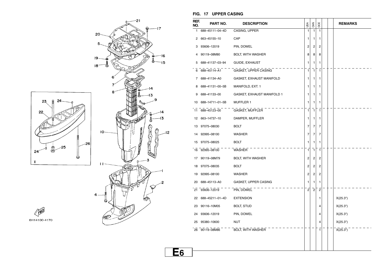![](_page_34_Figure_0.jpeg)

#### **FIG. 17 UPPER CASING**

| REF.<br>NO. | PART NO.        | <b>DESCRIPTION</b>         | USA            | CAN            | OCE            |  | <b>REMARKS</b> |
|-------------|-----------------|----------------------------|----------------|----------------|----------------|--|----------------|
| 1           | 688-45111-04-4D | CASING, UPPER              | $\mathbf{1}$   | $\mathbf{1}$   | $\mathbf{1}$   |  |                |
| 2           | 663-45155-10    | CAP                        | 1              | 1              | 1              |  |                |
| 3           | 93606-12019     | PIN, DOWEL                 | 2              | 2              | 2              |  |                |
| 4           | 90119-08M80     | BOLT, WITH WASHER          | 8              | 8              | 8              |  |                |
| 5           | 688-41137-03-94 | GUIDE, EXHAUST             | 1              | 1              | 1              |  |                |
| 6           | 688-45114-A1    | GASKET, UPPER CASING       | $\mathbf{1}$   | $\mathbf{1}$   | $\mathbf{1}$   |  |                |
| 7           | 688-41134-A0    | GASKET, EXHAUST MANIFOLD   | 1              | 1              | 1              |  |                |
| 8           | 688-41131-00-5B | MANIFOLD, EXT. 1           | 1              | 1              | 1              |  |                |
| 9           | 688-41133-00    | GASKET, EXHAUST MANIFOLD 1 | 1              | 1              | 1              |  |                |
| 10          | 688-14711-01-5B | <b>MUFFLER 1</b>           | 1              | 1              | 1              |  |                |
| 11          | 688-45123-00    | GASKET, MUFFLER            | $\mathbf{1}$   | $\mathbf{1}$   | $\mathbf{1}$   |  |                |
| 12          | 663-14737-10    | DAMPER, MUFFLER            | 1              | 1              | 1              |  |                |
| 13          | 97075-08030     | <b>BOLT</b>                | 7              | 7              | $\overline{7}$ |  |                |
| 14          | 92995-08100     | <b>WASHER</b>              | 7              | 7              | 7              |  |                |
| 15          | 97075-08025     | <b>BOLT</b>                | 1              | 1              | 1              |  |                |
|             | 16 92995-08100  | WASHER                     | 1              | $\mathbf{1}$   | $\mathbf{1}$   |  |                |
| 17          | 90119-08M79     | BOLT, WITH WASHER          | 2              | $\overline{c}$ | 2              |  |                |
| 18          | 97075-08035     | <b>BOLT</b>                | 2              | 2              | 2              |  |                |
| 19          | 92995-08100     | <b>WASHER</b>              | 2              | $\overline{c}$ | 2              |  |                |
| 20          | 688-45113-A0    | GASKET, UPPER CASING       | 1              | 1              | 1              |  |                |
|             | 21 93606-12019  | PIN, DOWEL                 | $\overline{2}$ | $\overline{c}$ | $\overline{c}$ |  |                |
| 22          | 688-45211-01-4D | <b>EXTENSION</b>           |                |                | 1              |  | X(25.3")       |
| 23          | 90116-10M05     | <b>BOLT, STUD</b>          |                |                | 4              |  | X(25.3")       |
| 24          | 93606-12019     | PIN, DOWEL                 |                |                | 4              |  | X(25.3")       |
| 25          | 95380-10600     | NUT                        |                |                | 4              |  | X(25.3")       |
|             | 26 90119-08M86  | <b>BOLT, WITH WASHER</b>   |                |                | 1              |  | X(25.3")       |
|             |                 |                            |                |                |                |  |                |
|             |                 |                            |                |                |                |  |                |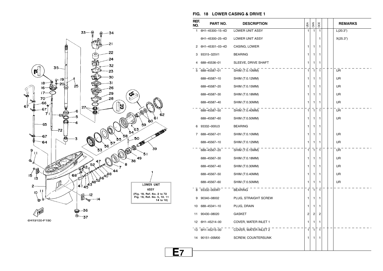![](_page_35_Figure_0.jpeg)

#### **FIG. 18 LOWER CASING & DRIVE 1**

| REF.<br>NO. | PART NO.        | <b>DESCRIPTION</b>     | USA          | CAN            | OCE          |  | <b>REMARKS</b> |
|-------------|-----------------|------------------------|--------------|----------------|--------------|--|----------------|
| 1           | 6H1-45300-15-4D | LOWER UNIT ASSY        | 1            | 1              | 1            |  | L(20.3")       |
|             | 6H1-45300-25-4D | <b>LOWER UNIT ASSY</b> |              |                | 1            |  | X(25.3")       |
| 2           | 6H1-45301-03-4D | CASING, LOWER          | 1            | 1              | 1            |  |                |
| 3           | 93315-325V1     | <b>BEARING</b>         | 1            | 1              | 1            |  |                |
| 4           | 688-45536-01    | SLEEVE, DRIVE SHAFT    | 1            | 1              | 1            |  |                |
| 5           | 688-45587-01    | SHIM (T:0.10MM)        | $\mathbf{1}$ | $\overline{1}$ | $\mathbf{1}$ |  | UR             |
|             | 688-45587-10    | SHIM (T:0.12MM)        | 1            | 1              | 1            |  | UR             |
|             | 688-45587-20    | SHIM (T:0.15MM)        | 1            | 1              | 1            |  | <b>UR</b>      |
|             | 688-45587-30    | SHIM (T:0.18MM)        | 1            | 1              | 1            |  | UR             |
|             | 688-45587-40    | SHIM (T:0.30MM)        | 1            | 1              | 1            |  | UR             |
|             | 688-45587-50    | SHIM (T:0.40MM)        | $\mathbf{1}$ | $\mathbf{1}$   | $\mathbf{1}$ |  | <b>UR</b>      |
|             | 688-45587-60    | SHIM (T:0.50MM)        | 1            | 1              | 1            |  | UR             |
| 6           | 93332-000U3     | <b>BEARING</b>         | 1            | 1              | 1            |  |                |
| 7           | 688-45567-01    | SHIM (T:0.10MM)        | 1            | 1              | 1            |  | <b>UR</b>      |
|             | 688-45567-10    | SHIM (T:0.12MM)        | 1            | 1              | 1            |  | UR             |
|             | 688-45567-20    | SHIM (T:0.15MM)        | 1            | $\mathbf{1}$   | $\mathbf{1}$ |  | UR             |
|             | 688-45567-30    | SHIM (T:0.18MM)        | 1            | 1              | 1            |  | <b>UR</b>      |
|             | 688-45567-40    | SHIM (T:0.30MM)        | 1            | 1              | 1            |  | UR             |
|             | 688-45567-50    | SHIM (T:0.40MM)        | 1            | 1              | 1            |  | <b>UR</b>      |
|             | 688-45567-60    | SHIM (T:0.50MM)        | 1            | 1              | 1            |  | UR             |
| 8           | 93332-000W7     | <b>BEARING</b>         | 1            | $\mathbf{1}$   | $\mathbf{1}$ |  |                |
| 9           | 90340-08002     | PLUG, STRAIGHT SCREW   | 1            | 1              | 1            |  |                |
| 10          | 688-45341-10    | PLUG, DRAIN            | 1            | 1              | 1            |  |                |
| 11          | 90430-08020     | GASKET                 | 2            | 2              | 2            |  |                |
| 12          | 6H1-45214-00    | COVER, WATER INLET 1   | 1            | 1              | 1            |  |                |
| 13          | 6H1-45215-00    | COVER, WATER INLET 2   | 1            | $\mathbf{1}$   | $\mathbf{1}$ |  |                |
| 14          | 90151-05M00     | SCREW, COUNTERSUNK     | 1            | 1              | 1            |  |                |
|             |                 |                        |              |                |              |  |                |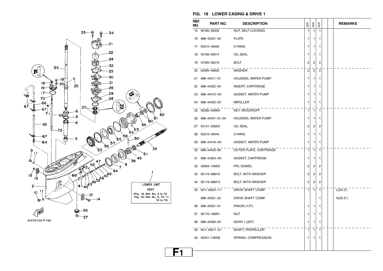![](_page_36_Figure_0.jpeg)

#### **FIG. 18 LOWER CASING & DRIVE 1**

| REF.<br>NO. | PART NO.        | <b>DESCRIPTION</b>       | υsΑ            | CAN          | OCE            |  | <b>REMARKS</b> |
|-------------|-----------------|--------------------------|----------------|--------------|----------------|--|----------------|
| 15          | 90185-05002     | NUT, SELF-LOCKING        | 1              | 1            | 1              |  |                |
| 16          | 688-45321-00    | <b>PLATE</b>             | 1              | 1            | 1              |  |                |
| 17          | 93210-49046     | O-RING                   | 1              | 1            | 1              |  |                |
| 18          | 93106-09014     | OIL SEAL                 | 1              | 1            | 1              |  |                |
| 19          | 97095-06016     | <b>BOLT</b>              | 2              | 2            | 2              |  |                |
| 20          | 92995-06600     | WASHER                   | $\overline{c}$ | $^{-2}$      | $\overline{c}$ |  |                |
| 21          | 688-44311-01    | HOUSING, WATER PUMP      | 1              | 1            | 1              |  |                |
| 22          | 688-44322-00    | INSERT, CARTRIDGE        | 1              | 1            | 1              |  |                |
| 23          | 688-44315-A0    | GASKET, WATER PUMP       | 1              | 1            | 1              |  |                |
| 24          | 688-44352-03    | <b>IMPELLER</b>          | 1              | 1            | 1              |  |                |
| 25          | 90280-04M04     | KEY, WOODRUFF            | 1              | 1            | $\mathbf{1}$   |  |                |
| 26          | 688-44341-01-94 | HOUSING, WATER PUMP      | 1              | 1            | 1              |  |                |
| 27          | 93101-25M03     | OIL SEAL                 | 2              | 2            | 2              |  |                |
| 28          | 93210-46044     | O-RING                   | 1              | 1            | 1              |  |                |
| 29          | 688-44316-A0    | GASKET, WATER PUMP       | 1              | 1            | 1              |  |                |
| 30          | 688-44323-00    | OUTER PLATE, CARTRIDGE   | 1              | 1            | $\mathbf{1}$   |  |                |
| 31          | 688-44324-A0    | <b>GASKET, CARTRIDGE</b> | 1              | 1            | 1              |  |                |
| 32          | 93604-10M03     | PIN, DOWEL               | 2              | 2            | 2              |  |                |
| 33          | 90119-08M16     | BOLT, WITH WASHER        | 2              | 2            | 2              |  |                |
| 34          | 90119-08M13     | BOLT, WITH WASHER        | 2              | 2            | 2              |  |                |
|             | 35 6H1-45501-11 | DRIVE SHAFT COMP.        | 1              | $\mathbf{1}$ | 1              |  | L(20.3")       |
|             | 688-45501-22    | DRIVE SHAFT COMP.        |                |              | 1              |  | X(25.3")       |
| 36          | 688-45551-01    | PINION (13T)             | 1              | 1            | 1              |  |                |
| 37          | 90170-16M01     | <b>NUT</b>               | 1              | 1            | 1              |  |                |
| 38          | 688-45560-00    | GEAR 1 (26T)             | 1              | 1            | 1              |  |                |
| 39          | 6H1-45611-01    | SHAFT, PROPELLER         | 1              | 1            | 1              |  |                |
| 40          | 90501-12M48     | SPRING, COMPRESSION      | 1              | 1            | 1              |  |                |
|             |                 |                          |                |              |                |  |                |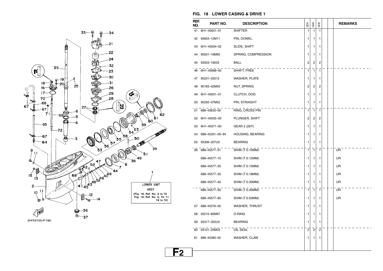![](_page_37_Figure_0.jpeg)

#### **FIG. 18 LOWER CASING & DRIVE 1**

| REF.<br>NO. | PART NO.        | <b>DESCRIPTION</b>   | USA | <b>GAN</b>   | OCE                     |  | <b>REMARKS</b> |
|-------------|-----------------|----------------------|-----|--------------|-------------------------|--|----------------|
| 41          | 6H1-45641-01    | <b>SHIFTER</b>       | 1   | $\mathbf{1}$ | 1                       |  |                |
| 42          | 93603-12M11     | PIN, DOWEL           | 1   | 1            | 1                       |  |                |
| 43          | 6H1-45634-02    | SLIDE, SHIFT         | 1   | 1            | 1                       |  |                |
| 44          | 90501-16M65     | SPRING, COMPRESSION  | 1   | 1            | 1                       |  |                |
| 45          | 93503-16003     | <b>BALL</b>          | 2   | 2            | 2                       |  |                |
| 46          | 6H1-45668-00    | SHAFT, FREE          | 1   | $\mathbf{1}$ | 1                       |  |                |
| 47          | 90201-03313     | <b>WASHER, PLATE</b> | 1   | 1            | 1                       |  |                |
| 48          | 90183-02M03     | <b>NUT, SPRING</b>   | 2   | 2            | 2                       |  |                |
| 49          | 6H1-45631-01    | CLUTCH, DOG          | 1   | 1            | 1                       |  |                |
| 50          | 90250-07M02     | PIN, STRAIGHT        | 1   | 1            | 1                       |  |                |
| 51          | 688-45633-00    | RING, CROSS PIN      | 1   | 1            | 1                       |  |                |
| 52          | 6H1-45635-00    | PLUNGER, SHIFT       | 2   | 2            | 2                       |  |                |
| 53          | 6H1-45571-00    | GEAR 2 (26T)         | 1   | 1            | 1                       |  |                |
| 54          | 688-45331-00-94 | HOUSING, BEARING     | 1   | 1            | 1                       |  |                |
| 55          | 93306-207U0     | <b>BEARING</b>       | 1   | 1            | 1                       |  |                |
| 56          | 688-45577-01    | SHIM (T:0.10MM)      | 1   | $\mathbf{1}$ | 1                       |  | UR             |
|             | 688-45577-10    | SHIM (T:0.12MM)      | 1   | 1            | 1                       |  | UR             |
|             | 688-45577-20    | SHIM (T:0.15MM)      | 1   | 1            | 1                       |  | UR             |
|             | 688-45577-30    | SHIM (T:0.18MM)      | 1   | 1            | 1                       |  | UR             |
|             | 688-45577-40    | SHIM (T:0.30MM)      | 1   | 1            | 1                       |  | UR             |
|             | 688-45577-50    | SHIM (T:0.40MM)      | 1   | $\mathbf{1}$ | 1                       |  | UR             |
|             | 688-45577-60    | SHIM (T:0.50MM)      | 1   | 1            | 1                       |  | UR             |
| 57          | 688-45576-00    | WASHER, THRUST       | 1   | 1            | 1                       |  |                |
| 58          | 93210-85M97     | O-RING               | 1   | 1            | 1                       |  |                |
| 59          | 93317-325U0     | <b>BEARING</b>       | 1   | 1            | 1                       |  |                |
| 60          | 93101-25M03     | OIL SEAL             | 2   | $\sqrt{2}$   | $\overline{\mathbf{c}}$ |  |                |
| 61          | 688-45383-02    | WASHER, CLAW         | 1   | 1            | 1                       |  |                |
|             |                 |                      |     |              |                         |  |                |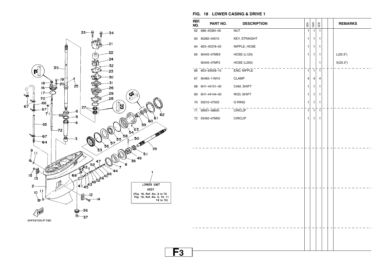![](_page_38_Figure_0.jpeg)

|             |              | FIG. 18 LOWER CASING & DRIVE 1 |     |            |     |  |  |
|-------------|--------------|--------------------------------|-----|------------|-----|--|--|
| REF.<br>NO. | PART NO.     | <b>DESCRIPTION</b>             | υsΑ | <b>SAN</b> | 300 |  |  |
| 62          | 688-45384-00 | <b>NUT</b>                     |     |            |     |  |  |
| 63          | 90282-04010  | <b>KEY, STRAIGHT</b>           |     |            |     |  |  |
| 64          | 6E5-45378-00 | NIPPLE, HOSE                   |     |            |     |  |  |

 $\frac{1}{2}$  END, NIPPLE  $\frac{1}{2}$  1  $\frac{1}{2}$  1  $\frac{1}{2}$  1  $\frac{1}{2}$  1  $\frac{1}{2}$  1  $\frac{1}{2}$  1  $\frac{1}{2}$  1  $\frac{1}{2}$  1  $\frac{1}{2}$  1  $\frac{1}{2}$  1  $\frac{1}{2}$  1  $\frac{1}{2}$  1  $\frac{1}{2}$  1  $\frac{1}{2}$  1  $\frac{1}{2}$  1  $\frac{1}{2}$  1  $\frac{1}{2$ 

CLAMP  $\begin{array}{|c|c|c|c|c|}\n\hline\n\text{CLAMP} & \text{4} & 4 & 4 \\
\hline\n\end{array}$ 

ROD, SHIFT  $\begin{array}{|c|c|c|c|c|c|}\n\hline\n\text{1} & \text{1} & \text{1} & \text{1} & \text{1} \\
\hline\n\end{array}$ 

CIRCLIP 1 1 1

O-RING  $\begin{array}{|c|c|c|c|c|}\n\hline\n\text{1} & \text{1} & \text{1} \\
\hline\n\end{array}$ 

CIRCLIP 1 1 1

CAM, SHIFT 1

HOSE (L120)  $\begin{vmatrix} 1 & 1 & 1 \\ 1 & 1 & 1 \end{vmatrix}$   $\begin{vmatrix} 1 & 1 & 1 \\ 1 & 1 & 1 \end{vmatrix}$   $\begin{vmatrix} 1 & 1 & 1 \\ 1 & 1 & 1 \end{vmatrix}$ 

HOSE (L250)  $X(25.3")$ 

**REMARKS** 

 $FIG.$ **REF. NO.**

65 90445–07ME9

66 6E5–83558–10

67 90465–11M10

68 6H1–44151–00

69 6H1–44144–00

70 93210–07003

71 99001–08600

72 93450–07M00

90445–07MF2

![](_page_38_Figure_3.jpeg)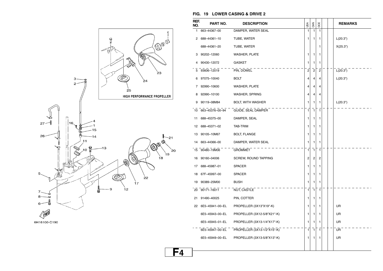![](_page_39_Figure_0.jpeg)

#### 6H16100-C190

#### **FIG. 19 LOWER CASING & DRIVE 2**

| REF.<br>NO. | PART NO.        | <b>DESCRIPTION</b>          | USA            | 64N            | <b>BOCE</b>    |  | <b>REMARKS</b> |
|-------------|-----------------|-----------------------------|----------------|----------------|----------------|--|----------------|
| 1           | 663-44367-00    | DAMPER, WATER SEAL          | $\mathbf{1}$   | $\mathbf{1}$   | $\mathbf{1}$   |  |                |
|             | 2 688-44361-10  | TUBE, WATER                 | 1              | 1              | 1              |  | L(20.3")       |
|             | 688-44361-20    | TUBE, WATER                 |                |                | 1              |  | X(25.3")       |
| 3           | 90202-12060     | WASHER, PLATE               | 1              | 1              | 1              |  |                |
| 4           | 90430-12072     | <b>GASKET</b>               | 1              | 1              | 1              |  |                |
| 5           | 93606-12019     | PIN, DOWEL                  | $\overline{c}$ | $\overline{c}$ | $\overline{2}$ |  | L(20.3")       |
| 6           | 97075-10040     | <b>BOLT</b>                 | 4              | 4              | 4              |  | L(20.3")       |
| 7           | 92990-10600     | <b>WASHER, PLATE</b>        | 4              | 4              | 4              |  |                |
| 8           | 92990-10100     | WASHER, SPRING              | 4              | 4              | 4              |  |                |
| 9           | 90119-08M84     | <b>BOLT, WITH WASHER</b>    | 1              | 1              | 1              |  | L(20.3")       |
| 10          | 663-45376-00-94 | GUIDE, SEAL DAMPER          | 1              | $\mathbf{1}$   | 1              |  |                |
| 11          | 688-45375-00    | DAMPER, SEAL                | 1              | 1              | 1              |  |                |
| 12          | 688-45371-02    | <b>TAB-TRIM</b>             | 1              | 1              | 1              |  |                |
| 13          | 90105-10M67     | <b>BOLT, FLANGE</b>         | 1              | 1              | 1              |  |                |
| 14          | 663-44366-00    | DAMPER, WATER SEAL          | 1              | 1              | 1              |  |                |
| 15          | 90480-19M06     | <b>GROMMET</b>              | $\mathbf{1}$   | $\mathbf{1}$   | ī              |  |                |
| 16          | 90160-04006     | SCREW, ROUND TAPPING        | $\overline{2}$ | 2              | 2              |  |                |
| 17          | 688-45987-01    | <b>SPACER</b>               | 1              | 1              | 1              |  |                |
| 18          | 67F-45997-00    | <b>SPACER</b>               | 1              | 1              | 1              |  |                |
| 19          | 90389-25M00     | <b>BUSH</b>                 | 1              | 1              | 1              |  |                |
| 20          | $90171 - 16011$ | NUT, CASTLE                 | 1              | 1              | $\mathbf{1}$   |  |                |
| 21          | 91490-40025     | PIN, COTTER                 | 1              | 1              | 1              |  |                |
| 22          | 6E5-45941-00-EL | PROPELLER (3X13"X19"-K)     | 1              | 1              | 1              |  | UR             |
|             | 6E5-45943-00-EL | PROPELLER (3X12-5/8"X21"-K) | 1              | 1              | 1              |  | UR             |
|             | 6E5-45945-01-EL | PROPELLER (3X13-1/4"X17"-K) | 1              | 1              | 1              |  | UR             |
|             | 6E5-45947-00-EL | PROPELLER (3X13-1/2"X15"-K) | 1              | $\mathbf{1}$   | $\mathbf{1}$   |  | UR             |
|             | 6E5-45949-00-EL | PROPELLER (3X13-5/8"X13"-K) | 1              | 1              | 1              |  | UR             |
|             |                 |                             |                |                |                |  |                |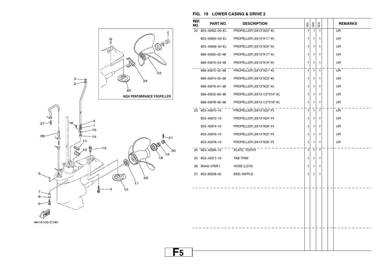![](_page_40_Figure_0.jpeg)

![](_page_40_Figure_1.jpeg)

#### **FIG. 19 LOWER CASING & DRIVE 2**

| REF.<br>NO. | PART NO.        | <b>DESCRIPTION</b>          | USA          | CAN            | OCE          |  | <b>REMARKS</b> |
|-------------|-----------------|-----------------------------|--------------|----------------|--------------|--|----------------|
| 22          | 6E5-45952-00-EL | PROPELLER (3X13"X23"-K)     | $\mathbf{1}$ | $\mathbf{1}$   | $\mathbf{1}$ |  | <b>UR</b>      |
|             | 6E5-45954-00-EL | PROPELLER (3X14"X11"-K)     | 1            | 1              | 1            |  | <b>UR</b>      |
|             | 6E5-45956-00-EL | PROPELLER (3X13"X25"-K)     | 1            | 1              | 1            |  | <b>UR</b>      |
|             | 688-45930-02-98 | PROPELLER (3X13"X17"-K)     | 1            | 1              | 1            |  | UR             |
|             | 688-45970-03-98 | PROPELLER (3X13"X19"-K)     | 1            | 1              | 1            |  | UR.            |
|             | 688-45972-02-98 | PROPELLER (3X13"X21"-K)     | $\mathbf{1}$ | $\overline{1}$ | $\mathbf{1}$ |  | <b>UR</b>      |
|             | 688-45974-02-98 | PROPELLER (3X13"X23"-K)     | 1            | 1              | 1            |  | <b>UR</b>      |
|             | 688-45976-01-98 | PROPELLER (3X13"X25"-K)     | 1            | 1              | 1            |  | <b>UR</b>      |
|             | 688-45932-60-98 | PROPELLER (3X13-1/2"X14"-K) | 1            | 1              | 1            |  | <b>UR</b>      |
|             | 688-45978-60-98 | PROPELLER (3X13-1/2"X16"-K) | 1            | 1              | 1            |  | UR             |
| 23          | 6E5-45970-10    | PROPELLER (3X14"X20"-P)     | 1            | $\mathbf{1}$   | 1            |  | UR             |
|             | 6E5-45972-10    | PROPELLER (3X14"X24"-P)     | 1            | 1              | 1            |  | <b>UR</b>      |
|             | 6E5-45974-10    | PROPELLER (3X14"X28"-P)     | 1            | 1              | 1            |  | <b>UR</b>      |
|             | 6E5-45976-10    | PROPELLER (3X14"X22"-P)     | 1            | 1              | 1            |  | <b>UR</b>      |
|             | 6E5-45978-10    | PROPELLER (3X14"X26"-P)     | 1            | $\mathbf{1}$   | 1            |  | <b>UR</b>      |
|             | 24 6E5-45994-10 | PLATE, TOOTH                | $\mathbf{1}$ | $\mathbf{1}$   | $\mathbf{1}$ |  |                |
| 25          | 6E5-45371-10    | TAB-TRIM                    | 1            | 1              | 1            |  |                |
| 26          | 90445-07MF1     | <b>HOSE (L570)</b>          | 1            | 1              | 1            |  |                |
| 27          | 6E5-83558-00    | END, NIPPLE                 | 1            | 1              | 1            |  |                |
|             |                 |                             |              |                |              |  |                |
|             |                 |                             |              |                |              |  |                |
|             |                 |                             |              |                |              |  |                |
|             |                 |                             |              |                |              |  |                |
|             |                 |                             |              |                |              |  |                |
|             |                 |                             |              |                |              |  |                |
|             |                 |                             |              |                |              |  |                |
|             |                 |                             |              |                |              |  |                |
|             |                 |                             |              |                |              |  |                |
|             |                 |                             |              |                |              |  |                |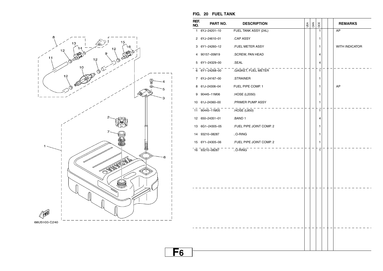![](_page_41_Figure_0.jpeg)

| REF.<br>NO.  | PART NO.       | <b>DESCRIPTION</b>        | υsΑ | <b>GAN</b> | OCE                     |  | <b>REMARKS</b> |
|--------------|----------------|---------------------------|-----|------------|-------------------------|--|----------------|
| $\mathbf{1}$ | 6YJ-24201-10   | FUEL TANK ASSY (24L)      |     |            | 1                       |  | AP             |
|              | 2 6YJ-24610-01 | .CAP ASSY                 |     |            | 1                       |  |                |
| 3            | 6Y1-24260-12   | .FUEL METER ASSY          |     |            | 1                       |  | WITH INDICATOR |
| 4            | 90157-05M19    | .SCREW, PAN HEAD          |     |            | $\overline{\mathbf{4}}$ |  |                |
| 5            | 6Y1-24329-00   | .SEAL                     |     |            | $\overline{4}$          |  |                |
|              | 6 6Y1-24268-00 | <b>GASKET, FUEL METER</b> |     |            | $\overline{1}$          |  |                |
|              | 7 6YJ-24167-00 | .STRAINER                 |     |            | 1                       |  |                |
| 8            | 61J-24306-04   | FUEL PIPE COMP. 1         |     |            | 1                       |  | AP             |
| 9            | 90445-11M06    | .HOSE (L2050)             |     |            | 1                       |  |                |
| 10           | 61J-24360-00   | .PRIMER PUMP ASSY         |     |            | $\mathbf{1}$            |  |                |
| 11           | 90445-11M05    | <b>HOSE</b> (L850)        |     |            | $\mathbf{1}$            |  |                |
| 12           | 650-24351-01   | .BAND 1                   |     |            | 4                       |  |                |
| 13           | 6G1-24305-05   | .FUEL PIPE JOINT COMP. 2  |     |            | 1                       |  |                |
| 14           | 93210-08287    | O-RING                    |     |            | 1                       |  |                |
| 15           | 6Y1-24305-06   | .FUEL PIPE JOINT COMP. 2  |     |            | $\mathbf{1}$            |  |                |
|              | 16 93210-08287 | $\overline{.0}$ -RING     |     |            | $\overline{1}$          |  |                |
|              |                |                           |     |            |                         |  |                |
|              |                |                           |     |            |                         |  |                |
|              |                |                           |     |            |                         |  |                |
|              |                |                           |     |            |                         |  |                |
|              |                |                           |     |            |                         |  |                |
|              |                |                           |     |            |                         |  |                |
|              |                |                           |     |            |                         |  |                |
|              |                |                           |     |            |                         |  |                |
|              |                |                           |     |            |                         |  |                |
|              |                |                           |     |            |                         |  |                |
|              |                |                           |     |            |                         |  |                |
|              |                |                           |     |            |                         |  |                |

#### **FIG. 20 FUEL TANK**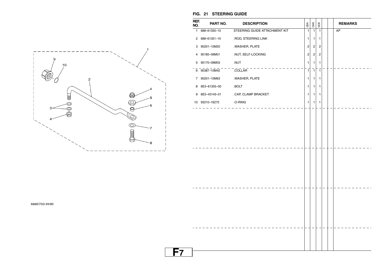![](_page_42_Figure_0.jpeg)

#### **FIG. 21 STEERING GUIDE**

|    | REF.<br>NO. | PART NO.            | <b>DESCRIPTION</b>            | USA            | CAN            | OCE          |  | <b>REMARKS</b> |
|----|-------------|---------------------|-------------------------------|----------------|----------------|--------------|--|----------------|
|    |             | 1 688-61350-10      | STEERING GUIDE ATTACHMENT KIT | $\mathbf{1}$   | $\overline{1}$ | $\mathbf{1}$ |  | AP             |
|    |             | 2 688-61351-10      | .ROD, STEERING LINK           | 1              | $\mathbf{1}$   | 1            |  |                |
|    |             | 3 90201-10M20       | .WASHER, PLATE                | $\overline{c}$ | 2              | 2            |  |                |
|    |             | 4 90185-09M01       | .NUT, SELF-LOCKING            | $\sqrt{2}$     | $\overline{c}$ | 2            |  |                |
|    |             | 5 90170-09M03       | .NUT                          | 1              | $\mathbf{1}$   | 1            |  |                |
|    |             | $6 - 90387 - 10M42$ | <b>COLLAR</b>                 | $\overline{1}$ | $\overline{1}$ | 1            |  |                |
|    |             | 7 90201-10M63       | .WASHER, PLATE                | 1              | 1              | 1.           |  |                |
|    |             | 8 6E5-61355-00      | .BOLT                         | 1              | $\mathbf{1}$   | 1            |  |                |
|    |             | 9 6E5-43145-01      | CAP, CLAMP BRACKET            | $\mathbf{1}$   | 1              | 1.           |  |                |
|    |             | 10 93210-16275      | .O-RING                       | 1              | 1              | 1            |  |                |
|    |             |                     |                               |                |                |              |  |                |
|    |             |                     |                               |                |                |              |  |                |
|    |             |                     |                               |                |                |              |  |                |
|    |             |                     |                               |                |                |              |  |                |
|    |             |                     |                               |                |                |              |  |                |
|    |             |                     |                               |                |                |              |  |                |
|    |             |                     |                               |                |                |              |  |                |
|    |             |                     |                               |                |                |              |  |                |
|    |             |                     |                               |                |                |              |  |                |
|    |             |                     |                               |                |                |              |  |                |
|    |             |                     |                               |                |                |              |  |                |
|    |             |                     |                               |                |                |              |  |                |
|    |             |                     |                               |                |                |              |  |                |
|    |             |                     |                               |                |                |              |  |                |
|    |             |                     |                               |                |                |              |  |                |
|    |             |                     |                               |                |                |              |  |                |
|    |             |                     |                               |                |                |              |  |                |
|    |             |                     |                               |                |                |              |  |                |
|    |             |                     |                               |                |                |              |  |                |
| F7 |             |                     |                               |                |                |              |  |                |

#### 6880700-9190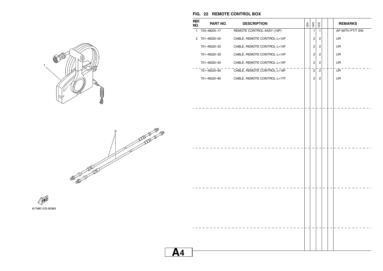![](_page_43_Picture_0.jpeg)

**FIG. 22 REMOTE CONTROL BOX** 

![](_page_43_Picture_1.jpeg)

![](_page_43_Picture_2.jpeg)

![](_page_43_Picture_3.jpeg)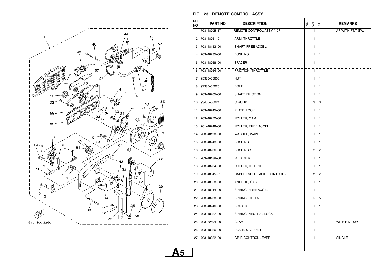![](_page_44_Figure_0.jpeg)

#### **FIG. 23 REMOTE CONTROL ASSY**

| REF.<br>NO. | PART NO.        | <b>DESCRIPTION</b>          | υsΑ | CAN            | OCE            |  | <b>REMARKS</b>   |
|-------------|-----------------|-----------------------------|-----|----------------|----------------|--|------------------|
| 1           | 703-48205-17    | REMOTE CONTROL ASSY (10P)   |     | $\mathbf{1}$   | $\mathbf{1}$   |  | AP WITH PT/T SW. |
| 2           | 703-48261-01    | .ARM, THROTTLE              |     | 1              | 1              |  |                  |
| 3           | 703-48153-00    | .SHAFT, FREE ACCEL.         |     | 1              | 1              |  |                  |
| 4           | 703-48235-00    | .BUSHING                    |     | 1              | 1              |  |                  |
| 5           | 703-48268-00    | .SPACER                     |     | 1              | 1              |  |                  |
| 6           | 703-48264-00    | .FRICTION, THROTTLE         |     | 1              | $\mathbf{1}$   |  |                  |
| 7           | 95380-05600     | .NUT                        |     | 1              | 1              |  |                  |
| 8           | 97380-05025     | .BOLT                       |     | 1              | 1              |  |                  |
| 9           | 703-48265-00    | .SHAFT, FRICTION            |     | 1              | 1              |  |                  |
| 10          | 93430-06024     | .CIRCLIP                    |     | 3              | 3              |  |                  |
| 11          | 703-48245-00    | .PLATE, LOCK                |     | 1              | $\mathbf{1}$   |  |                  |
| 12          | 703–48252–00    | .ROLLER, CAM                |     | 1              | 1              |  |                  |
| 13          | 701-48248-00    | .ROLLER, FREE ACCEL.        |     | 1              | 1              |  |                  |
| 14          | 703-48198-00    | .WASHER, WAVE               |     | 1              | 1              |  |                  |
| 15          | 703-48243-00    | BUSHING.                    |     | 1              | 1              |  |                  |
|             | 16 703-48236-00 | .BUSHING 1                  |     | $\overline{2}$ | $\overline{c}$ |  |                  |
|             | 17 703-48189-00 | .RETAINER                   |     | 1              | 1              |  |                  |
| 18          | 703-48234-00    | .ROLLER, DETENT             |     | 1              | 1              |  |                  |
| 19          | 703-48345-01    | CABLE END, REMOTE CONTROL 2 |     | 2              | 2              |  |                  |
| 20          | 703-48358-00    | .ANCHOR, CABLE              |     | 1              | 1              |  |                  |
|             | 21 703-48244-00 | .SPRING, FREE ACCEL.        |     | $\mathbf{1}$   | $\mathbf{1}$   |  |                  |
| 22          | 703-48238-00    | .SPRING, DETENT             |     | 5              | 5              |  |                  |
| 23          | 703-48246-00    | .SPACER                     |     | 1              | 1              |  |                  |
| 24          | 703-48227-00    | .SPRING, NEUTRAL LOCK       |     | 1              | 1              |  |                  |
| 25          | 703-82594-00    | .CLAMP                      |     | 1              | 1              |  | WITH PT/T SW.    |
| 26          | 703-48226-00    | .PLATE, STOPPER             |     | $\mathbf{1}$   | $\mathbf{1}$   |  |                  |
|             | 27 703-48222-00 | .GRIP, CONTROL LEVER        |     | 1              | 1              |  | SINGLE           |
|             |                 |                             |     |                |                |  |                  |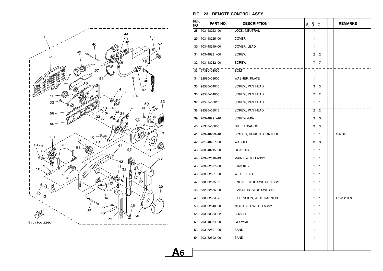![](_page_45_Figure_0.jpeg)

#### **FIG. 23 REMOTE CONTROL ASSY**

| REF.<br>NO. | PART NO.     | <b>DESCRIPTION</b>      | USA | CAN            | OCE                     |  | <b>REMARKS</b> |
|-------------|--------------|-------------------------|-----|----------------|-------------------------|--|----------------|
| 28          | 703-48223-00 | .LOCK, NEUTRAL          |     | 1              | 1                       |  |                |
| 29          | 703-48225-00 | .COVER                  |     | 1              | 1                       |  |                |
| 30          | 703-48219-00 | .COVER, LEAD            |     | 1              | 1                       |  |                |
| 31          | 703-48281-00 | .SCREW                  |     | 2              | 2                       |  |                |
| 32          | 703-48282-00 | .SCREW                  |     | 7              | 7                       |  |                |
| 33          | 97380-08030  | .BOLT                   |     | $\mathbf{1}$   | $\mathbf{1}$            |  |                |
| 34          | 92990-08600  | .WASHER, PLATE          |     | 1              | 1                       |  |                |
| 35          | 98580-04010  | .SCREW, PAN HEAD        |     | 3              | 3                       |  |                |
| 36          | 98580-04006  | .SCREW, PAN HEAD        |     | 2              | 2                       |  |                |
| 37          | 98580-05010  | .SCREW, PAN HEAD        |     | 1              | 1                       |  |                |
| 38          | 98580-03015  | .SCREW, PAN HEAD        |     | $\overline{c}$ | $\overline{\mathbf{c}}$ |  |                |
| 39          | 703-48291-10 | .SCREW (M6)             |     | 3              | 3                       |  |                |
| 40          | 95380-06600  | .NUT, HEXAGON           |     | 3              | 3                       |  |                |
| 41          | 703-48293-10 | .SPACER, REMOTE CONTROL |     | 1              | 1                       |  | SINGLE         |
| 42          | 701-48287-00 | .WASHER                 |     | 3              | 3                       |  |                |
| 43          | 703-48215-00 | .GRAPHIC                |     | 1              | $\mathbf{1}$            |  |                |
| 44          | 703-82510-43 | .MAIN SWITCH ASSY       |     | 1              | 1                       |  |                |
| 45          | 703-82577-00 | CAP, KEY                |     | 1              | 1                       |  |                |
| 46          | 703-82531-00 | .WIRE, LEAD             |     | 1              | 1                       |  |                |
| 47          | 688-82575-01 | ENGINE STOP SWITCH ASSY |     | 1              | 1                       |  |                |
| 48          | 682-82556-00 | LANYARD, STOP SWITCH    |     | 1              | 1                       |  |                |
| 49          | 688-8258A-20 | EXTENSION, WIRE HARNESS |     | 1              | 1                       |  | L:5M(10P)      |
| 50          | 703-82540-00 | NEUTRAL SWITCH ASSY     |     | 1              | 1                       |  |                |
| 51          | 703-83383-02 | .BUZZER                 |     | 1              | 1                       |  |                |
| 52          | 703-48284-00 | .GROMMET                |     | 1              | 1                       |  |                |
| 53          | 703-82591-00 | .BAND                   |     | $\mathbf{1}$   | 1                       |  |                |
| 54          | 703-82592-00 | .BAND                   |     | 1              | 1                       |  |                |
|             |              |                         |     |                |                         |  |                |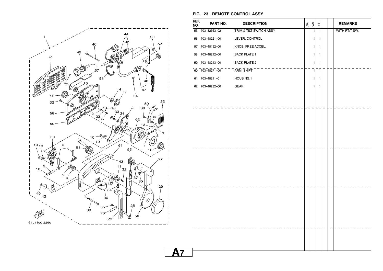![](_page_46_Figure_0.jpeg)

| REF.<br>NO. | PART NO.                     | <b>DESCRIPTION</b>       | USA | CAN          | OCE            |  | <b>REMARKS</b> |
|-------------|------------------------------|--------------------------|-----|--------------|----------------|--|----------------|
|             | 55 703-82563-02              | .TRIM & TILT SWITCH ASSY |     | $\mathbf{1}$ | $\mathbf{1}$   |  | WITH PT/T SW.  |
|             | 56 703-48221-00              | .LEVER, CONTROL          |     | 1            | 1              |  |                |
|             | 57 703-48152-00              | .KNOB, FREE ACCEL.       |     | 1            | 1              |  |                |
|             | 58 703-48212-00              | .BACK PLATE 1            |     | 1            | 1              |  |                |
| 59          | 703-48213-00                 | .BACK PLATE 2            |     | $\mathbf{1}$ | $\mathbf{1}$   |  |                |
|             | $\overline{60}$ 703-48271-00 | .ARM, SHIFT              |     | $\mathbf{1}$ | $\overline{1}$ |  |                |
|             | 61 703-48211-01              | .HOUSING,1               |     | 1            | 1              |  |                |
|             | 62 703-48232-00              | .GEAR                    |     | 1            | 1              |  |                |
|             |                              |                          |     |              |                |  |                |
|             |                              |                          |     |              |                |  |                |
|             |                              |                          |     |              |                |  |                |
|             |                              |                          |     |              |                |  |                |
|             |                              |                          |     |              |                |  |                |
|             |                              |                          |     |              |                |  |                |
|             |                              |                          |     |              |                |  |                |
|             |                              |                          |     |              |                |  |                |
|             |                              |                          |     |              |                |  |                |
|             |                              |                          |     |              |                |  |                |
|             |                              |                          |     |              |                |  |                |
|             |                              |                          |     |              |                |  |                |
|             |                              |                          |     |              |                |  |                |
|             |                              |                          |     |              |                |  |                |
|             |                              |                          |     |              |                |  |                |
|             |                              |                          |     |              |                |  |                |
|             |                              |                          |     |              |                |  |                |
|             |                              |                          |     |              |                |  |                |
|             |                              |                          |     |              |                |  |                |
|             |                              |                          |     |              |                |  |                |

**FIG. 23 REMOTE CONTROL ASSY**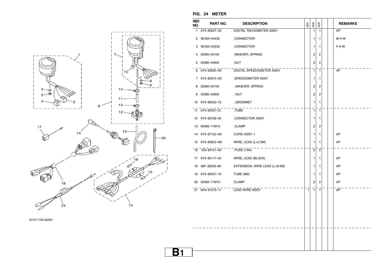![](_page_47_Figure_0.jpeg)

| REF.<br>NO.  | PART NO.        | <b>DESCRIPTION</b>            | USA | CAN                            | OCE            |  | <b>REMARKS</b> |
|--------------|-----------------|-------------------------------|-----|--------------------------------|----------------|--|----------------|
| $\mathbf{1}$ | 6Y5-8350T-03    | DIGITAL TACHOMETER ASSY       |     | 1                              | 1              |  | AP             |
|              | 2 9E450-04433   | .CONNECTOR                    |     | 1                              | 1              |  | $M-4-W$        |
| 3            | 9E450-04533     | .CONNECTOR                    |     | 1                              | 1              |  | $F-4-W$        |
| 4            | 92990-04100     | .WASHER, SPRING               |     | 2                              | 2              |  |                |
|              | 5 95380-04600   | .NUT                          |     | 2                              | 2              |  |                |
|              | 6 6Y5-83500-S5  | DIGITAL SPEEDOMETER ASSY      |     | $\mathbf{1}$                   | $\mathbf{1}$   |  | AP             |
|              | 7 6Y5-83570-S5  | .SPEEDOMETER ASSY             |     | 1                              | 1              |  |                |
| 8            | 92990-04100     | WASHER, SPRING                |     | 2                              | 2              |  |                |
|              | 9 95380-04600   | NUT                           |     | 2                              | 2              |  |                |
|              | 10 6Y5-83533-T2 | GROMMET                       |     | 1                              | 1              |  |                |
| 11           | 6Y5-83557-31    | .TUBE                         |     | $\mathbf{1}$                   | 1              |  |                |
|              | 12 6Y5-83728-00 | .CONNECTOR ASSY               |     | 1                              | 1              |  |                |
|              | 13 90465-11M10  | .CLAMP                        |     | 2                              | 2              |  |                |
| 14           | 6Y5-87122-S0    | CORD ASSY 1                   |     | 1                              | 1              |  | AP             |
|              | 15 6Y5-83553-M0 | WIRE, LEAD (L=2.5M)           |     | 1                              | 1              |  | AP             |
|              | 16 1E6-82151-00 | .FUSE (10A)                   |     | $\overline{c}$                 | $\overline{2}$ |  |                |
|              | 17 6Y5-82117-00 | WIRE, LEAD (BLACK)            |     | 1                              | 1              |  | AP             |
| 18           | 68F-82553-80    | EXTENSION, WIRE LEAD (L=8.0M) |     | 1                              | 1              |  | AP             |
|              | 19 6Y5-83557-10 | TUBE (8M)                     |     | 1                              | 1              |  | AP             |
|              | 20 90465-11M10  | <b>CLAMP</b>                  |     | 2                              | 2              |  | AP             |
|              | 21 6H4-81315-11 | LEAD WIRE ASSY                |     | $\overline{1}$<br>$\mathbf{1}$ | $\mathbf{1}$   |  | AP             |
|              |                 |                               |     |                                |                |  |                |
|              |                 |                               |     |                                |                |  |                |
|              |                 |                               |     |                                |                |  |                |
|              |                 |                               |     |                                |                |  |                |
|              |                 |                               |     |                                |                |  |                |
|              |                 |                               |     |                                |                |  |                |
|              |                 |                               |     |                                |                |  |                |

6H31700-2260

#### **FIG. 24 METER**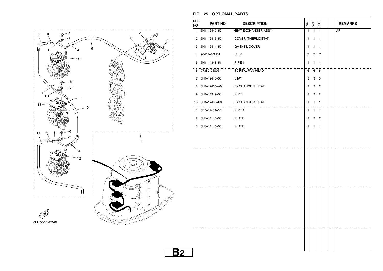![](_page_48_Figure_0.jpeg)

#### **FIG. 25 OPTIONAL PARTS**

| REF.<br>NO. | PART NO.        | <b>DESCRIPTION</b>  | USA            | CAN                     | OCE            |  | <b>REMARKS</b> |
|-------------|-----------------|---------------------|----------------|-------------------------|----------------|--|----------------|
|             | 1 6H1-12440-52  | HEAT EXCHANGER ASSY | $\mathbf{1}$   | $\mathbf{1}$            | $\mathbf{1}$   |  | AP             |
|             | 2 6H1-12413-50  | .COVER, THERMOSTAT  | 1              | 1                       | $\mathbf{1}$   |  |                |
|             | 3 6H1-12414-50  | .GASKET, COVER      | 1              | $\mathbf{1}$            | $\mathbf{1}$   |  |                |
| 4           | 90467-10M04     | .CLIP               | $\overline{7}$ | 7                       | 7              |  |                |
|             | 5 6H1-14348-51  | PIPE 1              | 1              | $\mathbf{1}$            | $\mathbf{1}$   |  |                |
|             | 6 97880-04006   | SCREW, PAN HEAD     | $\mathbf 6$    | 6                       | 6              |  |                |
|             | 7 6H1-12443-50  | .STAY               | 3              | 3                       | 3              |  |                |
| 8           | 6H1-12466-A0    | .EXCHANGER, HEAT    | $\overline{2}$ | $\sqrt{2}$              | $\overline{c}$ |  |                |
| 9           | 6H1-14349-50    | .PIPE               | $\mathbf 2$    | $\overline{c}$          | $\overline{c}$ |  |                |
|             | 10 6H1-12466-B0 | .EXCHANGER, HEAT    | 1              | $\mathbf{1}$            | $\mathbf{1}$   |  |                |
|             | 11 6E5-12481-00 | PIPE <sub>1</sub>   | 1              | $\overline{1}$          | $\overline{1}$ |  |                |
|             | 12 6H4-14146-50 | .PLATE              | $\overline{c}$ | $\overline{\mathbf{c}}$ | $\overline{c}$ |  |                |
|             | 13 6H3-14146-50 | .PLATE              | 1              | 1                       | 1              |  |                |
|             |                 |                     |                |                         |                |  |                |
|             |                 |                     |                |                         |                |  |                |
|             |                 |                     |                |                         |                |  |                |
|             |                 |                     |                |                         |                |  |                |
|             |                 |                     |                |                         |                |  |                |
|             |                 |                     |                |                         |                |  |                |
|             |                 |                     |                |                         |                |  |                |
|             |                 |                     |                |                         |                |  |                |
|             |                 |                     |                |                         |                |  |                |
|             |                 |                     |                |                         |                |  |                |
|             |                 |                     |                |                         |                |  |                |
|             |                 |                     |                |                         |                |  |                |
|             |                 |                     |                |                         |                |  |                |
|             |                 |                     |                |                         |                |  |                |
|             |                 |                     |                |                         |                |  |                |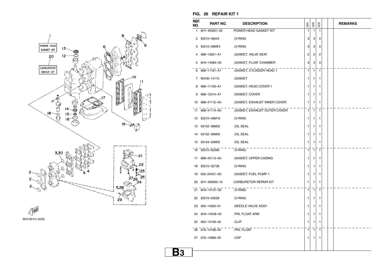![](_page_49_Figure_0.jpeg)

![](_page_49_Figure_1.jpeg)

#### **FIG. 26 REPAIR KIT 1**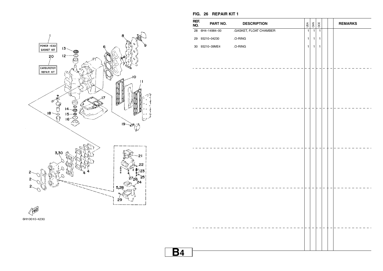![](_page_50_Figure_0.jpeg)

| . .         | . .<br>-- --<br>.      |                        |                |                    |                |                |
|-------------|------------------------|------------------------|----------------|--------------------|----------------|----------------|
| REF.<br>NO. | PART NO.               | <b>DESCRIPTION</b>     | USA            | $rac{5}{\sqrt{2}}$ | OCE            | <b>REMARKS</b> |
|             | 28 6H4-14984-00        | .GASKET, FLOAT CHAMBER | $\overline{1}$ | $\overline{1}$     | $\overline{1}$ |                |
|             | 29 93210-04230         | .O-RING                | $\mathbf{1}$   | $\mathbf{1}$       | $\mathbf{1}$   |                |
|             | 30 93210-39ME4 .O-RING |                        | $\mathbf{1}$   | $\mathbf{1}$       | $\mathbf{1}$   |                |
|             |                        |                        |                |                    |                |                |
|             |                        |                        |                |                    |                |                |
|             |                        |                        |                |                    |                |                |
|             |                        |                        |                |                    |                |                |
|             |                        |                        |                |                    |                |                |
|             |                        |                        |                |                    |                |                |
|             |                        |                        |                |                    |                |                |
|             |                        |                        |                |                    |                |                |
|             |                        |                        |                |                    |                |                |
|             |                        |                        |                |                    |                |                |
|             |                        |                        |                |                    |                |                |
|             |                        |                        |                |                    |                |                |
|             |                        |                        |                |                    |                |                |
|             |                        |                        |                |                    |                |                |
|             |                        |                        |                |                    |                |                |
|             |                        |                        |                |                    |                |                |
|             |                        |                        |                |                    |                |                |
|             |                        |                        |                |                    |                |                |
|             |                        |                        |                |                    |                |                |
|             |                        |                        |                |                    |                |                |
|             |                        |                        |                |                    |                |                |
|             |                        |                        |                |                    |                |                |
|             |                        |                        |                |                    |                |                |
|             |                        |                        |                |                    |                |                |
|             |                        |                        |                |                    |                |                |
|             |                        |                        |                |                    |                |                |
|             |                        |                        |                |                    |                |                |
|             |                        |                        |                |                    |                |                |

## **FIG. 26 REPAIR KIT 1**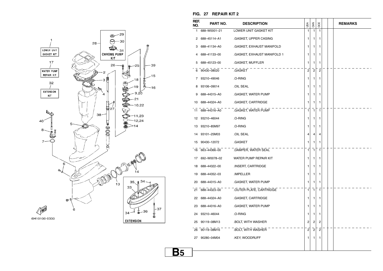![](_page_51_Figure_0.jpeg)

| NO. | PART NO.        | <b>DESCRIPTION</b>                 | USA            | <b>SAN</b>     | OCE            |  | <b>REMARKS</b> |
|-----|-----------------|------------------------------------|----------------|----------------|----------------|--|----------------|
|     | 1 688-W0001-21  | LOWER UNIT GASKET KIT              | 1              | 1              | 1              |  |                |
|     | 2 688-45114-A1  | .GASKET, UPPER CASING              | 1              | 1              | 1              |  |                |
| 3   | 688-41134-A0    | .GASKET, EXHAUST MANIFOLD          | 1              | 1              | 1              |  |                |
| 4   | 688-41133-00    | .GASKET, EXHAUST MANIFOLD 1        | 1              | 1.             | 1              |  |                |
| 5   | 688-45123-00    | .GASKET, MUFFLER                   | 1              | 1              | 1              |  |                |
| 6   | 90430-08020     | .GASKET                            | $\overline{2}$ | $\overline{2}$ | $\overline{c}$ |  |                |
| 7   | 93210-49046     | .O-RING                            | 1              | 1              | 1              |  |                |
| 8   | 93106-09014     | OIL SEAL                           | 1              | 1              | 1              |  |                |
| 9   | 688-44315-A0    | GASKET, WATER PUMP.                | 1              | 1              | 1              |  |                |
| 10  | 688-44324-A0    | .GASKET, CARTRIDGE                 | 1              | 1              | 1              |  |                |
| 11  | 688-44316-A0    | GASKET, WATER PUMP                 | 1              | 1              | 1              |  |                |
|     | 12 93210-46044  | .O-RING                            | 1              | 1              | 1              |  |                |
|     | 13 93210-85M97  | .O-RING                            | 1              | 1.             | 1              |  |                |
| 14  | 93101-25M03     | .OIL SEAL                          | 4              | 4              | 4              |  |                |
| 15  | 90430-12072     | .GASKET                            | 1              | 1              | 1              |  |                |
|     |                 | 16 663-44366-00 DAMPER, WATER SEAL | 1              | 1              | 1              |  |                |
|     | 17 692-W0078-02 | WATER PUMP REPAIR KIT              | 1              | 1              | 1              |  |                |
| 18  | 688-44322-00    | INSERT, CARTRIDGE                  | 1              | 1.             | 1              |  |                |
| 19  | 688-44352-03    | .IMPELLER                          | 1              | 1              | 1              |  |                |
| 20  | 688-44315-A0    | .GASKET, WATER PUMP                | 1              | 1              | 1              |  |                |
|     | 21 688-44323-00 | OUTER PLATE, CARTRIDGE             | 1              | $\mathbf{1}$   | 1              |  |                |
|     | 22 688-44324-A0 | .GASKET, CARTRIDGE                 | 1              | 1.             | 1              |  |                |
|     | 23 688-44316-A0 | GASKET, WATER PUMP.                | 1              | 1.             | 1              |  |                |
|     | 24 93210-46044  | .O-RING                            | 1              | 1              | 1              |  |                |
|     | 25 90119-08M13  | .BOLT, WITH WASHER                 | 2              | 2              | 2              |  |                |
|     | 26 90119-08M16  | BOLT, WITH WASHER                  | 2              | $\overline{2}$ | $\overline{2}$ |  |                |
|     |                 |                                    |                |                |                |  |                |

 $\blacksquare$ 

#### **FIG. 27 REPAIR KIT 2 REF.**

**B5**

27 90280–04M04

.KEY, WOODRUFF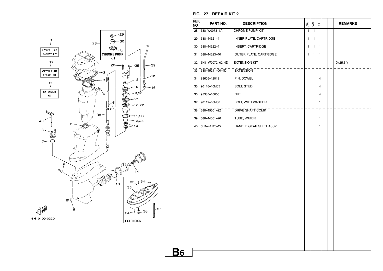![](_page_52_Figure_0.jpeg)

| REF.<br>NO. | PART NO.           | <b>DESCRIPTION</b>      | USA            | CAN            | OCE            | <b>REMARKS</b> |
|-------------|--------------------|-------------------------|----------------|----------------|----------------|----------------|
| 28          | 688-W0078-1A       | CHROME PUMP KIT         | $\overline{1}$ | $\overline{1}$ | $\overline{1}$ |                |
| 29          | 688-44321-41       | .INNER PLATE, CARTRIDGE | 1              | 1              | 1              |                |
| 30          | 688-44322-41       | .INSERT, CARTRIDGE      | 1              | 1              | 1              |                |
| 31          | 688-44323-40       | .OUTER PLATE, CARTRIDGE | 1              | 1              | 1              |                |
| 32          | 6H1-W0072-02-4D    | <b>EXTENSION KIT</b>    |                |                | 1              | X(25.3")       |
| 33          | $-688-45211-00-4D$ | <b>EXTENSION</b>        |                |                | $\overline{1}$ |                |
| 34          | 93606-12019        | .PIN, DOWEL             |                |                | 4              |                |
| 35          | 90116-10M05        | .BOLT, STUD             |                |                | 4              |                |
| 36          | 95380-10600        | .NUT                    |                |                | 4              |                |
| 37          | 90119-08M86        | .BOLT, WITH WASHER      |                |                | 1              |                |
|             | $38$ 688-45501-22  | DRIVE SHAFT COMP.       |                |                | 1              |                |
| 39          | 688-44361-20       | .TUBE, WATER            |                |                | 1              |                |
| 40          | 6H1-44120-22       | .HANDLE GEAR SHIFT ASSY |                |                | 1              |                |
|             |                    |                         |                |                |                |                |
|             |                    |                         |                |                |                |                |
|             |                    |                         |                |                |                |                |
|             |                    |                         |                |                |                |                |
|             |                    |                         |                |                |                |                |
|             |                    |                         |                |                |                |                |
|             |                    |                         |                |                |                |                |
|             |                    |                         |                |                |                |                |
|             |                    |                         |                |                |                |                |
|             |                    |                         |                |                |                |                |
|             |                    |                         |                |                |                |                |
|             |                    |                         |                |                |                |                |
|             |                    |                         |                |                |                |                |
|             |                    |                         |                |                |                |                |
|             |                    |                         |                |                |                |                |
|             |                    |                         |                |                |                |                |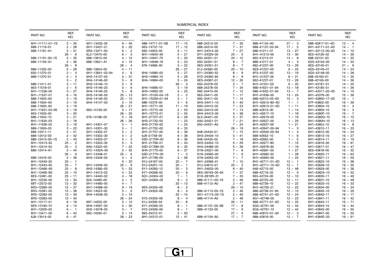| PART NO.        | REF.<br>NO. | PART NO.        | REF.<br>NO.                       | PART NO.        | REF.<br>NO.             | PART NO.        | REF.<br>NO. | PART NO.        | REF.<br>NO. | PART NO.        | REF.<br>NO. |
|-----------------|-------------|-----------------|-----------------------------------|-----------------|-------------------------|-----------------|-------------|-----------------|-------------|-----------------|-------------|
| 6H1-11111-01-1S | $2 - 30$    | 6H1-13435-00    | $6 - 45$                          | 688-14711-01-5B | $17 - 10$               | 688-24313-00    | $7 - 30$    | 688-41134-A0    | $27 - 3$    | 688-42817-01-4D | $12 - 4$    |
| 688-11119-01    | $2 - 28$    | 6H1-13437-21    | $9 - 20$                          | 663-14737-10    | $17 - 12$               | 688-24314-00    | $7 - 31$    | 688-41137-03-94 | $17 - 5$    | 6H1-43111-01-4D | $14 - 1$    |
| 688-11181-A1    | $2 - 31$    | 6R3-13471-00    | $6 - 2$                           | 692-14923-00    | $5 - 11$                | 6H1-24314-00    | $7 - 27$    | 688-41211-01    | $13 - 27$   | 6H1-43112-00-4D | $14 - 10$   |
|                 | $26 - 6$    | 6L2-13475-00    | $6 -$<br>-3                       | 6H1-14943-39    | $5 - 21$                | 6Y1-24329-00    | $20 - 5$    | 6H1-41213-00    | $13 - 30$   | 6E5-43126-02    | $14 - 39$   |
| 688-11191-00-1S | $2 - 35$    | 688-13610-00    | $4 - 12$                          | 6H1-14947-75    | $5 - 20$                | 650-24351-01    | $20 - 12$   | 662-41214-01    | $13 - 8$    | 688-43131-03    | $14 - 20$   |
| 688-11193-A1    | $2 - 36$    | 688-13621-A1    | $4 - 10$                          | 6H1-14948-18    | $5 - 23$                | 650-24351-51    | $8 - 7$     | 688-41217-01    | $4 - 3$     | 6G5-43144-00    | $14 - 33$   |
|                 | $26 - 8$    |                 | $26 - 4$                          | 676-14966-00    | $5 - 22$                | 6E5-24351-51    | $8 - 7$     | 682-41237-00    | $13 - 29$   | 6E5-43145-01    | $21 - 9$    |
| 688-11325-00    | $2 - 26$    | 688-13624-00    | $4 - 11$                          |                 | $26 - 27$               | 61J-24360-00    | $20 - 10$   | 6E9-41237-00    | $6 - 25$    | 6G5-43145-01    | $14 - 24$   |
| 650-11370-01    | $2 - 4$     | 6H1-13641-02-94 | $4 - 6$                           | 6H4-14980-00    | $5 - 27$                | 6Y1-24360-52    | $8 - 9$     | 6F5-41237-00    | $13 - 19$   | 6G5-43148-00    | $14 - 28$   |
| 688-11370-01    | $2 - 3$     | 6H3-14137-00    | $5 - 31$                          | 6H3-14980-10    | $5 - 28$                | 6Y2-24360-60    | $8 -$<br>9  | 6H1-41237-00    | $6 - 21$    | 688-43160-01    | $14 - 35$   |
|                 | $3 - 2$     | 6H4-14146-00    | $5 -$<br>8                        | 6H4-14984-00    | $5 - 24$                | 6E5-24367-01    | $12 - 30$   | 662-41237-01    | $13 - 26$   | 688-43165-00    | $14 - 36$   |
| 688-11411-01    | $3 - 11$    | 6H3-14146-10    | $5 -$<br>9                        |                 | $26 - 5$                | 650-24378-00    | $2 - 7$     | 6H1-41241-02    | $6 - 20$    | 6H1-43181-01    | $14 - 25$   |
| 663-11518-01    | $2 - 6$     | 6H3-14146-20    | $5 -$<br>9                        | 6H4-14985-01    | $5 - 19$                | 688-24378-00    | $7 - 34$    | 688-41631-01-94 | $13 - 18$   | 6H1-43185-01    | $14 - 26$   |
|                 |             |                 |                                   |                 |                         |                 |             |                 |             |                 |             |
| 6H1-11536-00    | $3 - 27$    | 6H4-14146-20    | $5 - 8$                           | 6H3-14992-00    | $5 - 25$                | 692-24410-00    | $7 - 12$    | 688-41632-01-94 | $13 - 7$    | 6H1-43311-02-4D | $14 - 15$   |
| 6H1-11537-01    | $6 - 16$    | 6H3-14146-50    | $25 - 13$                         | 6H1-15100-04-1S | $2 - 2$                 | 663-24411-00    | $7 - 17$    | 6H1-41636-00    | $13 - 24$   | 6H1-43376-00    | $15 - 39$   |
| 688-11603-A0    | $3 - 19$    | 6H4-14146-50    | $25 - 12$                         | 6H1-15359-01-94 | $3 - 1$                 | 692-24411-00    | $7 - 14$    | 688-42510-03-4D | $15 - 3$    | 6H1-43800-17-4D | $16 - 1$    |
| 688-11604-A0    | $3 - 19$    | 6H4-14147-00    | $5 - 10$                          | 688-15379-00    | $3 - 6$                 | 6H3-24411-10    | $5 - 40$    | 6H1-42610-80-4D | $1 - 1$     | 67F-43802-00    | $16 - 39$   |
| 688-11605-A0    | $3 - 19$    |                 | $26 - 21$                         | 6H1-15771-00    | $11 - 19$               | 6A0-24412-02    | $7 - 23$    | 6H1-42613-01-4D | $1 - 11$    | 6H1-43804-10    | $16 - 4$    |
| 6H1-11631-03-95 | $3 - 18$    | 663-14159-00    | $5 - 17$                          | 6H1-15772-00    | $2 - 53$                | 6A0-24413-00    | $7 - 13$    | 688-42615-00    | $1 - 14$    | 6H1-43805-10    | $16 - 3$    |
| 663-11633-00    | $3 - 20$    |                 | $26 - 25$                         | 6H1-15773-01    | $2 - 55$                | 6H4-24413-00    | $5 - 38$    | 6H1-42617-10    | $1 - 18$    | 6H1-4380F-10    | $16 - 7$    |
| 688-11634-10    | $3 - 21$    | 676-14186-00    | $5 - 18$                          | 6H1-21707-07    | $6 - 26$                | 6L5-24421-00    | $5 - 37$    | 6H1-42619-00    | $1 - 19$    | 6H1-4380G-10    | $16 - 15$   |
| 6H1-11635-03    | $3 - 18$    |                 | $26 - 26$                         | 6H3-21732-00    | $1 - 23$                | 6A0-24421-01    | $7 - 21$    | 6H1-42627-00    | $1 - 20$    | 6H1-4380H-10    | $16 - 13$   |
| 6H1-11636-03    | $3 - 18$    | 6H1-14301-07    | $5 - 1$                           | 6H3-21735-00    | $1 - 24$                | 650-24431-A0    | $7 - 24$    | 6H1-42637-00    | $1 - 21$    | 6H1-4380J-10    | $16 - 8$    |
| 688-11650-03    | $3 - 22$    | 6H1-14301-30    | $5 -$<br>$\overline{\phantom{0}}$ | 6H1-21752-00    | $6 - 33$                |                 | $26 - 19$   | 6H1-42647-00-94 | $1 - 3$     | 6H1-43810-11    | $16 - 20$   |
| 688-12411-11    | $2 - 41$    | 6H1-14302-07    | $\overline{2}$<br>$5 -$           | 6H1-21757-00    | $6 - 39$                | 648-24434-01    | $7 - 15$    | 6H1-42649-00-94 | $1 - 4$     | 6H1-43812-00    | $16 - 24$   |
| 688-12412-00    | $2 - 42$    | 6H1-14302-30    | $\overline{2}$<br>$5 -$           | 6J8-21758-00    | $6 - 38$                | 6H3-24434-10    | $5 - 41$    | 688-42652-10    | $1 - 6$     | 6H1-43813-10    | $16 - 27$   |
| 688-12413-00-1S | $2 - 43$    | 6H1-14303-07    | 3<br>$5 -$                        | 63D-2175R-00    | $6 - 36$                | 648-24435-02    | $7 - 18$    | 663-42662-00    | $1 - 5$     | 6H1-43814-11    | $16 - 19$   |
| 6H1-12413-50    | $25 - 2$    | 6H1-14303-30    | -3<br>$5 -$                       | 6H1-21766-01    | $6 - 43$                | 6H3-24452-10    | $5 - 29$    | 6H1-42677-80    | $1 - 15$    | 6H1-43816-00    | $16 - 67$   |
| 6H1-12414-50    | $25 - 3$    | 6A0-14325-00    | $7 - 22$                          | 63D-2176M-00    | $6 - 35$                | 6H4-24486-00    | $5 - 39$    | 6H1-42678-60    | $1 - 16$    | 6H1-43817-01    | $16 - 47$   |
| 688-12414-A1    | $2 - 44$    | 67C-1432A-00    | $5 - 42$                          | 6H4-21770-00    | $6 - 37$                | 61N-24521-00    | $7 - 8$     | 6H1-42681-50    | $1 - 27$    | 6E5-43818-00    | $16 - 32$   |
|                 | $26 - 9$    | 6H1-14348-51    | 5<br>$25 -$                       | 63D-2177H-00    | $1 - 2$                 | 61N-24560-00    | $7 - 6$     | 6H1-42682-50    | $1 - 28$    | 6H1-43820-11    | $16 - 63$   |
| 688-12416-00    | $2 - 39$    | 6H3-14349-00    | $4 - 4$                           | 6H1-21796-00    | $2 - 56$                | 61N-24563-00    | $7 - 7$     | 6H1-42694-00    | $1 - 22$    | 6H1-43821-11    | $16 - 59$   |
| 6H1-12440-52    | $25 - 1$    |                 | $5 - 32$                          | 6YJ-24167-00    | $20 - 7$                | 6H1-24566-01    | $7 - 10$    | 6H1-42711-01-4D | $12 - 1$    | 6H1-43822-10    | $16 - 58$   |
| 6H1-12443-50    | $25 - 7$    | 6H1-14349-50    | $25 - 9$                          | 6YJ-24201-10    | $20 - 1$                | 6YJ-24610-01    | $20 - 2$    | 6H1-42711-10-4D | $12 - 1$    | 6H1-43828-10    | $16 - 30$   |
| 6H1-12466-A0    | $25 - 8$    | 6H3-14380-00    | $5 - 33$                          | 6Y1-24260-12    | $20 - 3$                | 6H1-24633-00    | $6 - 40$    | 648-42715-00    | $13 - 48$   | 6H1-43829-00    | $16 - 36$   |
| 6H1-12466-B0    | $25 - 10$   | 6H1-14413-02    | $4 - 22$                          | 6Y1-24268-00    | $20 - 6$                | 6E0-28193-00-94 | $7 - 37$    | 688-42716-02    | $12 - 9$    | 6H1-4382A-10    | $16 - 52$   |
| 6E5-12481-00    | $25 - 11$   | 6H1-14440-02    | $4 - 18$                          | 6G1-24304-02    | $7 - 1$                 | 61H-2819R-31    | $7 - 35$    | 663-42724-00    | $12 - 10$   | 6H1-43830-11    | $16 - 49$   |
| 6H1-12535-00    | $12 - 34$   | 624-14485-00    | 5<br>$2 -$                        | 6G1-24305-05    | $8 -$<br>$\overline{2}$ | 688-41111-00-1S | $2 - 46$    | 688-42725-20    | $12 - 11$   | 6H1-43831-10    | $16 - 48$   |
| 68T-12572-00    | $12 - 32$   | 6H1-14485-00    | $4 - 7$                           |                 | $20 - 13$               | 688-41112-A0    | $2 - 47$    | 688-42726-10    | $12 - 22$   | 6H1-43833-10    | $16 - 33$   |
| 6R3-12580-00    | $12 - 37$   | 6H1-14488-00    | $9 - 19$                          | 6E5-24305-06    | $8 - 2$                 |                 | $26 - 10$   | 6H1-42726-21    | $12 - 22$   | 6H1-43834-00    | $16 - 34$   |
| 6R3-12581-00    | $12 - 38$   | 63V-14523-00    | $5 - 5$                           | 6Y1-24305-06    | $8 - 4$                 | 688-41113-00-1S | $2 - 49$    | 688-42738-01-94 | $12 - 12$   | 6H1-43835-10    | $16 - 29$   |
| 6R3-12582-00    | $12 - 39$   | 6H4-14548-00    | $5 - 15$                          |                 | $20 - 15$               | 6H1-41113-00-1S | $2 - 49$    | 688-42741-01-4D | $12 - 24$   | 6H1-43840-11    | $16 - 17$   |
| 6R3-12583-00    | $12 - 40$   |                 | $26 - 24$                         | 6Y2-24305-06    | $8 - 4$                 | 688-41114-A0    | $2 - 48$    | 6G1-42748-00    | $12 - 23$   | 6H1-43841-11    | $16 - 42$   |
| 6H1-13117-01    | $6 - 18$    | 697-14555-00    | $5 - 12$                          | 61J-24306-04    | $20 - 8$                |                 | $26 - 11$   | 688-42771-01-4D | $12 - 25$   | 6H1-43843-11    | $16 - 71$   |
| 6E9-13183-70    | $6 - 13$    | 6H4-14567-00    | $5 - 30$                          | 6Y1-24306-55    | $8 - 1$                 | 688-41131-00-5B | $17 - 8$    | 6G5-42791-00    | $12 - 44$   | 6H1-43844-10    | $16 - 44$   |
| 6H1-13200-02    | $6 - 1$     | 6H2-14578-00    | $5 - 7$                           | 6Y2-24306-56    | $8 - 1$                 | 688-41133-00    | $17 - 9$    | 6G5-42791-10    | $12 - 44$   | 6H1-43845-00    | $16 - 55$   |
| 6H1-13411-00    | $6 - 42$    | 692-14590-01    | $5 - 14$                          | 663-24312-01    | $2 - 50$                |                 | $27 - 4$    | 688-42815-01-4D | $12 - 3$    | 6H1-43847-00    | $16 - 50$   |
| 6J8-13414-00    | $6 - 41$    |                 | $26 - 23$                         | 6H1-24312-01    | $12 - 41$               | 688-41134-A0    | $17 - 7$    | 688-42816-00    | $12 - 7$    | 6H1-4384E-20    | $16 - 61$   |
|                 |             |                 |                                   |                 |                         |                 |             |                 |             |                 |             |

![](_page_53_Picture_2.jpeg)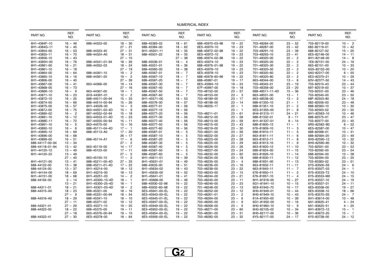| PART NO.        | REF.<br>NO. | PART NO.        | REF.<br>NO. | PART NO.        | REF.<br>NO.   | PART NO.        | REF.<br>NO. | PART NO.        | REF.<br>NO.              | PART NO.     | REF.<br>NO. |
|-----------------|-------------|-----------------|-------------|-----------------|---------------|-----------------|-------------|-----------------|--------------------------|--------------|-------------|
| 6H1-4384F-10    | $16 - 46$   | 688-44323-00    | $18 - 30$   | 688-45383-02    | $18 - 61$     | 688-45970-03-98 | $19 - 22$   | 703-48284-00    | $23 - 52$                | 703-82119-00 | $10 - 2$    |
| 6H1-4384G-11    | $16 - 45$   |                 | $27 - 21$   | 688-45384-00    | $18 - 62$     | 6E5-45970-10    | $19 - 23$   | 701-48287-00    | $23 - 42$                | 682-82119-01 | $10 - 42$   |
| 6H1-43854-00    | $16 - 53$   | 688-44323-40    | $27 - 31$   | 6H1-45501-11    | $18 - 35$     | 688-45972-02-98 | $19 - 22$   | 703-48291-10    | $23 - 39$                | 688-82127-02 | $15 - 25$   |
| 6H1-43855-11    | $16 - 70$   | 688-44324-A0    | $18 - 31$   | 688-45501-22    | $18 - 35$     | 6E5-45972-10    | $19 - 23$   | 703-48293-10    | $23 - 41$                | 6E5-82148-00 | $14 - 11$   |
| 6H1-43856-10    | $16 - 43$   |                 | $27 - 10$   |                 | $27 - 38$     | 688-45974-02-98 | $19 - 22$   | 701-48320-00    | $22 - 2$                 | 6H1-82148-00 | $14 - 8$    |
| 6H1-4385H-00    | $16 - 76$   | 688-44341-01-94 | $18 - 26$   | 688-45536-01    | $18 - 4$      | 6E5-45974-10    | $19 - 23$   | 701-48320-20    | $22 - 2$                 | 1E6-82151-00 | $24 - 16$   |
| 6H1-43861-00    | $16 - 21$   | 688-44352-03    | $18 - 24$   | 688-45551-01    | $18 - 36$     | 688-45976-01-98 | $19 - 22$   | 701-48320-30    | $22 -$<br>$\overline{2}$ | 663-82151-00 | $10 - 33$   |
| 6H1-43861-10    | $16 - 18$   |                 | $27 - 19$   | 688-45560-00    | $18 - 38$     | 6E5-45976-10    | $19 - 23$   | 701-48320-50    | $22 -$<br>$\overline{2}$ | 6G5-82152-00 | $10 - 20$   |
| 6H1-43864-00    | $16 - 64$   | 688-44361-10    | $19 - 2$    | 688-45567-01    | $18 - 7$      | 6E5-45978-10    | $19 - 23$   | 701-48320-60    | $22 - 2$                 | 6A0-82317-00 | $6 - 50$    |
| 6H1-43865-10    | $16 - 16$   | 688-44361-20    | $19 - 2$    | 688-45567-10    | $18 - 7$      | 688-45978-60-98 | $19 - 22$   | 701-48320-80    | $\overline{2}$<br>$22 -$ | 6E3-82370-21 | $10 - 29$   |
| 6H1-43866-00    | $16 - 40$   |                 | $27 - 39$   | 688-45567-20    | $18 - 7$      | 688-45987-01    | $19 - 17$   | 663-48344-00    | $13 - 6$                 | 63V-82377-50 | $14 - 43$   |
| 6H1-43867-00    | $16 - 41$   | 663-44366-00    | $19 - 14$   | 688-45567-30    | $18 - 7$      | 6E5-45994-10    | $19 - 24$   | 703-48345-01    | $23 - 19$                | 703-82510-43 | $23 - 44$   |
| 6H1-43868-00    | $16 - 73$   |                 | $27 - 16$   | 688-45567-40    | $18 - 7$      | 67F-45997-00    | $19 - 18$   | 703-48358-00    | $23 - 20$                | 697-82519-00 | $10 - 37$   |
| 6H1-4386K-10    | $16 - 9$    | 663-44367-00    | $19 - 1$    | 688-45567-50    | $18 - 7$      | 703-48152-00    | $23 - 57$   | 688-48511-11-4D | $15 - 36$                | 703-82531-00 | $23 - 46$   |
| 6H1-43871-10    | $16 - 23$   | 6H3-44391-01    | $12 - 2$    | 688-45567-60    | $18 - 7$      | 703-48153-00    | $23 - 3$    | 663-48531-00    | $13 - 1$                 | 703-82540-00 | $23 - 50$   |
| 6H1-43872-10    | $16 - 25$   | 688-44511-00-94 | $15 - 33$   | 6H1-45571-00    | $18 - 53$     | 703-48189-00    | $23 - 17$   | 663-48538-00    | $13 - 2$                 | 68F-82553-80 | $24 - 18$   |
| 6H1-43874-00    |             |                 |             |                 |               |                 |             |                 |                          |              |             |
| 6H1-43875-00    | $16 - 66$   | 688-44514-00-94 | $15 - 26$   | 688-45576-00    | $18 - 57$     | 703-48198-00    | $23 - 14$   | 688-61350-10    | $21 - 1$                 | 682-82556-00 | $23 - 48$   |
|                 | $16 - 57$   | 6H1-44526-00    | $14 - 3$    | 688-45577-01    | $18 - 56$     | 703-48205-17    | $22 - 1$    | 688-61351-10    | $21 - 2$                 | 688-82560-10 | $10 - 30$   |
| 6H1-4387J-00    | $16 - 75$   | 663-44551-02-4D | $15 - 9$    | 688-45577-10    | $18 - 56$     |                 | $23 - 1$    | 6E5-61355-00    | $21 - 8$                 | 703-82563-02 | $23 - 55$   |
| 6H1-43880-02    | $16 - 2$    | 687-44552-02-94 | $15 - 18$   | 688-45577-20    | $18 - 56$     | 703-48211-01    | $23 - 61$   | 6H4-81315-11    | $24 - 21$                | 6H1-82563-10 | $10 - 46$   |
| 6H1-43881-10    | $16 - 12$   | 663-44553-01-4D | $15 - 23$   | 688-45577-30    | $18 - 56$     | 703-48212-00    | $23 - 58$   | 688-81332-01    | $9 - 11$                 | 688-82575-01 | $23 - 47$   |
| 6H1-4388E-11    | $16 - 72$   | 687-44555-00-94 | $15 - 11$   | 688-45577-40    | $18 - 56$     | 703-48213-00    | $23 - 59$   | 6H1-81337-01    | $9 - 14$                 | 703-82577-00 | $23 - 45$   |
| 6H1-43891-10    | $16 - 5$    | 663-44575-00    | $15 - 16$   | 688-45577-50    | $18 - 56$     | 703-48215-00    | $23 - 43$   | 688-81800-12    | $11 - 1$                 | 6R5-82582-B0 | $6 - 52$    |
| 6H1-43892-10    | $16 - 6$    | 688-45111-04-4D | $17 - 1$    | 688-45577-60    | $18 - 56$     | 703-48219-00    | $23 - 30$   | 676-81809-10    | $11 - 3$                 | 6E5-82587-00 | $10 - 47$   |
| 6H1-43895-12    | $16 - 69$   | 688-45113-A0    | $17 - 20$   | 688-45587-01    | $18 -$<br>- 5 | 703-48221-00    | $23 - 56$   | 688-81810-11    | $11 -$<br>- 5            | 688-82588-01 | $10 - 31$   |
| 6H1-43896-00    | $16 - 68$   |                 | $26 - 17$   | 688-45587-10    | 5<br>$18 -$   | 703-48222-00    | $23 - 27$   | 663-81811-11    | $11 - 6$                 | 688-8258A-20 | $23 - 49$   |
| 6H1-43899-00    | $16 - 51$   | 688-45114-A1    | $17 - 6$    | 688-45587-20    | $18 -$<br>5   | 703-48223-00    | $23 - 28$   | 663-81812-11    | $11 - 8$                 | 6H0-82590-12 | $10 - 32$   |
| 688-44117-00-94 | $13 - 34$   |                 | $27 - 2$    | 688-45587-30    | 5<br>$18 -$   | 703-48225-00    | $23 - 29$   | 663-81813-10    | $11 - 9$                 | 6H0-82590-80 | $10 - 32$   |
| 688-44118-01-94 | $13 - 42$   | 663-45119-00    | $14 - 17$   | 688-45587-40    | 5<br>$18 -$   | 703-48226-00    | $23 - 26$   | 663-81820-12    | $11 - 10$                | 703-82591-00 | $23 - 53$   |
| 6H1-44120-12    | $13 - 49$   | 688-45123-00    | $17 - 11$   | 688-45587-50    | 5<br>$18 -$   | 703-48227-00    | $23 - 24$   | 688-81824-00    | $11 - 15$                | 703-82592-00 | $23 - 54$   |
| 6H1-44120-22    | $13 - 49$   |                 | $27 - 5$    | 688-45587-60    | $18 -$<br>5   | 703-48232-00    | $23 - 62$   | 663-81826-10    | $11 - 14$                | 688-82594-00 | $10 - 38$   |
|                 | $27 - 40$   | 663-45155-10    | $17 - 2$    | 6H1-45611-01    | $18 - 39$     | 703-48234-00    | $23 - 18$   | 688-81830-11    | $11 - 12$                | 703-82594-00 | $23 - 25$   |
| 6H1-44121-00    | $13 - 41$   | 688-45211-00-4D | $27 - 33$   | 6H1-45631-01    | $18 - 49$     | 703-48235-00    | $23 - 4$    | 688-81831-00    | $11 - 13$                | 703-83383-02 | $23 - 51$   |
| 688-44122-00    | $13 - 38$   | 688-45211-01-4D | $17 - 22$   | 688-45633-00    | $18 - 51$     | 703-48236-00    | $23 - 16$   | 663-81832-11    | $11 - 11$                | 6Y5-83500-S5 | $24 - 6$    |
| 688-44124-00    | $13 - 37$   | 6H1-45214-00    | $18 - 12$   | 6H1-45634-02    | $18 - 43$     | 703-48238-00    | $23 - 22$   | 663-81840-11    | $11 - 7$                 | 6Y5-8350T-03 | $24 - 1$    |
| 6H1-44144-00    | $18 - 69$   | 6H1-45215-00    | $18 - 13$   | 6H1-45635-00    | $18 - 52$     | 703-48243-00    | $23 - 15$   | 676-81850-11    | $11 - 2$                 | 6Y5-83533-T2 | $24 - 10$   |
| 6H1-44151-00    | $18 - 68$   | 6H1-45251-03    | $14 - 2$    | 6H1-45641-01    | $18 - 41$     | 703-48244-00    | $23 - 21$   | 676-81857-10    | $11 - 4$                 | 6Y5-83553-M0 | $24 - 15$   |
| 688-44194-00    | $2 - 14$    | 6H1-45300-15-4D | $18 - 1$    | 6H1-45668-00    | $18 - 46$     | 703-48245-00    | $23 - 11$   | 6H1-81916-00    | $10 - 27$                | 6Y5-83557-10 | $24 - 19$   |
|                 | $13 - 21$   | 6H1-45300-25-4D | $18 - 1$    | 688-45930-02-98 | $19 - 22$     | 703-48246-00    | $23 - 23$   | 6G1-81941-10    | $10 - 15$                | 6Y5-83557-31 | $24 - 11$   |
| 688-44311-01    | $18 - 21$   | 6H1-45301-03-4D | $18 - 2$    | 688-45932-60-98 | $19 - 22$     | 701-48248-00    | $23 - 13$   | 6E9-81945-70    | $10 - 17$                | 6E5-83558-00 | $19 - 27$   |
| 688-44315-A0    | $18 - 23$   | 688-45321-00    | $18 - 16$   | 6E5-45941-00-EL | $19 - 22$     | 703-48252-00    | $23 - 12$   | 6H0-81949-01    | $10 - 44$                | 6E5-83558-10 | $18 - 66$   |
|                 | $27 - 9$    | 688-45331-00-94 | $18 - 54$   | 6E5-45943-00-EL | $19 - 22$     | 703-48261-01    | $23 - 2$    | 6H0-81949-10    | $10 - 43$                | 6Y5-83570-S5 | $24 - 7$    |
| 688-44316-A0    | $18 - 29$   | 688-45341-10    | $18 - 10$   | 6E5-45945-01-EL | $19 - 22$     | 703-48264-00    | $23 - 6$    | 61A-81950-00    | $10 - 39$                | 6H1-83614-00 | $10 - 48$   |
|                 | $27 - 11$   | 688-45371-02    | $19 - 12$   | 6E5-45947-00-EL | $19 - 22$     | 703-48265-00    | $23 - 9$    | 6G1-81952-00    | $10 - 16$                | 6A1-83625-41 | $4 - 24$    |
| 688-44321-41    | $27 - 29$   | 6E5-45371-10    | $19 - 25$   | 6E5-45949-00-EL | $19 - 22$     | 703-48268-00    | $23 - 5$    | 6H0-81960-10    | $10 - 9$                 | 6A1-83625-51 | $4 - 25$    |
| 688-44322-00    | $18 - 22$   | 688-45375-00    | $19 - 11$   | 6E5-45952-00-EL | $19 - 22$     | 703-48271-00    | $23 - 60$   | 6H0-82105-02    | $10 - 34$                | 6H1-83672-12 | $15 - 1$    |
|                 | $27 - 18$   | 663-45376-00-94 | $19 - 10$   | 6E5-45954-00-EL | $19 - 22$     | 703-48281-00    | $23 - 31$   | 6H0-82117-00    | $10 - 36$                | 6H1-83672-20 | $15 - 1$    |
| 688-44322-41    | $27 - 30$   | 6E5-45378-00    | $18 - 64$   | 6E5-45956-00-EL | $19 - 22$     | 703-48282-00    | $23 - 32$   | 6Y5-82117-00    | $24 - 17$                | 6Y5-83728-00 | $24 - 12$   |
|                 |             |                 |             |                 |               |                 |             |                 |                          |              |             |

![](_page_54_Picture_2.jpeg)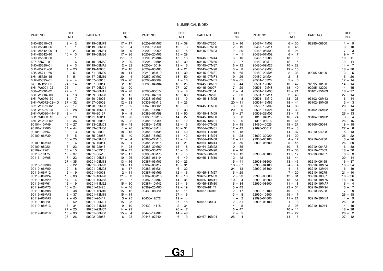| REF.<br>REF.<br>REF.<br>REF.<br>REF.<br>REF.<br>PART NO.<br>PART NO.<br>PART NO.<br>PART NO.<br>PART NO.<br>PART NO.<br>NO.<br>NO.<br>NO.<br>NO.<br>NO.<br>NO.<br>$9 - 2$<br>90445-07260<br>$1 - 9$<br>6H0-85510-03<br>90119-08M79<br>$17 - 17$<br>90202-07M07<br>$13 - 39$<br>$2 - 16$<br>90467-11M08<br>$6 - 30$<br>92995-06600<br>$19 - 3$<br>6H0-85540-06<br>90119-08M80<br>$17 - 4$<br>90202-12060<br>90445-07M00<br>90467-12M11<br>$6 - 46$<br>$3 - 10$<br>$10 - 1$<br>$2 - 19$<br>9<br>$2 - 20$<br>$7 - 3$<br>6H1-85542-00-94<br>$10 - 21$<br>90119-08M84<br>$19 -$<br>90202-12092<br>13<br>$-15$<br>90445-07M23<br>90468-05M03<br>$6 - 24$<br>6H1-85542-10<br>$10 - 3$<br>$17 - 26$<br>90202-20M06<br>15<br>$-29$<br>90468-07M02<br>$6 - 7$<br>$9 - 7$<br>90119-08M86<br>$4 - 1$<br>6H0-85550-00<br>$27 - 37$<br>90202-25M04<br>$15 - 13$<br>$6 - 10$<br>$13 - 9$<br>$9 -$<br>90445-07M44<br>90468-18008<br>$10 - 11$<br>- 1<br>697-85570-00<br>$10 - 6$<br>$2 - 29$<br>90206-10M04<br>90445-07M86<br>$12 - 15$<br>$12 - 14$<br>90119-08MA3<br>$13 - 32$<br>$3 - 7$<br>90480-09M12<br>6H0-85580-01<br>$9 - 3$<br>90119-08MA8<br>$2 - 32$<br>90206-13019<br>$12 - 6$<br>90445-07M87<br>$6 - 12$<br>90480-09M25<br>$10 - 22$<br>$14 - 7$<br>6H1-85711-60<br>$4 - 23$<br>$18 - 20$<br>90119-10005<br>$2 - 10$<br>90209-06M05<br>$4 - 21$<br>90445-07M90<br>$6 - 8$<br>90480-19M06<br>$19 - 15$<br>$13 - 5$<br>6R5-85711-60<br>$10 - 51$<br>90151-05M00<br>$18 - 14$<br>90249-06M19<br>$14 - 30$<br>90445-07ME9<br>$18 - 65$<br>$2 - 38$<br>90480-20M05<br>92995-08100<br>6H1-85720-15<br>$6 - 51$<br>$20 - 4$<br>90250-07M02<br>$18 - 50$<br>90445-07MF1<br>$19 - 26$<br>90480-24M04<br>$2 - 18$<br>15<br>$-20$<br>90157-05M19<br>$17 - 14$<br>6H2-85895-01<br>$13 - 20$<br>90266-06009<br>90445-07MF2<br>$18 - 65$<br>90501-10326<br>$5 - 6$<br>$9 - 4$<br>90157-06013<br>$1 - 10$<br>6Y5-87122-S0<br>$18 - 25$<br>90445-08M01<br>$14 - 14$<br>$24 - 14$<br>90157-06014<br>$2 - 13$<br>90280-04M04<br>$6 - 44$<br>90501-12082<br>$13 - 47$<br>92995-10100<br>92995-12200<br>6H1-W0001-02<br>$26 - 1$<br>90157-06M01<br>$12 - 20$<br>$27 - 27$<br>90445-09097<br>$7 - 29$<br>90501-12M48<br>$18 - 40$<br>$14 - 45$<br>90445-09104<br>688-W0001-21<br>$27 - 1$<br>90159-06M11<br>$10 - 28$<br>90280-05015<br>$9 - 8$<br>$7 - 4$<br>90501-14M08<br>$15 - 21$<br>93101-25M03<br>$18 - 27$<br>$7 - 33$<br>688-W0004-00<br>$4 - 13$<br>90159-06M20<br>$9 - 15$<br>90282-04010<br>$18 - 63$<br>90445-09220<br>90501-16M11<br>$2 - 40$<br>$27 - 14$<br>6H1-W0070-60<br>$1 - 17$<br>90160-04006<br>$19 - 16$<br>90338-05M03<br>$14 - 19$<br>$8 - 8$<br>90501-16M12<br>$13 - 23$<br>93102-08M43<br>$16 - 14$<br>90445-11M05<br>$27 - 32$<br>$12 - 33$<br>$1 - 25$<br>$3 - 3$<br>6H1-W0072-02-4D<br>90167-06002<br>90338-05M12<br>$20 - 11$<br>$18 - 44$<br>93102-30M05<br>90501-16M65<br>692-W0078-02<br>$27 - 17$<br>5<br>90340-08002<br>$-9$<br>90502-16M02<br>90170-09M03<br>$21 -$<br>18<br>90445-11M06<br>$8 -$<br>6<br>$14 - 38$<br>$26 - 14$<br>$18 - 37$<br>688-W0078-1A<br>$27 - 28$<br>90170-16M01<br>90340-14M00<br>$2 - 33$<br>$20 -$<br>9<br>90506-14M24<br>$14 - 32$<br>93102-36M02<br>$3 - 13$<br>90386-07M58<br>6H1-W0090-44-1S<br>$2 - 1$<br>90170-20137<br>$9 - 9$<br>$13 - 50$<br>90445-11M09<br>$6 - 27$<br>90508-29M05<br>$13 - 17$<br>$26 - 13$<br>6H1-W0093-10<br>$26 - 20$<br>90171-16011<br>$19 - 20$<br>90386-10M16<br>$14 - 27$<br>90445-13M00<br>$8 -$<br>8<br>91318-04025<br>$16 - 74$<br>93104-20M02<br>$3 - 4$<br>656-W2810-02<br>$7 - 36$<br>90179-06066<br>$15 - 22$<br>90386-12089<br>$13 - 12$<br>90445-13M01<br>$8 -$<br>6<br>91318-08016<br>$16 - 65$<br>$26 - 15$<br>$12 - 5$<br>90101-10M49<br>$15 - 27$<br>90183-02M03<br>$18 - 48$<br>90386-13M38<br>90464-07M05<br>$19 - 21$<br>$18 - 18$<br>$6 - 15$<br>91490-40025<br>93106-09014<br>$1 - 26$<br>$27 - 8$<br>90101-12M65<br>$14 - 44$<br>90183-05M06<br>90386-18M14<br>$16 - 31$<br>90464-09M31<br>$12 - 43$<br>$13 - 3$<br>91690-30012<br>90105-10M67<br>90185-05002<br>$18 - 15$<br>90386-18M35<br>$14 - 40$<br>90464-11M18<br>$14 - 37$<br>$5 - 13$<br>$19 - 13$<br>$14 - 18$<br>93210-04228<br>90464-11M24<br>90109-06M39<br>$6 - 5$<br>90185-08057<br>$15 - 40$<br>90386-18M63<br>$14 - 42$<br>$6 - 28$<br>91690-30020<br>$14 - 29$<br>$26 - 22$<br>90386-22M13<br>92903-06100<br>$5 - 26$<br>$10 - 25$<br>90185-09M01<br>$21 - 4$<br>$13 - 14$<br>90464-15M08<br>$12 - 21$<br>$4 - 17$<br>93210-04230<br>90109-06M40<br>$6 - 6$<br>90185-10051<br>$15 - 31$<br>90386-22M15<br>$14 - 21$<br>90464-18M14<br>$10 - 50$<br>92903-06600<br>$5 - 45$<br>$26 - 29$<br>90109-08022<br>$3 - 23$<br>90185-22043<br>$14 - 23$<br>90386-30M60<br>$-8$<br>90464-23M22<br>$10 - 35$<br>$10 - 8$<br>93210-064A5<br>$16 - 38$<br>15<br>$-6$<br>90109-12261<br>$15 - 15$<br>90201-03313<br>$18 - 47$<br>90386-30M77<br>15<br>90465-06M90<br>$9 - 16$<br>$13 - 36$<br>93210-07003<br>$18 - 70$<br>$-5$<br>$8 - 3$<br>90116-10175<br>$15 - 37$<br>$12 - 17$<br>90386-30M78<br>15<br>90465-08M23<br>92903-08100<br>$11 - 17$<br>90201-06416<br>$10 - 12$<br>93210-08287<br>90116-10M05<br>$17 - 23$<br>90201-06M31<br>$10 - 26$<br>90387-06119<br>$-49$<br>$12 - 42$<br>$13 - 44$<br>$20 - 14$<br>6<br>90465-11M10<br>$27 - 35$<br>90387-06M03<br>90201-08M13<br>$13 - 16$<br>$10 - 23$<br>$15 - 41$<br>92903-08600<br>$13 - 45$<br>93210-09165<br>$16 - 37$<br>$2 - 22$<br>90387-06M17<br>93210-10M74<br>90116-10M06<br>90201-08M23<br>$13 - 11$<br>$13 - 31$<br>$18 - 67$<br>92990-04100<br>$24 - 4$<br>$16 - 54$<br>90119-06M09<br>$12 - 8$<br>90387-06M31<br>90201-08M93<br>$6 - 17$<br>$6 - 32$<br>$24 - 13$<br>92990-05100<br>$4 - 15$<br>93210-13M04<br>$6 - 19$<br>90119-06M12<br>$2 - 9$<br>90387-06M69<br>90465-11M27<br>$6 - 29$<br>$7 - 20$<br>93210-16275<br>90201-10008<br>$2 - 11$<br>$12 - 16$<br>$21 - 10$<br>$2 - 23$<br>90119-06M24<br>$13 - 33$<br>90201-10M20<br>$21 - 3$<br>90387-08M16<br>$13 - 13$<br>90465-12M03<br>92990-06600<br>$12 - 31$<br>93210-18397<br>$16 - 26$<br>90119-06M29<br>$14 - 4$<br>$21 - 7$<br>90387-10M02<br>$14 - 31$<br>90465-13M11<br>92990-08200<br>$13 - 51$<br>93210-18M75<br>$16 - 56$<br>90201-10M63<br>$10 - 4$<br>90119-06M61<br>$12 - 19$<br>90201-11M22<br>$15 - 30$<br>90387-10M42<br>$21 - 6$<br>90465-13M30<br>$6 - 34$<br>92990-08600<br>$11 - 18$<br>93210-19MA7<br>$-4$<br>6<br>90119-06M75<br>$10 - 24$<br>90389-25M00<br>19<br>$-19$<br>90465-18147<br>$5 - 43$<br>$23 - 34$<br>93210-29M94<br>$15 - 7$<br>90201-12426<br>$14 - 46$<br>$7 - 9$<br>90119-06M88<br>$6 - 48$<br>90201-12M16<br>$15 - 12$<br>90430-08020<br>$-11$<br>90467-06016<br>$2 - 17$<br>92990-10100<br>$19 - 8$<br>93210-32738<br>18<br>90119-06MA3<br>$2 - 37$<br>27<br>$-6$<br>$3 -$<br>8<br>$19 - 7$<br>90201-13M19<br>$15 - 14$<br>92990-10600<br>$26 - 18$<br>90119-06MA5<br>$2 - 45$<br>$3 - 25$<br>19<br>$4 - 2$<br>$11 - 21$<br>$4 - 9$<br>90201-20417<br>90430-12072<br>$-4$<br>92995-04600<br>93210-39ME4<br>$2 - 52$<br>$27 - 15$<br>$2 - 51$<br>$26 - 3$<br>90119-08020<br>90201-20M21<br>$15 - 28$<br>90467-08004<br>92995-06100<br>$1 - 8$<br>$18 - 34$<br>$2 - 34$<br>$4 - 5$<br>$2 - 25$<br>$9 - 10$<br>$4 - 19$<br>90119-08M13<br>90201-21M18<br>90430-14115<br>93210-46044<br>$27 - 25$<br>90201-22M67<br>$14 - 22$<br>26<br>$-7$<br>$6 - 47$<br>$10 - 14$<br>18<br>$-28$<br>$18 - 33$<br>$15 - 4$<br>$14 - 48$<br>$7 -$<br>$12 - 27$<br>26<br>$-2$<br>90119-08M16<br>90201-30M00<br>90440-14M00<br>-5<br>$27 - 26$<br>$6 - 23$<br>90445-07240<br>$6 - 9$<br>$25 - 4$<br>$14 - 6$<br>$27 - 12$<br>90202-05088<br>90467-10M04 |  |  |  |  |  |  |  |  |  |  |  |  |
|----------------------------------------------------------------------------------------------------------------------------------------------------------------------------------------------------------------------------------------------------------------------------------------------------------------------------------------------------------------------------------------------------------------------------------------------------------------------------------------------------------------------------------------------------------------------------------------------------------------------------------------------------------------------------------------------------------------------------------------------------------------------------------------------------------------------------------------------------------------------------------------------------------------------------------------------------------------------------------------------------------------------------------------------------------------------------------------------------------------------------------------------------------------------------------------------------------------------------------------------------------------------------------------------------------------------------------------------------------------------------------------------------------------------------------------------------------------------------------------------------------------------------------------------------------------------------------------------------------------------------------------------------------------------------------------------------------------------------------------------------------------------------------------------------------------------------------------------------------------------------------------------------------------------------------------------------------------------------------------------------------------------------------------------------------------------------------------------------------------------------------------------------------------------------------------------------------------------------------------------------------------------------------------------------------------------------------------------------------------------------------------------------------------------------------------------------------------------------------------------------------------------------------------------------------------------------------------------------------------------------------------------------------------------------------------------------------------------------------------------------------------------------------------------------------------------------------------------------------------------------------------------------------------------------------------------------------------------------------------------------------------------------------------------------------------------------------------------------------------------------------------------------------------------------------------------------------------------------------------------------------------------------------------------------------------------------------------------------------------------------------------------------------------------------------------------------------------------------------------------------------------------------------------------------------------------------------------------------------------------------------------------------------------------------------------------------------------------------------------------------------------------------------------------------------------------------------------------------------------------------------------------------------------------------------------------------------------------------------------------------------------------------------------------------------------------------------------------------------------------------------------------------------------------------------------------------------------------------------------------------------------------------------------------------------------------------------------------------------------------------------------------------------------------------------------------------------------------------------------------------------------------------------------------------------------------------------------------------------------------------------------------------------------------------------------------------------------------------------------------------------------------------------------------------------------------------------------------------------------------------------------------------------------------------------------------------------------------------------------------------------------------------------------------------------------------------------------------------------------------------------------------------------------------------------------------------------------------------------------------------------------------------------------------------------------------------------------------------------------------------------------------------------------------------------------------------------------------------------------------------------------------------------------------------------------------------------------------------------------------------------------------------------------------------------------------------------------------------------------------------------------------------------------------------------------------------------------------------------------------------------------------------------------------------------------------------------------------------------------------------------------------------------------------------------------------------------------------------------------------------------------------------------------------------------------------------------------------------------------------------------------------------------------------------------------------------------------------------------------------------------------------------------------------------------------------------------------------------------------------------------------------------------------------------------------------------------------------------------------------------------------------------------------------------------------------------------------------------------------------------------------------------------------------------------------------------------------------------------------------------------------------------------------------------------------------------------------------------------------------------------------------------------------------------------------------------------------------------------------------------------------------------------------------------------------------------------------------------------------------------------------------------------------------------------------------------------------------------------------------------------------------------------------------------------------------------------------------------------------------------------------------------------------------------------------------------------------------------------------------------------------------------------------|--|--|--|--|--|--|--|--|--|--|--|--|
|                                                                                                                                                                                                                                                                                                                                                                                                                                                                                                                                                                                                                                                                                                                                                                                                                                                                                                                                                                                                                                                                                                                                                                                                                                                                                                                                                                                                                                                                                                                                                                                                                                                                                                                                                                                                                                                                                                                                                                                                                                                                                                                                                                                                                                                                                                                                                                                                                                                                                                                                                                                                                                                                                                                                                                                                                                                                                                                                                                                                                                                                                                                                                                                                                                                                                                                                                                                                                                                                                                                                                                                                                                                                                                                                                                                                                                                                                                                                                                                                                                                                                                                                                                                                                                                                                                                                                                                                                                                                                                                                                                                                                                                                                                                                                                                                                                                                                                                                                                                                                                                                                                                                                                                                                                                                                                                                                                                                                                                                                                                                                                                                                                                                                                                                                                                                                                                                                                                                                                                                                                                                                                                                                                                                                                                                                                                                                                                                                                                                                                                                                                                                                                                                                                                                                                                                                                                                                                                                                                                                                                                                                                                                                                                                                                                                                                                                                                                                                                                                                                                                                                                                                                                                |  |  |  |  |  |  |  |  |  |  |  |  |
|                                                                                                                                                                                                                                                                                                                                                                                                                                                                                                                                                                                                                                                                                                                                                                                                                                                                                                                                                                                                                                                                                                                                                                                                                                                                                                                                                                                                                                                                                                                                                                                                                                                                                                                                                                                                                                                                                                                                                                                                                                                                                                                                                                                                                                                                                                                                                                                                                                                                                                                                                                                                                                                                                                                                                                                                                                                                                                                                                                                                                                                                                                                                                                                                                                                                                                                                                                                                                                                                                                                                                                                                                                                                                                                                                                                                                                                                                                                                                                                                                                                                                                                                                                                                                                                                                                                                                                                                                                                                                                                                                                                                                                                                                                                                                                                                                                                                                                                                                                                                                                                                                                                                                                                                                                                                                                                                                                                                                                                                                                                                                                                                                                                                                                                                                                                                                                                                                                                                                                                                                                                                                                                                                                                                                                                                                                                                                                                                                                                                                                                                                                                                                                                                                                                                                                                                                                                                                                                                                                                                                                                                                                                                                                                                                                                                                                                                                                                                                                                                                                                                                                                                                                                                |  |  |  |  |  |  |  |  |  |  |  |  |
|                                                                                                                                                                                                                                                                                                                                                                                                                                                                                                                                                                                                                                                                                                                                                                                                                                                                                                                                                                                                                                                                                                                                                                                                                                                                                                                                                                                                                                                                                                                                                                                                                                                                                                                                                                                                                                                                                                                                                                                                                                                                                                                                                                                                                                                                                                                                                                                                                                                                                                                                                                                                                                                                                                                                                                                                                                                                                                                                                                                                                                                                                                                                                                                                                                                                                                                                                                                                                                                                                                                                                                                                                                                                                                                                                                                                                                                                                                                                                                                                                                                                                                                                                                                                                                                                                                                                                                                                                                                                                                                                                                                                                                                                                                                                                                                                                                                                                                                                                                                                                                                                                                                                                                                                                                                                                                                                                                                                                                                                                                                                                                                                                                                                                                                                                                                                                                                                                                                                                                                                                                                                                                                                                                                                                                                                                                                                                                                                                                                                                                                                                                                                                                                                                                                                                                                                                                                                                                                                                                                                                                                                                                                                                                                                                                                                                                                                                                                                                                                                                                                                                                                                                                                                |  |  |  |  |  |  |  |  |  |  |  |  |
|                                                                                                                                                                                                                                                                                                                                                                                                                                                                                                                                                                                                                                                                                                                                                                                                                                                                                                                                                                                                                                                                                                                                                                                                                                                                                                                                                                                                                                                                                                                                                                                                                                                                                                                                                                                                                                                                                                                                                                                                                                                                                                                                                                                                                                                                                                                                                                                                                                                                                                                                                                                                                                                                                                                                                                                                                                                                                                                                                                                                                                                                                                                                                                                                                                                                                                                                                                                                                                                                                                                                                                                                                                                                                                                                                                                                                                                                                                                                                                                                                                                                                                                                                                                                                                                                                                                                                                                                                                                                                                                                                                                                                                                                                                                                                                                                                                                                                                                                                                                                                                                                                                                                                                                                                                                                                                                                                                                                                                                                                                                                                                                                                                                                                                                                                                                                                                                                                                                                                                                                                                                                                                                                                                                                                                                                                                                                                                                                                                                                                                                                                                                                                                                                                                                                                                                                                                                                                                                                                                                                                                                                                                                                                                                                                                                                                                                                                                                                                                                                                                                                                                                                                                                                |  |  |  |  |  |  |  |  |  |  |  |  |
|                                                                                                                                                                                                                                                                                                                                                                                                                                                                                                                                                                                                                                                                                                                                                                                                                                                                                                                                                                                                                                                                                                                                                                                                                                                                                                                                                                                                                                                                                                                                                                                                                                                                                                                                                                                                                                                                                                                                                                                                                                                                                                                                                                                                                                                                                                                                                                                                                                                                                                                                                                                                                                                                                                                                                                                                                                                                                                                                                                                                                                                                                                                                                                                                                                                                                                                                                                                                                                                                                                                                                                                                                                                                                                                                                                                                                                                                                                                                                                                                                                                                                                                                                                                                                                                                                                                                                                                                                                                                                                                                                                                                                                                                                                                                                                                                                                                                                                                                                                                                                                                                                                                                                                                                                                                                                                                                                                                                                                                                                                                                                                                                                                                                                                                                                                                                                                                                                                                                                                                                                                                                                                                                                                                                                                                                                                                                                                                                                                                                                                                                                                                                                                                                                                                                                                                                                                                                                                                                                                                                                                                                                                                                                                                                                                                                                                                                                                                                                                                                                                                                                                                                                                                                |  |  |  |  |  |  |  |  |  |  |  |  |
|                                                                                                                                                                                                                                                                                                                                                                                                                                                                                                                                                                                                                                                                                                                                                                                                                                                                                                                                                                                                                                                                                                                                                                                                                                                                                                                                                                                                                                                                                                                                                                                                                                                                                                                                                                                                                                                                                                                                                                                                                                                                                                                                                                                                                                                                                                                                                                                                                                                                                                                                                                                                                                                                                                                                                                                                                                                                                                                                                                                                                                                                                                                                                                                                                                                                                                                                                                                                                                                                                                                                                                                                                                                                                                                                                                                                                                                                                                                                                                                                                                                                                                                                                                                                                                                                                                                                                                                                                                                                                                                                                                                                                                                                                                                                                                                                                                                                                                                                                                                                                                                                                                                                                                                                                                                                                                                                                                                                                                                                                                                                                                                                                                                                                                                                                                                                                                                                                                                                                                                                                                                                                                                                                                                                                                                                                                                                                                                                                                                                                                                                                                                                                                                                                                                                                                                                                                                                                                                                                                                                                                                                                                                                                                                                                                                                                                                                                                                                                                                                                                                                                                                                                                                                |  |  |  |  |  |  |  |  |  |  |  |  |
|                                                                                                                                                                                                                                                                                                                                                                                                                                                                                                                                                                                                                                                                                                                                                                                                                                                                                                                                                                                                                                                                                                                                                                                                                                                                                                                                                                                                                                                                                                                                                                                                                                                                                                                                                                                                                                                                                                                                                                                                                                                                                                                                                                                                                                                                                                                                                                                                                                                                                                                                                                                                                                                                                                                                                                                                                                                                                                                                                                                                                                                                                                                                                                                                                                                                                                                                                                                                                                                                                                                                                                                                                                                                                                                                                                                                                                                                                                                                                                                                                                                                                                                                                                                                                                                                                                                                                                                                                                                                                                                                                                                                                                                                                                                                                                                                                                                                                                                                                                                                                                                                                                                                                                                                                                                                                                                                                                                                                                                                                                                                                                                                                                                                                                                                                                                                                                                                                                                                                                                                                                                                                                                                                                                                                                                                                                                                                                                                                                                                                                                                                                                                                                                                                                                                                                                                                                                                                                                                                                                                                                                                                                                                                                                                                                                                                                                                                                                                                                                                                                                                                                                                                                                                |  |  |  |  |  |  |  |  |  |  |  |  |
|                                                                                                                                                                                                                                                                                                                                                                                                                                                                                                                                                                                                                                                                                                                                                                                                                                                                                                                                                                                                                                                                                                                                                                                                                                                                                                                                                                                                                                                                                                                                                                                                                                                                                                                                                                                                                                                                                                                                                                                                                                                                                                                                                                                                                                                                                                                                                                                                                                                                                                                                                                                                                                                                                                                                                                                                                                                                                                                                                                                                                                                                                                                                                                                                                                                                                                                                                                                                                                                                                                                                                                                                                                                                                                                                                                                                                                                                                                                                                                                                                                                                                                                                                                                                                                                                                                                                                                                                                                                                                                                                                                                                                                                                                                                                                                                                                                                                                                                                                                                                                                                                                                                                                                                                                                                                                                                                                                                                                                                                                                                                                                                                                                                                                                                                                                                                                                                                                                                                                                                                                                                                                                                                                                                                                                                                                                                                                                                                                                                                                                                                                                                                                                                                                                                                                                                                                                                                                                                                                                                                                                                                                                                                                                                                                                                                                                                                                                                                                                                                                                                                                                                                                                                                |  |  |  |  |  |  |  |  |  |  |  |  |
|                                                                                                                                                                                                                                                                                                                                                                                                                                                                                                                                                                                                                                                                                                                                                                                                                                                                                                                                                                                                                                                                                                                                                                                                                                                                                                                                                                                                                                                                                                                                                                                                                                                                                                                                                                                                                                                                                                                                                                                                                                                                                                                                                                                                                                                                                                                                                                                                                                                                                                                                                                                                                                                                                                                                                                                                                                                                                                                                                                                                                                                                                                                                                                                                                                                                                                                                                                                                                                                                                                                                                                                                                                                                                                                                                                                                                                                                                                                                                                                                                                                                                                                                                                                                                                                                                                                                                                                                                                                                                                                                                                                                                                                                                                                                                                                                                                                                                                                                                                                                                                                                                                                                                                                                                                                                                                                                                                                                                                                                                                                                                                                                                                                                                                                                                                                                                                                                                                                                                                                                                                                                                                                                                                                                                                                                                                                                                                                                                                                                                                                                                                                                                                                                                                                                                                                                                                                                                                                                                                                                                                                                                                                                                                                                                                                                                                                                                                                                                                                                                                                                                                                                                                                                |  |  |  |  |  |  |  |  |  |  |  |  |
|                                                                                                                                                                                                                                                                                                                                                                                                                                                                                                                                                                                                                                                                                                                                                                                                                                                                                                                                                                                                                                                                                                                                                                                                                                                                                                                                                                                                                                                                                                                                                                                                                                                                                                                                                                                                                                                                                                                                                                                                                                                                                                                                                                                                                                                                                                                                                                                                                                                                                                                                                                                                                                                                                                                                                                                                                                                                                                                                                                                                                                                                                                                                                                                                                                                                                                                                                                                                                                                                                                                                                                                                                                                                                                                                                                                                                                                                                                                                                                                                                                                                                                                                                                                                                                                                                                                                                                                                                                                                                                                                                                                                                                                                                                                                                                                                                                                                                                                                                                                                                                                                                                                                                                                                                                                                                                                                                                                                                                                                                                                                                                                                                                                                                                                                                                                                                                                                                                                                                                                                                                                                                                                                                                                                                                                                                                                                                                                                                                                                                                                                                                                                                                                                                                                                                                                                                                                                                                                                                                                                                                                                                                                                                                                                                                                                                                                                                                                                                                                                                                                                                                                                                                                                |  |  |  |  |  |  |  |  |  |  |  |  |
|                                                                                                                                                                                                                                                                                                                                                                                                                                                                                                                                                                                                                                                                                                                                                                                                                                                                                                                                                                                                                                                                                                                                                                                                                                                                                                                                                                                                                                                                                                                                                                                                                                                                                                                                                                                                                                                                                                                                                                                                                                                                                                                                                                                                                                                                                                                                                                                                                                                                                                                                                                                                                                                                                                                                                                                                                                                                                                                                                                                                                                                                                                                                                                                                                                                                                                                                                                                                                                                                                                                                                                                                                                                                                                                                                                                                                                                                                                                                                                                                                                                                                                                                                                                                                                                                                                                                                                                                                                                                                                                                                                                                                                                                                                                                                                                                                                                                                                                                                                                                                                                                                                                                                                                                                                                                                                                                                                                                                                                                                                                                                                                                                                                                                                                                                                                                                                                                                                                                                                                                                                                                                                                                                                                                                                                                                                                                                                                                                                                                                                                                                                                                                                                                                                                                                                                                                                                                                                                                                                                                                                                                                                                                                                                                                                                                                                                                                                                                                                                                                                                                                                                                                                                                |  |  |  |  |  |  |  |  |  |  |  |  |
|                                                                                                                                                                                                                                                                                                                                                                                                                                                                                                                                                                                                                                                                                                                                                                                                                                                                                                                                                                                                                                                                                                                                                                                                                                                                                                                                                                                                                                                                                                                                                                                                                                                                                                                                                                                                                                                                                                                                                                                                                                                                                                                                                                                                                                                                                                                                                                                                                                                                                                                                                                                                                                                                                                                                                                                                                                                                                                                                                                                                                                                                                                                                                                                                                                                                                                                                                                                                                                                                                                                                                                                                                                                                                                                                                                                                                                                                                                                                                                                                                                                                                                                                                                                                                                                                                                                                                                                                                                                                                                                                                                                                                                                                                                                                                                                                                                                                                                                                                                                                                                                                                                                                                                                                                                                                                                                                                                                                                                                                                                                                                                                                                                                                                                                                                                                                                                                                                                                                                                                                                                                                                                                                                                                                                                                                                                                                                                                                                                                                                                                                                                                                                                                                                                                                                                                                                                                                                                                                                                                                                                                                                                                                                                                                                                                                                                                                                                                                                                                                                                                                                                                                                                                                |  |  |  |  |  |  |  |  |  |  |  |  |
|                                                                                                                                                                                                                                                                                                                                                                                                                                                                                                                                                                                                                                                                                                                                                                                                                                                                                                                                                                                                                                                                                                                                                                                                                                                                                                                                                                                                                                                                                                                                                                                                                                                                                                                                                                                                                                                                                                                                                                                                                                                                                                                                                                                                                                                                                                                                                                                                                                                                                                                                                                                                                                                                                                                                                                                                                                                                                                                                                                                                                                                                                                                                                                                                                                                                                                                                                                                                                                                                                                                                                                                                                                                                                                                                                                                                                                                                                                                                                                                                                                                                                                                                                                                                                                                                                                                                                                                                                                                                                                                                                                                                                                                                                                                                                                                                                                                                                                                                                                                                                                                                                                                                                                                                                                                                                                                                                                                                                                                                                                                                                                                                                                                                                                                                                                                                                                                                                                                                                                                                                                                                                                                                                                                                                                                                                                                                                                                                                                                                                                                                                                                                                                                                                                                                                                                                                                                                                                                                                                                                                                                                                                                                                                                                                                                                                                                                                                                                                                                                                                                                                                                                                                                                |  |  |  |  |  |  |  |  |  |  |  |  |
|                                                                                                                                                                                                                                                                                                                                                                                                                                                                                                                                                                                                                                                                                                                                                                                                                                                                                                                                                                                                                                                                                                                                                                                                                                                                                                                                                                                                                                                                                                                                                                                                                                                                                                                                                                                                                                                                                                                                                                                                                                                                                                                                                                                                                                                                                                                                                                                                                                                                                                                                                                                                                                                                                                                                                                                                                                                                                                                                                                                                                                                                                                                                                                                                                                                                                                                                                                                                                                                                                                                                                                                                                                                                                                                                                                                                                                                                                                                                                                                                                                                                                                                                                                                                                                                                                                                                                                                                                                                                                                                                                                                                                                                                                                                                                                                                                                                                                                                                                                                                                                                                                                                                                                                                                                                                                                                                                                                                                                                                                                                                                                                                                                                                                                                                                                                                                                                                                                                                                                                                                                                                                                                                                                                                                                                                                                                                                                                                                                                                                                                                                                                                                                                                                                                                                                                                                                                                                                                                                                                                                                                                                                                                                                                                                                                                                                                                                                                                                                                                                                                                                                                                                                                                |  |  |  |  |  |  |  |  |  |  |  |  |
|                                                                                                                                                                                                                                                                                                                                                                                                                                                                                                                                                                                                                                                                                                                                                                                                                                                                                                                                                                                                                                                                                                                                                                                                                                                                                                                                                                                                                                                                                                                                                                                                                                                                                                                                                                                                                                                                                                                                                                                                                                                                                                                                                                                                                                                                                                                                                                                                                                                                                                                                                                                                                                                                                                                                                                                                                                                                                                                                                                                                                                                                                                                                                                                                                                                                                                                                                                                                                                                                                                                                                                                                                                                                                                                                                                                                                                                                                                                                                                                                                                                                                                                                                                                                                                                                                                                                                                                                                                                                                                                                                                                                                                                                                                                                                                                                                                                                                                                                                                                                                                                                                                                                                                                                                                                                                                                                                                                                                                                                                                                                                                                                                                                                                                                                                                                                                                                                                                                                                                                                                                                                                                                                                                                                                                                                                                                                                                                                                                                                                                                                                                                                                                                                                                                                                                                                                                                                                                                                                                                                                                                                                                                                                                                                                                                                                                                                                                                                                                                                                                                                                                                                                                                                |  |  |  |  |  |  |  |  |  |  |  |  |
|                                                                                                                                                                                                                                                                                                                                                                                                                                                                                                                                                                                                                                                                                                                                                                                                                                                                                                                                                                                                                                                                                                                                                                                                                                                                                                                                                                                                                                                                                                                                                                                                                                                                                                                                                                                                                                                                                                                                                                                                                                                                                                                                                                                                                                                                                                                                                                                                                                                                                                                                                                                                                                                                                                                                                                                                                                                                                                                                                                                                                                                                                                                                                                                                                                                                                                                                                                                                                                                                                                                                                                                                                                                                                                                                                                                                                                                                                                                                                                                                                                                                                                                                                                                                                                                                                                                                                                                                                                                                                                                                                                                                                                                                                                                                                                                                                                                                                                                                                                                                                                                                                                                                                                                                                                                                                                                                                                                                                                                                                                                                                                                                                                                                                                                                                                                                                                                                                                                                                                                                                                                                                                                                                                                                                                                                                                                                                                                                                                                                                                                                                                                                                                                                                                                                                                                                                                                                                                                                                                                                                                                                                                                                                                                                                                                                                                                                                                                                                                                                                                                                                                                                                                                                |  |  |  |  |  |  |  |  |  |  |  |  |
|                                                                                                                                                                                                                                                                                                                                                                                                                                                                                                                                                                                                                                                                                                                                                                                                                                                                                                                                                                                                                                                                                                                                                                                                                                                                                                                                                                                                                                                                                                                                                                                                                                                                                                                                                                                                                                                                                                                                                                                                                                                                                                                                                                                                                                                                                                                                                                                                                                                                                                                                                                                                                                                                                                                                                                                                                                                                                                                                                                                                                                                                                                                                                                                                                                                                                                                                                                                                                                                                                                                                                                                                                                                                                                                                                                                                                                                                                                                                                                                                                                                                                                                                                                                                                                                                                                                                                                                                                                                                                                                                                                                                                                                                                                                                                                                                                                                                                                                                                                                                                                                                                                                                                                                                                                                                                                                                                                                                                                                                                                                                                                                                                                                                                                                                                                                                                                                                                                                                                                                                                                                                                                                                                                                                                                                                                                                                                                                                                                                                                                                                                                                                                                                                                                                                                                                                                                                                                                                                                                                                                                                                                                                                                                                                                                                                                                                                                                                                                                                                                                                                                                                                                                                                |  |  |  |  |  |  |  |  |  |  |  |  |
|                                                                                                                                                                                                                                                                                                                                                                                                                                                                                                                                                                                                                                                                                                                                                                                                                                                                                                                                                                                                                                                                                                                                                                                                                                                                                                                                                                                                                                                                                                                                                                                                                                                                                                                                                                                                                                                                                                                                                                                                                                                                                                                                                                                                                                                                                                                                                                                                                                                                                                                                                                                                                                                                                                                                                                                                                                                                                                                                                                                                                                                                                                                                                                                                                                                                                                                                                                                                                                                                                                                                                                                                                                                                                                                                                                                                                                                                                                                                                                                                                                                                                                                                                                                                                                                                                                                                                                                                                                                                                                                                                                                                                                                                                                                                                                                                                                                                                                                                                                                                                                                                                                                                                                                                                                                                                                                                                                                                                                                                                                                                                                                                                                                                                                                                                                                                                                                                                                                                                                                                                                                                                                                                                                                                                                                                                                                                                                                                                                                                                                                                                                                                                                                                                                                                                                                                                                                                                                                                                                                                                                                                                                                                                                                                                                                                                                                                                                                                                                                                                                                                                                                                                                                                |  |  |  |  |  |  |  |  |  |  |  |  |
|                                                                                                                                                                                                                                                                                                                                                                                                                                                                                                                                                                                                                                                                                                                                                                                                                                                                                                                                                                                                                                                                                                                                                                                                                                                                                                                                                                                                                                                                                                                                                                                                                                                                                                                                                                                                                                                                                                                                                                                                                                                                                                                                                                                                                                                                                                                                                                                                                                                                                                                                                                                                                                                                                                                                                                                                                                                                                                                                                                                                                                                                                                                                                                                                                                                                                                                                                                                                                                                                                                                                                                                                                                                                                                                                                                                                                                                                                                                                                                                                                                                                                                                                                                                                                                                                                                                                                                                                                                                                                                                                                                                                                                                                                                                                                                                                                                                                                                                                                                                                                                                                                                                                                                                                                                                                                                                                                                                                                                                                                                                                                                                                                                                                                                                                                                                                                                                                                                                                                                                                                                                                                                                                                                                                                                                                                                                                                                                                                                                                                                                                                                                                                                                                                                                                                                                                                                                                                                                                                                                                                                                                                                                                                                                                                                                                                                                                                                                                                                                                                                                                                                                                                                                                |  |  |  |  |  |  |  |  |  |  |  |  |
|                                                                                                                                                                                                                                                                                                                                                                                                                                                                                                                                                                                                                                                                                                                                                                                                                                                                                                                                                                                                                                                                                                                                                                                                                                                                                                                                                                                                                                                                                                                                                                                                                                                                                                                                                                                                                                                                                                                                                                                                                                                                                                                                                                                                                                                                                                                                                                                                                                                                                                                                                                                                                                                                                                                                                                                                                                                                                                                                                                                                                                                                                                                                                                                                                                                                                                                                                                                                                                                                                                                                                                                                                                                                                                                                                                                                                                                                                                                                                                                                                                                                                                                                                                                                                                                                                                                                                                                                                                                                                                                                                                                                                                                                                                                                                                                                                                                                                                                                                                                                                                                                                                                                                                                                                                                                                                                                                                                                                                                                                                                                                                                                                                                                                                                                                                                                                                                                                                                                                                                                                                                                                                                                                                                                                                                                                                                                                                                                                                                                                                                                                                                                                                                                                                                                                                                                                                                                                                                                                                                                                                                                                                                                                                                                                                                                                                                                                                                                                                                                                                                                                                                                                                                                |  |  |  |  |  |  |  |  |  |  |  |  |
|                                                                                                                                                                                                                                                                                                                                                                                                                                                                                                                                                                                                                                                                                                                                                                                                                                                                                                                                                                                                                                                                                                                                                                                                                                                                                                                                                                                                                                                                                                                                                                                                                                                                                                                                                                                                                                                                                                                                                                                                                                                                                                                                                                                                                                                                                                                                                                                                                                                                                                                                                                                                                                                                                                                                                                                                                                                                                                                                                                                                                                                                                                                                                                                                                                                                                                                                                                                                                                                                                                                                                                                                                                                                                                                                                                                                                                                                                                                                                                                                                                                                                                                                                                                                                                                                                                                                                                                                                                                                                                                                                                                                                                                                                                                                                                                                                                                                                                                                                                                                                                                                                                                                                                                                                                                                                                                                                                                                                                                                                                                                                                                                                                                                                                                                                                                                                                                                                                                                                                                                                                                                                                                                                                                                                                                                                                                                                                                                                                                                                                                                                                                                                                                                                                                                                                                                                                                                                                                                                                                                                                                                                                                                                                                                                                                                                                                                                                                                                                                                                                                                                                                                                                                                |  |  |  |  |  |  |  |  |  |  |  |  |
|                                                                                                                                                                                                                                                                                                                                                                                                                                                                                                                                                                                                                                                                                                                                                                                                                                                                                                                                                                                                                                                                                                                                                                                                                                                                                                                                                                                                                                                                                                                                                                                                                                                                                                                                                                                                                                                                                                                                                                                                                                                                                                                                                                                                                                                                                                                                                                                                                                                                                                                                                                                                                                                                                                                                                                                                                                                                                                                                                                                                                                                                                                                                                                                                                                                                                                                                                                                                                                                                                                                                                                                                                                                                                                                                                                                                                                                                                                                                                                                                                                                                                                                                                                                                                                                                                                                                                                                                                                                                                                                                                                                                                                                                                                                                                                                                                                                                                                                                                                                                                                                                                                                                                                                                                                                                                                                                                                                                                                                                                                                                                                                                                                                                                                                                                                                                                                                                                                                                                                                                                                                                                                                                                                                                                                                                                                                                                                                                                                                                                                                                                                                                                                                                                                                                                                                                                                                                                                                                                                                                                                                                                                                                                                                                                                                                                                                                                                                                                                                                                                                                                                                                                                                                |  |  |  |  |  |  |  |  |  |  |  |  |
|                                                                                                                                                                                                                                                                                                                                                                                                                                                                                                                                                                                                                                                                                                                                                                                                                                                                                                                                                                                                                                                                                                                                                                                                                                                                                                                                                                                                                                                                                                                                                                                                                                                                                                                                                                                                                                                                                                                                                                                                                                                                                                                                                                                                                                                                                                                                                                                                                                                                                                                                                                                                                                                                                                                                                                                                                                                                                                                                                                                                                                                                                                                                                                                                                                                                                                                                                                                                                                                                                                                                                                                                                                                                                                                                                                                                                                                                                                                                                                                                                                                                                                                                                                                                                                                                                                                                                                                                                                                                                                                                                                                                                                                                                                                                                                                                                                                                                                                                                                                                                                                                                                                                                                                                                                                                                                                                                                                                                                                                                                                                                                                                                                                                                                                                                                                                                                                                                                                                                                                                                                                                                                                                                                                                                                                                                                                                                                                                                                                                                                                                                                                                                                                                                                                                                                                                                                                                                                                                                                                                                                                                                                                                                                                                                                                                                                                                                                                                                                                                                                                                                                                                                                                                |  |  |  |  |  |  |  |  |  |  |  |  |
|                                                                                                                                                                                                                                                                                                                                                                                                                                                                                                                                                                                                                                                                                                                                                                                                                                                                                                                                                                                                                                                                                                                                                                                                                                                                                                                                                                                                                                                                                                                                                                                                                                                                                                                                                                                                                                                                                                                                                                                                                                                                                                                                                                                                                                                                                                                                                                                                                                                                                                                                                                                                                                                                                                                                                                                                                                                                                                                                                                                                                                                                                                                                                                                                                                                                                                                                                                                                                                                                                                                                                                                                                                                                                                                                                                                                                                                                                                                                                                                                                                                                                                                                                                                                                                                                                                                                                                                                                                                                                                                                                                                                                                                                                                                                                                                                                                                                                                                                                                                                                                                                                                                                                                                                                                                                                                                                                                                                                                                                                                                                                                                                                                                                                                                                                                                                                                                                                                                                                                                                                                                                                                                                                                                                                                                                                                                                                                                                                                                                                                                                                                                                                                                                                                                                                                                                                                                                                                                                                                                                                                                                                                                                                                                                                                                                                                                                                                                                                                                                                                                                                                                                                                                                |  |  |  |  |  |  |  |  |  |  |  |  |
|                                                                                                                                                                                                                                                                                                                                                                                                                                                                                                                                                                                                                                                                                                                                                                                                                                                                                                                                                                                                                                                                                                                                                                                                                                                                                                                                                                                                                                                                                                                                                                                                                                                                                                                                                                                                                                                                                                                                                                                                                                                                                                                                                                                                                                                                                                                                                                                                                                                                                                                                                                                                                                                                                                                                                                                                                                                                                                                                                                                                                                                                                                                                                                                                                                                                                                                                                                                                                                                                                                                                                                                                                                                                                                                                                                                                                                                                                                                                                                                                                                                                                                                                                                                                                                                                                                                                                                                                                                                                                                                                                                                                                                                                                                                                                                                                                                                                                                                                                                                                                                                                                                                                                                                                                                                                                                                                                                                                                                                                                                                                                                                                                                                                                                                                                                                                                                                                                                                                                                                                                                                                                                                                                                                                                                                                                                                                                                                                                                                                                                                                                                                                                                                                                                                                                                                                                                                                                                                                                                                                                                                                                                                                                                                                                                                                                                                                                                                                                                                                                                                                                                                                                                                                |  |  |  |  |  |  |  |  |  |  |  |  |
|                                                                                                                                                                                                                                                                                                                                                                                                                                                                                                                                                                                                                                                                                                                                                                                                                                                                                                                                                                                                                                                                                                                                                                                                                                                                                                                                                                                                                                                                                                                                                                                                                                                                                                                                                                                                                                                                                                                                                                                                                                                                                                                                                                                                                                                                                                                                                                                                                                                                                                                                                                                                                                                                                                                                                                                                                                                                                                                                                                                                                                                                                                                                                                                                                                                                                                                                                                                                                                                                                                                                                                                                                                                                                                                                                                                                                                                                                                                                                                                                                                                                                                                                                                                                                                                                                                                                                                                                                                                                                                                                                                                                                                                                                                                                                                                                                                                                                                                                                                                                                                                                                                                                                                                                                                                                                                                                                                                                                                                                                                                                                                                                                                                                                                                                                                                                                                                                                                                                                                                                                                                                                                                                                                                                                                                                                                                                                                                                                                                                                                                                                                                                                                                                                                                                                                                                                                                                                                                                                                                                                                                                                                                                                                                                                                                                                                                                                                                                                                                                                                                                                                                                                                                                |  |  |  |  |  |  |  |  |  |  |  |  |
|                                                                                                                                                                                                                                                                                                                                                                                                                                                                                                                                                                                                                                                                                                                                                                                                                                                                                                                                                                                                                                                                                                                                                                                                                                                                                                                                                                                                                                                                                                                                                                                                                                                                                                                                                                                                                                                                                                                                                                                                                                                                                                                                                                                                                                                                                                                                                                                                                                                                                                                                                                                                                                                                                                                                                                                                                                                                                                                                                                                                                                                                                                                                                                                                                                                                                                                                                                                                                                                                                                                                                                                                                                                                                                                                                                                                                                                                                                                                                                                                                                                                                                                                                                                                                                                                                                                                                                                                                                                                                                                                                                                                                                                                                                                                                                                                                                                                                                                                                                                                                                                                                                                                                                                                                                                                                                                                                                                                                                                                                                                                                                                                                                                                                                                                                                                                                                                                                                                                                                                                                                                                                                                                                                                                                                                                                                                                                                                                                                                                                                                                                                                                                                                                                                                                                                                                                                                                                                                                                                                                                                                                                                                                                                                                                                                                                                                                                                                                                                                                                                                                                                                                                                                                |  |  |  |  |  |  |  |  |  |  |  |  |
|                                                                                                                                                                                                                                                                                                                                                                                                                                                                                                                                                                                                                                                                                                                                                                                                                                                                                                                                                                                                                                                                                                                                                                                                                                                                                                                                                                                                                                                                                                                                                                                                                                                                                                                                                                                                                                                                                                                                                                                                                                                                                                                                                                                                                                                                                                                                                                                                                                                                                                                                                                                                                                                                                                                                                                                                                                                                                                                                                                                                                                                                                                                                                                                                                                                                                                                                                                                                                                                                                                                                                                                                                                                                                                                                                                                                                                                                                                                                                                                                                                                                                                                                                                                                                                                                                                                                                                                                                                                                                                                                                                                                                                                                                                                                                                                                                                                                                                                                                                                                                                                                                                                                                                                                                                                                                                                                                                                                                                                                                                                                                                                                                                                                                                                                                                                                                                                                                                                                                                                                                                                                                                                                                                                                                                                                                                                                                                                                                                                                                                                                                                                                                                                                                                                                                                                                                                                                                                                                                                                                                                                                                                                                                                                                                                                                                                                                                                                                                                                                                                                                                                                                                                                                |  |  |  |  |  |  |  |  |  |  |  |  |
|                                                                                                                                                                                                                                                                                                                                                                                                                                                                                                                                                                                                                                                                                                                                                                                                                                                                                                                                                                                                                                                                                                                                                                                                                                                                                                                                                                                                                                                                                                                                                                                                                                                                                                                                                                                                                                                                                                                                                                                                                                                                                                                                                                                                                                                                                                                                                                                                                                                                                                                                                                                                                                                                                                                                                                                                                                                                                                                                                                                                                                                                                                                                                                                                                                                                                                                                                                                                                                                                                                                                                                                                                                                                                                                                                                                                                                                                                                                                                                                                                                                                                                                                                                                                                                                                                                                                                                                                                                                                                                                                                                                                                                                                                                                                                                                                                                                                                                                                                                                                                                                                                                                                                                                                                                                                                                                                                                                                                                                                                                                                                                                                                                                                                                                                                                                                                                                                                                                                                                                                                                                                                                                                                                                                                                                                                                                                                                                                                                                                                                                                                                                                                                                                                                                                                                                                                                                                                                                                                                                                                                                                                                                                                                                                                                                                                                                                                                                                                                                                                                                                                                                                                                                                |  |  |  |  |  |  |  |  |  |  |  |  |
|                                                                                                                                                                                                                                                                                                                                                                                                                                                                                                                                                                                                                                                                                                                                                                                                                                                                                                                                                                                                                                                                                                                                                                                                                                                                                                                                                                                                                                                                                                                                                                                                                                                                                                                                                                                                                                                                                                                                                                                                                                                                                                                                                                                                                                                                                                                                                                                                                                                                                                                                                                                                                                                                                                                                                                                                                                                                                                                                                                                                                                                                                                                                                                                                                                                                                                                                                                                                                                                                                                                                                                                                                                                                                                                                                                                                                                                                                                                                                                                                                                                                                                                                                                                                                                                                                                                                                                                                                                                                                                                                                                                                                                                                                                                                                                                                                                                                                                                                                                                                                                                                                                                                                                                                                                                                                                                                                                                                                                                                                                                                                                                                                                                                                                                                                                                                                                                                                                                                                                                                                                                                                                                                                                                                                                                                                                                                                                                                                                                                                                                                                                                                                                                                                                                                                                                                                                                                                                                                                                                                                                                                                                                                                                                                                                                                                                                                                                                                                                                                                                                                                                                                                                                                |  |  |  |  |  |  |  |  |  |  |  |  |
|                                                                                                                                                                                                                                                                                                                                                                                                                                                                                                                                                                                                                                                                                                                                                                                                                                                                                                                                                                                                                                                                                                                                                                                                                                                                                                                                                                                                                                                                                                                                                                                                                                                                                                                                                                                                                                                                                                                                                                                                                                                                                                                                                                                                                                                                                                                                                                                                                                                                                                                                                                                                                                                                                                                                                                                                                                                                                                                                                                                                                                                                                                                                                                                                                                                                                                                                                                                                                                                                                                                                                                                                                                                                                                                                                                                                                                                                                                                                                                                                                                                                                                                                                                                                                                                                                                                                                                                                                                                                                                                                                                                                                                                                                                                                                                                                                                                                                                                                                                                                                                                                                                                                                                                                                                                                                                                                                                                                                                                                                                                                                                                                                                                                                                                                                                                                                                                                                                                                                                                                                                                                                                                                                                                                                                                                                                                                                                                                                                                                                                                                                                                                                                                                                                                                                                                                                                                                                                                                                                                                                                                                                                                                                                                                                                                                                                                                                                                                                                                                                                                                                                                                                                                                |  |  |  |  |  |  |  |  |  |  |  |  |
|                                                                                                                                                                                                                                                                                                                                                                                                                                                                                                                                                                                                                                                                                                                                                                                                                                                                                                                                                                                                                                                                                                                                                                                                                                                                                                                                                                                                                                                                                                                                                                                                                                                                                                                                                                                                                                                                                                                                                                                                                                                                                                                                                                                                                                                                                                                                                                                                                                                                                                                                                                                                                                                                                                                                                                                                                                                                                                                                                                                                                                                                                                                                                                                                                                                                                                                                                                                                                                                                                                                                                                                                                                                                                                                                                                                                                                                                                                                                                                                                                                                                                                                                                                                                                                                                                                                                                                                                                                                                                                                                                                                                                                                                                                                                                                                                                                                                                                                                                                                                                                                                                                                                                                                                                                                                                                                                                                                                                                                                                                                                                                                                                                                                                                                                                                                                                                                                                                                                                                                                                                                                                                                                                                                                                                                                                                                                                                                                                                                                                                                                                                                                                                                                                                                                                                                                                                                                                                                                                                                                                                                                                                                                                                                                                                                                                                                                                                                                                                                                                                                                                                                                                                                                |  |  |  |  |  |  |  |  |  |  |  |  |
|                                                                                                                                                                                                                                                                                                                                                                                                                                                                                                                                                                                                                                                                                                                                                                                                                                                                                                                                                                                                                                                                                                                                                                                                                                                                                                                                                                                                                                                                                                                                                                                                                                                                                                                                                                                                                                                                                                                                                                                                                                                                                                                                                                                                                                                                                                                                                                                                                                                                                                                                                                                                                                                                                                                                                                                                                                                                                                                                                                                                                                                                                                                                                                                                                                                                                                                                                                                                                                                                                                                                                                                                                                                                                                                                                                                                                                                                                                                                                                                                                                                                                                                                                                                                                                                                                                                                                                                                                                                                                                                                                                                                                                                                                                                                                                                                                                                                                                                                                                                                                                                                                                                                                                                                                                                                                                                                                                                                                                                                                                                                                                                                                                                                                                                                                                                                                                                                                                                                                                                                                                                                                                                                                                                                                                                                                                                                                                                                                                                                                                                                                                                                                                                                                                                                                                                                                                                                                                                                                                                                                                                                                                                                                                                                                                                                                                                                                                                                                                                                                                                                                                                                                                                                |  |  |  |  |  |  |  |  |  |  |  |  |
|                                                                                                                                                                                                                                                                                                                                                                                                                                                                                                                                                                                                                                                                                                                                                                                                                                                                                                                                                                                                                                                                                                                                                                                                                                                                                                                                                                                                                                                                                                                                                                                                                                                                                                                                                                                                                                                                                                                                                                                                                                                                                                                                                                                                                                                                                                                                                                                                                                                                                                                                                                                                                                                                                                                                                                                                                                                                                                                                                                                                                                                                                                                                                                                                                                                                                                                                                                                                                                                                                                                                                                                                                                                                                                                                                                                                                                                                                                                                                                                                                                                                                                                                                                                                                                                                                                                                                                                                                                                                                                                                                                                                                                                                                                                                                                                                                                                                                                                                                                                                                                                                                                                                                                                                                                                                                                                                                                                                                                                                                                                                                                                                                                                                                                                                                                                                                                                                                                                                                                                                                                                                                                                                                                                                                                                                                                                                                                                                                                                                                                                                                                                                                                                                                                                                                                                                                                                                                                                                                                                                                                                                                                                                                                                                                                                                                                                                                                                                                                                                                                                                                                                                                                                                |  |  |  |  |  |  |  |  |  |  |  |  |
|                                                                                                                                                                                                                                                                                                                                                                                                                                                                                                                                                                                                                                                                                                                                                                                                                                                                                                                                                                                                                                                                                                                                                                                                                                                                                                                                                                                                                                                                                                                                                                                                                                                                                                                                                                                                                                                                                                                                                                                                                                                                                                                                                                                                                                                                                                                                                                                                                                                                                                                                                                                                                                                                                                                                                                                                                                                                                                                                                                                                                                                                                                                                                                                                                                                                                                                                                                                                                                                                                                                                                                                                                                                                                                                                                                                                                                                                                                                                                                                                                                                                                                                                                                                                                                                                                                                                                                                                                                                                                                                                                                                                                                                                                                                                                                                                                                                                                                                                                                                                                                                                                                                                                                                                                                                                                                                                                                                                                                                                                                                                                                                                                                                                                                                                                                                                                                                                                                                                                                                                                                                                                                                                                                                                                                                                                                                                                                                                                                                                                                                                                                                                                                                                                                                                                                                                                                                                                                                                                                                                                                                                                                                                                                                                                                                                                                                                                                                                                                                                                                                                                                                                                                                                |  |  |  |  |  |  |  |  |  |  |  |  |
|                                                                                                                                                                                                                                                                                                                                                                                                                                                                                                                                                                                                                                                                                                                                                                                                                                                                                                                                                                                                                                                                                                                                                                                                                                                                                                                                                                                                                                                                                                                                                                                                                                                                                                                                                                                                                                                                                                                                                                                                                                                                                                                                                                                                                                                                                                                                                                                                                                                                                                                                                                                                                                                                                                                                                                                                                                                                                                                                                                                                                                                                                                                                                                                                                                                                                                                                                                                                                                                                                                                                                                                                                                                                                                                                                                                                                                                                                                                                                                                                                                                                                                                                                                                                                                                                                                                                                                                                                                                                                                                                                                                                                                                                                                                                                                                                                                                                                                                                                                                                                                                                                                                                                                                                                                                                                                                                                                                                                                                                                                                                                                                                                                                                                                                                                                                                                                                                                                                                                                                                                                                                                                                                                                                                                                                                                                                                                                                                                                                                                                                                                                                                                                                                                                                                                                                                                                                                                                                                                                                                                                                                                                                                                                                                                                                                                                                                                                                                                                                                                                                                                                                                                                                                |  |  |  |  |  |  |  |  |  |  |  |  |
|                                                                                                                                                                                                                                                                                                                                                                                                                                                                                                                                                                                                                                                                                                                                                                                                                                                                                                                                                                                                                                                                                                                                                                                                                                                                                                                                                                                                                                                                                                                                                                                                                                                                                                                                                                                                                                                                                                                                                                                                                                                                                                                                                                                                                                                                                                                                                                                                                                                                                                                                                                                                                                                                                                                                                                                                                                                                                                                                                                                                                                                                                                                                                                                                                                                                                                                                                                                                                                                                                                                                                                                                                                                                                                                                                                                                                                                                                                                                                                                                                                                                                                                                                                                                                                                                                                                                                                                                                                                                                                                                                                                                                                                                                                                                                                                                                                                                                                                                                                                                                                                                                                                                                                                                                                                                                                                                                                                                                                                                                                                                                                                                                                                                                                                                                                                                                                                                                                                                                                                                                                                                                                                                                                                                                                                                                                                                                                                                                                                                                                                                                                                                                                                                                                                                                                                                                                                                                                                                                                                                                                                                                                                                                                                                                                                                                                                                                                                                                                                                                                                                                                                                                                                                |  |  |  |  |  |  |  |  |  |  |  |  |
|                                                                                                                                                                                                                                                                                                                                                                                                                                                                                                                                                                                                                                                                                                                                                                                                                                                                                                                                                                                                                                                                                                                                                                                                                                                                                                                                                                                                                                                                                                                                                                                                                                                                                                                                                                                                                                                                                                                                                                                                                                                                                                                                                                                                                                                                                                                                                                                                                                                                                                                                                                                                                                                                                                                                                                                                                                                                                                                                                                                                                                                                                                                                                                                                                                                                                                                                                                                                                                                                                                                                                                                                                                                                                                                                                                                                                                                                                                                                                                                                                                                                                                                                                                                                                                                                                                                                                                                                                                                                                                                                                                                                                                                                                                                                                                                                                                                                                                                                                                                                                                                                                                                                                                                                                                                                                                                                                                                                                                                                                                                                                                                                                                                                                                                                                                                                                                                                                                                                                                                                                                                                                                                                                                                                                                                                                                                                                                                                                                                                                                                                                                                                                                                                                                                                                                                                                                                                                                                                                                                                                                                                                                                                                                                                                                                                                                                                                                                                                                                                                                                                                                                                                                                                |  |  |  |  |  |  |  |  |  |  |  |  |
|                                                                                                                                                                                                                                                                                                                                                                                                                                                                                                                                                                                                                                                                                                                                                                                                                                                                                                                                                                                                                                                                                                                                                                                                                                                                                                                                                                                                                                                                                                                                                                                                                                                                                                                                                                                                                                                                                                                                                                                                                                                                                                                                                                                                                                                                                                                                                                                                                                                                                                                                                                                                                                                                                                                                                                                                                                                                                                                                                                                                                                                                                                                                                                                                                                                                                                                                                                                                                                                                                                                                                                                                                                                                                                                                                                                                                                                                                                                                                                                                                                                                                                                                                                                                                                                                                                                                                                                                                                                                                                                                                                                                                                                                                                                                                                                                                                                                                                                                                                                                                                                                                                                                                                                                                                                                                                                                                                                                                                                                                                                                                                                                                                                                                                                                                                                                                                                                                                                                                                                                                                                                                                                                                                                                                                                                                                                                                                                                                                                                                                                                                                                                                                                                                                                                                                                                                                                                                                                                                                                                                                                                                                                                                                                                                                                                                                                                                                                                                                                                                                                                                                                                                                                                |  |  |  |  |  |  |  |  |  |  |  |  |
|                                                                                                                                                                                                                                                                                                                                                                                                                                                                                                                                                                                                                                                                                                                                                                                                                                                                                                                                                                                                                                                                                                                                                                                                                                                                                                                                                                                                                                                                                                                                                                                                                                                                                                                                                                                                                                                                                                                                                                                                                                                                                                                                                                                                                                                                                                                                                                                                                                                                                                                                                                                                                                                                                                                                                                                                                                                                                                                                                                                                                                                                                                                                                                                                                                                                                                                                                                                                                                                                                                                                                                                                                                                                                                                                                                                                                                                                                                                                                                                                                                                                                                                                                                                                                                                                                                                                                                                                                                                                                                                                                                                                                                                                                                                                                                                                                                                                                                                                                                                                                                                                                                                                                                                                                                                                                                                                                                                                                                                                                                                                                                                                                                                                                                                                                                                                                                                                                                                                                                                                                                                                                                                                                                                                                                                                                                                                                                                                                                                                                                                                                                                                                                                                                                                                                                                                                                                                                                                                                                                                                                                                                                                                                                                                                                                                                                                                                                                                                                                                                                                                                                                                                                                                |  |  |  |  |  |  |  |  |  |  |  |  |
|                                                                                                                                                                                                                                                                                                                                                                                                                                                                                                                                                                                                                                                                                                                                                                                                                                                                                                                                                                                                                                                                                                                                                                                                                                                                                                                                                                                                                                                                                                                                                                                                                                                                                                                                                                                                                                                                                                                                                                                                                                                                                                                                                                                                                                                                                                                                                                                                                                                                                                                                                                                                                                                                                                                                                                                                                                                                                                                                                                                                                                                                                                                                                                                                                                                                                                                                                                                                                                                                                                                                                                                                                                                                                                                                                                                                                                                                                                                                                                                                                                                                                                                                                                                                                                                                                                                                                                                                                                                                                                                                                                                                                                                                                                                                                                                                                                                                                                                                                                                                                                                                                                                                                                                                                                                                                                                                                                                                                                                                                                                                                                                                                                                                                                                                                                                                                                                                                                                                                                                                                                                                                                                                                                                                                                                                                                                                                                                                                                                                                                                                                                                                                                                                                                                                                                                                                                                                                                                                                                                                                                                                                                                                                                                                                                                                                                                                                                                                                                                                                                                                                                                                                                                                |  |  |  |  |  |  |  |  |  |  |  |  |
|                                                                                                                                                                                                                                                                                                                                                                                                                                                                                                                                                                                                                                                                                                                                                                                                                                                                                                                                                                                                                                                                                                                                                                                                                                                                                                                                                                                                                                                                                                                                                                                                                                                                                                                                                                                                                                                                                                                                                                                                                                                                                                                                                                                                                                                                                                                                                                                                                                                                                                                                                                                                                                                                                                                                                                                                                                                                                                                                                                                                                                                                                                                                                                                                                                                                                                                                                                                                                                                                                                                                                                                                                                                                                                                                                                                                                                                                                                                                                                                                                                                                                                                                                                                                                                                                                                                                                                                                                                                                                                                                                                                                                                                                                                                                                                                                                                                                                                                                                                                                                                                                                                                                                                                                                                                                                                                                                                                                                                                                                                                                                                                                                                                                                                                                                                                                                                                                                                                                                                                                                                                                                                                                                                                                                                                                                                                                                                                                                                                                                                                                                                                                                                                                                                                                                                                                                                                                                                                                                                                                                                                                                                                                                                                                                                                                                                                                                                                                                                                                                                                                                                                                                                                                |  |  |  |  |  |  |  |  |  |  |  |  |
|                                                                                                                                                                                                                                                                                                                                                                                                                                                                                                                                                                                                                                                                                                                                                                                                                                                                                                                                                                                                                                                                                                                                                                                                                                                                                                                                                                                                                                                                                                                                                                                                                                                                                                                                                                                                                                                                                                                                                                                                                                                                                                                                                                                                                                                                                                                                                                                                                                                                                                                                                                                                                                                                                                                                                                                                                                                                                                                                                                                                                                                                                                                                                                                                                                                                                                                                                                                                                                                                                                                                                                                                                                                                                                                                                                                                                                                                                                                                                                                                                                                                                                                                                                                                                                                                                                                                                                                                                                                                                                                                                                                                                                                                                                                                                                                                                                                                                                                                                                                                                                                                                                                                                                                                                                                                                                                                                                                                                                                                                                                                                                                                                                                                                                                                                                                                                                                                                                                                                                                                                                                                                                                                                                                                                                                                                                                                                                                                                                                                                                                                                                                                                                                                                                                                                                                                                                                                                                                                                                                                                                                                                                                                                                                                                                                                                                                                                                                                                                                                                                                                                                                                                                                                |  |  |  |  |  |  |  |  |  |  |  |  |
|                                                                                                                                                                                                                                                                                                                                                                                                                                                                                                                                                                                                                                                                                                                                                                                                                                                                                                                                                                                                                                                                                                                                                                                                                                                                                                                                                                                                                                                                                                                                                                                                                                                                                                                                                                                                                                                                                                                                                                                                                                                                                                                                                                                                                                                                                                                                                                                                                                                                                                                                                                                                                                                                                                                                                                                                                                                                                                                                                                                                                                                                                                                                                                                                                                                                                                                                                                                                                                                                                                                                                                                                                                                                                                                                                                                                                                                                                                                                                                                                                                                                                                                                                                                                                                                                                                                                                                                                                                                                                                                                                                                                                                                                                                                                                                                                                                                                                                                                                                                                                                                                                                                                                                                                                                                                                                                                                                                                                                                                                                                                                                                                                                                                                                                                                                                                                                                                                                                                                                                                                                                                                                                                                                                                                                                                                                                                                                                                                                                                                                                                                                                                                                                                                                                                                                                                                                                                                                                                                                                                                                                                                                                                                                                                                                                                                                                                                                                                                                                                                                                                                                                                                                                                |  |  |  |  |  |  |  |  |  |  |  |  |
|                                                                                                                                                                                                                                                                                                                                                                                                                                                                                                                                                                                                                                                                                                                                                                                                                                                                                                                                                                                                                                                                                                                                                                                                                                                                                                                                                                                                                                                                                                                                                                                                                                                                                                                                                                                                                                                                                                                                                                                                                                                                                                                                                                                                                                                                                                                                                                                                                                                                                                                                                                                                                                                                                                                                                                                                                                                                                                                                                                                                                                                                                                                                                                                                                                                                                                                                                                                                                                                                                                                                                                                                                                                                                                                                                                                                                                                                                                                                                                                                                                                                                                                                                                                                                                                                                                                                                                                                                                                                                                                                                                                                                                                                                                                                                                                                                                                                                                                                                                                                                                                                                                                                                                                                                                                                                                                                                                                                                                                                                                                                                                                                                                                                                                                                                                                                                                                                                                                                                                                                                                                                                                                                                                                                                                                                                                                                                                                                                                                                                                                                                                                                                                                                                                                                                                                                                                                                                                                                                                                                                                                                                                                                                                                                                                                                                                                                                                                                                                                                                                                                                                                                                                                                |  |  |  |  |  |  |  |  |  |  |  |  |
|                                                                                                                                                                                                                                                                                                                                                                                                                                                                                                                                                                                                                                                                                                                                                                                                                                                                                                                                                                                                                                                                                                                                                                                                                                                                                                                                                                                                                                                                                                                                                                                                                                                                                                                                                                                                                                                                                                                                                                                                                                                                                                                                                                                                                                                                                                                                                                                                                                                                                                                                                                                                                                                                                                                                                                                                                                                                                                                                                                                                                                                                                                                                                                                                                                                                                                                                                                                                                                                                                                                                                                                                                                                                                                                                                                                                                                                                                                                                                                                                                                                                                                                                                                                                                                                                                                                                                                                                                                                                                                                                                                                                                                                                                                                                                                                                                                                                                                                                                                                                                                                                                                                                                                                                                                                                                                                                                                                                                                                                                                                                                                                                                                                                                                                                                                                                                                                                                                                                                                                                                                                                                                                                                                                                                                                                                                                                                                                                                                                                                                                                                                                                                                                                                                                                                                                                                                                                                                                                                                                                                                                                                                                                                                                                                                                                                                                                                                                                                                                                                                                                                                                                                                                                |  |  |  |  |  |  |  |  |  |  |  |  |
|                                                                                                                                                                                                                                                                                                                                                                                                                                                                                                                                                                                                                                                                                                                                                                                                                                                                                                                                                                                                                                                                                                                                                                                                                                                                                                                                                                                                                                                                                                                                                                                                                                                                                                                                                                                                                                                                                                                                                                                                                                                                                                                                                                                                                                                                                                                                                                                                                                                                                                                                                                                                                                                                                                                                                                                                                                                                                                                                                                                                                                                                                                                                                                                                                                                                                                                                                                                                                                                                                                                                                                                                                                                                                                                                                                                                                                                                                                                                                                                                                                                                                                                                                                                                                                                                                                                                                                                                                                                                                                                                                                                                                                                                                                                                                                                                                                                                                                                                                                                                                                                                                                                                                                                                                                                                                                                                                                                                                                                                                                                                                                                                                                                                                                                                                                                                                                                                                                                                                                                                                                                                                                                                                                                                                                                                                                                                                                                                                                                                                                                                                                                                                                                                                                                                                                                                                                                                                                                                                                                                                                                                                                                                                                                                                                                                                                                                                                                                                                                                                                                                                                                                                                                                |  |  |  |  |  |  |  |  |  |  |  |  |
|                                                                                                                                                                                                                                                                                                                                                                                                                                                                                                                                                                                                                                                                                                                                                                                                                                                                                                                                                                                                                                                                                                                                                                                                                                                                                                                                                                                                                                                                                                                                                                                                                                                                                                                                                                                                                                                                                                                                                                                                                                                                                                                                                                                                                                                                                                                                                                                                                                                                                                                                                                                                                                                                                                                                                                                                                                                                                                                                                                                                                                                                                                                                                                                                                                                                                                                                                                                                                                                                                                                                                                                                                                                                                                                                                                                                                                                                                                                                                                                                                                                                                                                                                                                                                                                                                                                                                                                                                                                                                                                                                                                                                                                                                                                                                                                                                                                                                                                                                                                                                                                                                                                                                                                                                                                                                                                                                                                                                                                                                                                                                                                                                                                                                                                                                                                                                                                                                                                                                                                                                                                                                                                                                                                                                                                                                                                                                                                                                                                                                                                                                                                                                                                                                                                                                                                                                                                                                                                                                                                                                                                                                                                                                                                                                                                                                                                                                                                                                                                                                                                                                                                                                                                                |  |  |  |  |  |  |  |  |  |  |  |  |
|                                                                                                                                                                                                                                                                                                                                                                                                                                                                                                                                                                                                                                                                                                                                                                                                                                                                                                                                                                                                                                                                                                                                                                                                                                                                                                                                                                                                                                                                                                                                                                                                                                                                                                                                                                                                                                                                                                                                                                                                                                                                                                                                                                                                                                                                                                                                                                                                                                                                                                                                                                                                                                                                                                                                                                                                                                                                                                                                                                                                                                                                                                                                                                                                                                                                                                                                                                                                                                                                                                                                                                                                                                                                                                                                                                                                                                                                                                                                                                                                                                                                                                                                                                                                                                                                                                                                                                                                                                                                                                                                                                                                                                                                                                                                                                                                                                                                                                                                                                                                                                                                                                                                                                                                                                                                                                                                                                                                                                                                                                                                                                                                                                                                                                                                                                                                                                                                                                                                                                                                                                                                                                                                                                                                                                                                                                                                                                                                                                                                                                                                                                                                                                                                                                                                                                                                                                                                                                                                                                                                                                                                                                                                                                                                                                                                                                                                                                                                                                                                                                                                                                                                                                                                |  |  |  |  |  |  |  |  |  |  |  |  |
|                                                                                                                                                                                                                                                                                                                                                                                                                                                                                                                                                                                                                                                                                                                                                                                                                                                                                                                                                                                                                                                                                                                                                                                                                                                                                                                                                                                                                                                                                                                                                                                                                                                                                                                                                                                                                                                                                                                                                                                                                                                                                                                                                                                                                                                                                                                                                                                                                                                                                                                                                                                                                                                                                                                                                                                                                                                                                                                                                                                                                                                                                                                                                                                                                                                                                                                                                                                                                                                                                                                                                                                                                                                                                                                                                                                                                                                                                                                                                                                                                                                                                                                                                                                                                                                                                                                                                                                                                                                                                                                                                                                                                                                                                                                                                                                                                                                                                                                                                                                                                                                                                                                                                                                                                                                                                                                                                                                                                                                                                                                                                                                                                                                                                                                                                                                                                                                                                                                                                                                                                                                                                                                                                                                                                                                                                                                                                                                                                                                                                                                                                                                                                                                                                                                                                                                                                                                                                                                                                                                                                                                                                                                                                                                                                                                                                                                                                                                                                                                                                                                                                                                                                                                                |  |  |  |  |  |  |  |  |  |  |  |  |

![](_page_55_Picture_2.jpeg)